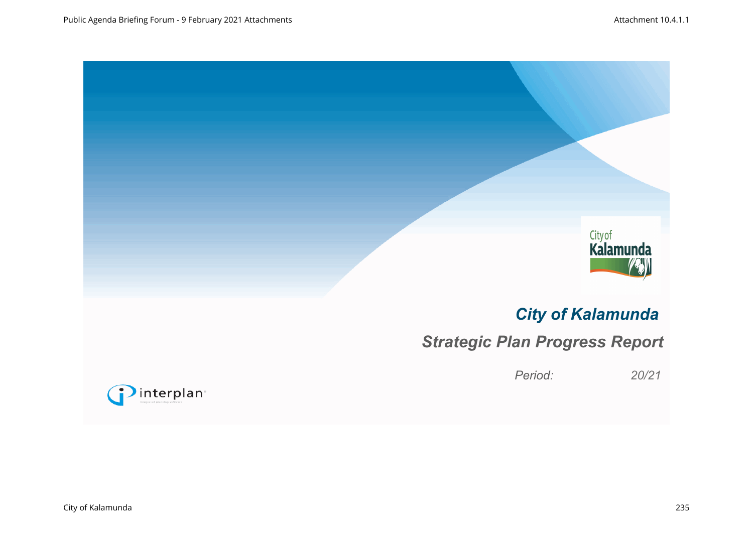



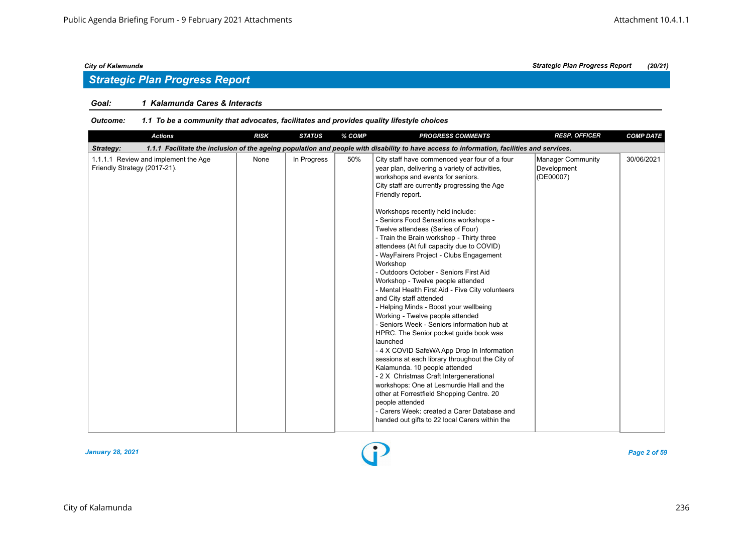## *Strategic Plan Progress Report*

#### *Goal: 1 Kalamunda Cares & Interacts*

#### *Outcome: 1.1 To be a community that advocates, facilitates and provides quality lifestyle choices*

| <b>Actions</b>                                                       | <b>RISK</b> | <b>STATUS</b> | % COMP | <b>PROGRESS COMMENTS</b>                                                                                                                                                                                                                                                                                                                                                                                                                                                                                                                                                                                                                                                                                                                                                                                                                                                                                                                                                                                                                                                                                                                                                                                               | <b>RESP. OFFICER</b>                                 | <b>COMP DATE</b> |
|----------------------------------------------------------------------|-------------|---------------|--------|------------------------------------------------------------------------------------------------------------------------------------------------------------------------------------------------------------------------------------------------------------------------------------------------------------------------------------------------------------------------------------------------------------------------------------------------------------------------------------------------------------------------------------------------------------------------------------------------------------------------------------------------------------------------------------------------------------------------------------------------------------------------------------------------------------------------------------------------------------------------------------------------------------------------------------------------------------------------------------------------------------------------------------------------------------------------------------------------------------------------------------------------------------------------------------------------------------------------|------------------------------------------------------|------------------|
| Strategy:                                                            |             |               |        | 1.1.1 Facilitate the inclusion of the ageing population and people with disability to have access to information, facilities and services.                                                                                                                                                                                                                                                                                                                                                                                                                                                                                                                                                                                                                                                                                                                                                                                                                                                                                                                                                                                                                                                                             |                                                      |                  |
| 1.1.1.1 Review and implement the Age<br>Friendly Strategy (2017-21). | None        | In Progress   | 50%    | City staff have commenced year four of a four<br>year plan, delivering a variety of activities,<br>workshops and events for seniors.<br>City staff are currently progressing the Age<br>Friendly report.<br>Workshops recently held include:<br>- Seniors Food Sensations workshops -<br>Twelve attendees (Series of Four)<br>- Train the Brain workshop - Thirty three<br>attendees (At full capacity due to COVID)<br>- WayFairers Project - Clubs Engagement<br>Workshop<br>- Outdoors October - Seniors First Aid<br>Workshop - Twelve people attended<br>- Mental Health First Aid - Five City volunteers<br>and City staff attended<br>- Helping Minds - Boost your wellbeing<br>Working - Twelve people attended<br>- Seniors Week - Seniors information hub at<br>HPRC. The Senior pocket guide book was<br>launched<br>- 4 X COVID SafeWA App Drop In Information<br>sessions at each library throughout the City of<br>Kalamunda. 10 people attended<br>- 2 X Christmas Craft Intergenerational<br>workshops: One at Lesmurdie Hall and the<br>other at Forrestfield Shopping Centre. 20<br>people attended<br>- Carers Week: created a Carer Database and<br>handed out gifts to 22 local Carers within the | <b>Manager Community</b><br>Development<br>(DE00007) | 30/06/2021       |

#### *January 28, 2021 Page 2 of 59*

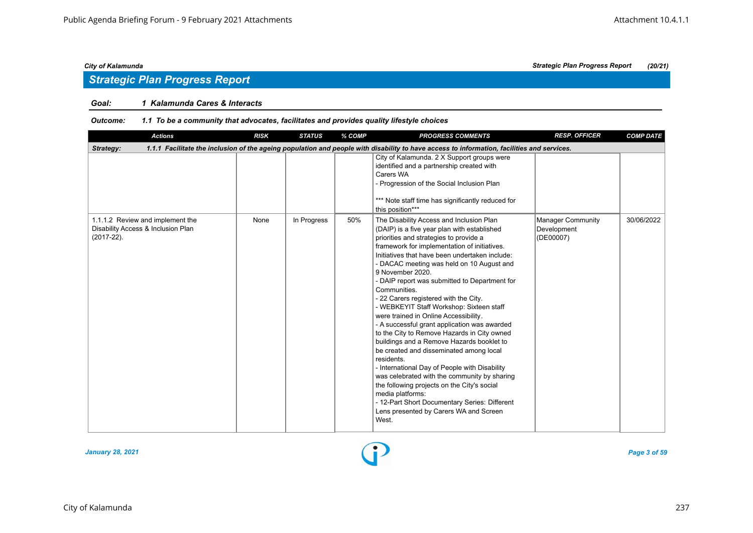### *Goal: 1 Kalamunda Cares & Interacts*

| <b>Actions</b>                                                                                                                                          | <b>RISK</b> | <b>STATUS</b> | % COMP | <b>PROGRESS COMMENTS</b>                                                                                                                                                                                                                                                                                                                                                                                                                                                                                                                                                                                                                                                                                                                                                                                                                                                                                                                                                         | <b>RESP. OFFICER</b>                                 | <b>COMP DATE</b> |  |  |  |  |
|---------------------------------------------------------------------------------------------------------------------------------------------------------|-------------|---------------|--------|----------------------------------------------------------------------------------------------------------------------------------------------------------------------------------------------------------------------------------------------------------------------------------------------------------------------------------------------------------------------------------------------------------------------------------------------------------------------------------------------------------------------------------------------------------------------------------------------------------------------------------------------------------------------------------------------------------------------------------------------------------------------------------------------------------------------------------------------------------------------------------------------------------------------------------------------------------------------------------|------------------------------------------------------|------------------|--|--|--|--|
| 1.1.1 Facilitate the inclusion of the ageing population and people with disability to have access to information, facilities and services.<br>Strategy: |             |               |        |                                                                                                                                                                                                                                                                                                                                                                                                                                                                                                                                                                                                                                                                                                                                                                                                                                                                                                                                                                                  |                                                      |                  |  |  |  |  |
|                                                                                                                                                         |             |               |        | City of Kalamunda. 2 X Support groups were<br>identified and a partnership created with<br>Carers WA<br>- Progression of the Social Inclusion Plan<br>*** Note staff time has significantly reduced for<br>this position***                                                                                                                                                                                                                                                                                                                                                                                                                                                                                                                                                                                                                                                                                                                                                      |                                                      |                  |  |  |  |  |
| 1.1.1.2 Review and implement the<br>Disability Access & Inclusion Plan<br>$(2017 - 22)$ .                                                               | None        | In Progress   | 50%    | The Disability Access and Inclusion Plan<br>(DAIP) is a five year plan with established<br>priorities and strategies to provide a<br>framework for implementation of initiatives.<br>Initiatives that have been undertaken include:<br>- DACAC meeting was held on 10 August and<br>9 November 2020.<br>- DAIP report was submitted to Department for<br>Communities.<br>- 22 Carers registered with the City.<br>- WEBKEYIT Staff Workshop: Sixteen staff<br>were trained in Online Accessibility.<br>- A successful grant application was awarded<br>to the City to Remove Hazards in City owned<br>buildings and a Remove Hazards booklet to<br>be created and disseminated among local<br>residents.<br>- International Day of People with Disability<br>was celebrated with the community by sharing<br>the following projects on the City's social<br>media platforms:<br>- 12-Part Short Documentary Series: Different<br>Lens presented by Carers WA and Screen<br>West. | <b>Manager Community</b><br>Development<br>(DE00007) | 30/06/2022       |  |  |  |  |

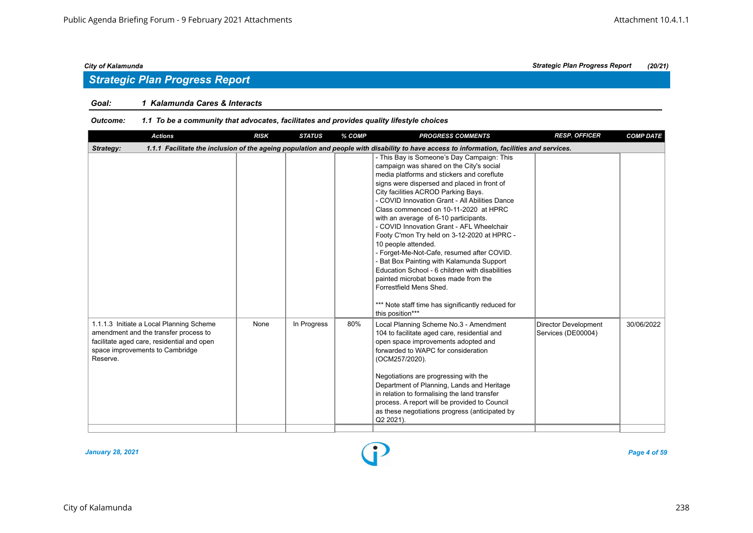## *Strategic Plan Progress Report*

#### *Goal: 1 Kalamunda Cares & Interacts*

| <b>Actions</b>                                                                                                                                                                 | <b>RISK</b> | <b>STATUS</b> | % COMP | <b>PROGRESS COMMENTS</b>                                                                                                                                                                                                                                                                                                                                                                                                                                                                                                                                                                                                                                                                                                                                                    | <b>RESP. OFFICER</b>                              | <b>COMP DATE</b> |  |  |  |
|--------------------------------------------------------------------------------------------------------------------------------------------------------------------------------|-------------|---------------|--------|-----------------------------------------------------------------------------------------------------------------------------------------------------------------------------------------------------------------------------------------------------------------------------------------------------------------------------------------------------------------------------------------------------------------------------------------------------------------------------------------------------------------------------------------------------------------------------------------------------------------------------------------------------------------------------------------------------------------------------------------------------------------------------|---------------------------------------------------|------------------|--|--|--|
| 1.1.1 Facilitate the inclusion of the ageing population and people with disability to have access to information, facilities and services.<br>Strategy:                        |             |               |        |                                                                                                                                                                                                                                                                                                                                                                                                                                                                                                                                                                                                                                                                                                                                                                             |                                                   |                  |  |  |  |
|                                                                                                                                                                                |             |               |        | - This Bay is Someone's Day Campaign: This<br>campaign was shared on the City's social<br>media platforms and stickers and coreflute<br>signs were dispersed and placed in front of<br>City facilities ACROD Parking Bays.<br>- COVID Innovation Grant - All Abilities Dance<br>Class commenced on 10-11-2020 at HPRC<br>with an average of 6-10 participants.<br>- COVID Innovation Grant - AFL Wheelchair<br>Footy C'mon Try held on 3-12-2020 at HPRC -<br>10 people attended.<br>- Forget-Me-Not-Cafe, resumed after COVID.<br>- Bat Box Painting with Kalamunda Support<br>Education School - 6 children with disabilities<br>painted microbat boxes made from the<br>Forrestfield Mens Shed.<br>*** Note staff time has significantly reduced for<br>this position*** |                                                   |                  |  |  |  |
| 1.1.1.3 Initiate a Local Planning Scheme<br>amendment and the transfer process to<br>facilitate aged care, residential and open<br>space improvements to Cambridge<br>Reserve. | None        | In Progress   | 80%    | Local Planning Scheme No.3 - Amendment<br>104 to facilitate aged care, residential and<br>open space improvements adopted and<br>forwarded to WAPC for consideration<br>(OCM257/2020).<br>Negotiations are progressing with the<br>Department of Planning, Lands and Heritage<br>in relation to formalising the land transfer<br>process. A report will be provided to Council<br>as these negotiations progress (anticipated by<br>Q2 2021).                                                                                                                                                                                                                                                                                                                               | <b>Director Development</b><br>Services (DE00004) | 30/06/2022       |  |  |  |

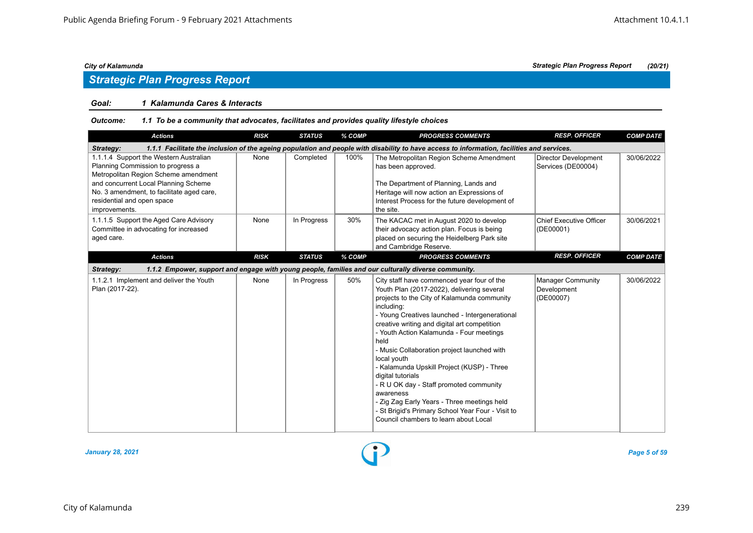## *Strategic Plan Progress Report*

#### *Goal: 1 Kalamunda Cares & Interacts*

| <b>Actions</b>                                                                                                                                                                                                                                          | <b>RISK</b> | <b>STATUS</b> | % COMP | <b>PROGRESS COMMENTS</b>                                                                                                                                                                                                                                                                                                                                                                                                                                                                                                                                                                                                                          | <b>RESP. OFFICER</b>                                 | <b>COMP DATE</b> |  |  |  |  |
|---------------------------------------------------------------------------------------------------------------------------------------------------------------------------------------------------------------------------------------------------------|-------------|---------------|--------|---------------------------------------------------------------------------------------------------------------------------------------------------------------------------------------------------------------------------------------------------------------------------------------------------------------------------------------------------------------------------------------------------------------------------------------------------------------------------------------------------------------------------------------------------------------------------------------------------------------------------------------------------|------------------------------------------------------|------------------|--|--|--|--|
| 1.1.1 Facilitate the inclusion of the ageing population and people with disability to have access to information, facilities and services.<br>Strategy:                                                                                                 |             |               |        |                                                                                                                                                                                                                                                                                                                                                                                                                                                                                                                                                                                                                                                   |                                                      |                  |  |  |  |  |
| 1.1.1.4 Support the Western Australian<br>Planning Commission to progress a<br>Metropolitan Region Scheme amendment<br>and concurrent Local Planning Scheme<br>No. 3 amendment, to facilitate aged care,<br>residential and open space<br>improvements. | None        | Completed     | 100%   | The Metropolitan Region Scheme Amendment<br>has been approved.<br>The Department of Planning, Lands and<br>Heritage will now action an Expressions of<br>Interest Process for the future development of<br>the site.                                                                                                                                                                                                                                                                                                                                                                                                                              | <b>Director Development</b><br>Services (DE00004)    | 30/06/2022       |  |  |  |  |
| 1.1.1.5 Support the Aged Care Advisory<br>Committee in advocating for increased<br>aged care.                                                                                                                                                           | None        | In Progress   | 30%    | The KACAC met in August 2020 to develop<br>their advocacy action plan. Focus is being<br>placed on securing the Heidelberg Park site<br>and Cambridge Reserve.                                                                                                                                                                                                                                                                                                                                                                                                                                                                                    | <b>Chief Executive Officer</b><br>(DE00001)          | 30/06/2021       |  |  |  |  |
| <b>Actions</b>                                                                                                                                                                                                                                          | <b>RISK</b> | <b>STATUS</b> | % COMP | <b>PROGRESS COMMENTS</b>                                                                                                                                                                                                                                                                                                                                                                                                                                                                                                                                                                                                                          | <b>RESP. OFFICER</b>                                 | <b>COMP DATE</b> |  |  |  |  |
| Strategy:                                                                                                                                                                                                                                               |             |               |        | 1.1.2 Empower, support and engage with young people, families and our culturally diverse community.                                                                                                                                                                                                                                                                                                                                                                                                                                                                                                                                               |                                                      |                  |  |  |  |  |
| 1.1.2.1 Implement and deliver the Youth<br>Plan (2017-22).                                                                                                                                                                                              | None        | In Progress   | 50%    | City staff have commenced year four of the<br>Youth Plan (2017-2022), delivering several<br>projects to the City of Kalamunda community<br>including:<br>- Young Creatives launched - Intergenerational<br>creative writing and digital art competition<br>- Youth Action Kalamunda - Four meetings<br>held<br>- Music Collaboration project launched with<br>local youth<br>- Kalamunda Upskill Project (KUSP) - Three<br>digital tutorials<br>- R U OK day - Staff promoted community<br>awareness<br>- Zig Zag Early Years - Three meetings held<br>- St Brigid's Primary School Year Four - Visit to<br>Council chambers to learn about Local | <b>Manager Community</b><br>Development<br>(DE00007) | 30/06/2022       |  |  |  |  |

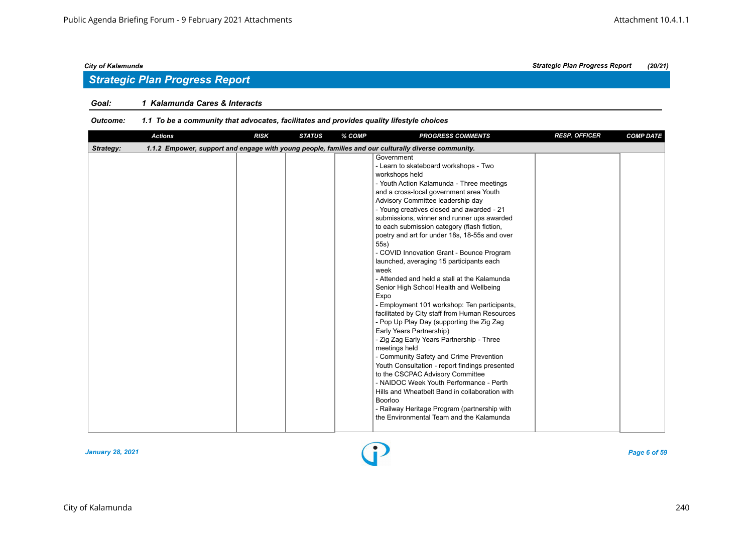## *Strategic Plan Progress Report*

#### *Goal: 1 Kalamunda Cares & Interacts*

| <b>Actions</b> | <b>RISK</b> | <b>STATUS</b> | % COMP | <b>PROGRESS COMMENTS</b>                                                                                                                                                                                                                                                                                                                                                                                                                                                                                                                                                                                                                                                                                                                                                                                                                                                                                                                                                                                                                                                                                                                                                                       | <b>RESP. OFFICER</b> | <b>COMP DATE</b> |
|----------------|-------------|---------------|--------|------------------------------------------------------------------------------------------------------------------------------------------------------------------------------------------------------------------------------------------------------------------------------------------------------------------------------------------------------------------------------------------------------------------------------------------------------------------------------------------------------------------------------------------------------------------------------------------------------------------------------------------------------------------------------------------------------------------------------------------------------------------------------------------------------------------------------------------------------------------------------------------------------------------------------------------------------------------------------------------------------------------------------------------------------------------------------------------------------------------------------------------------------------------------------------------------|----------------------|------------------|
| Strategy:      |             |               |        | 1.1.2 Empower, support and engage with young people, families and our culturally diverse community.                                                                                                                                                                                                                                                                                                                                                                                                                                                                                                                                                                                                                                                                                                                                                                                                                                                                                                                                                                                                                                                                                            |                      |                  |
|                |             |               |        | Government<br>- Learn to skateboard workshops - Two<br>workshops held<br>- Youth Action Kalamunda - Three meetings<br>and a cross-local government area Youth<br>Advisory Committee leadership day<br>- Young creatives closed and awarded - 21<br>submissions, winner and runner ups awarded<br>to each submission category (flash fiction,<br>poetry and art for under 18s, 18-55s and over<br>55s)<br>- COVID Innovation Grant - Bounce Program<br>launched, averaging 15 participants each<br>week<br>- Attended and held a stall at the Kalamunda<br>Senior High School Health and Wellbeing<br>Expo<br>- Employment 101 workshop: Ten participants,<br>facilitated by City staff from Human Resources<br>- Pop Up Play Day (supporting the Zig Zag<br>Early Years Partnership)<br>- Zig Zag Early Years Partnership - Three<br>meetings held<br>- Community Safety and Crime Prevention<br>Youth Consultation - report findings presented<br>to the CSCPAC Advisory Committee<br>- NAIDOC Week Youth Performance - Perth<br>Hills and Wheatbelt Band in collaboration with<br><b>Boorloo</b><br>- Railway Heritage Program (partnership with<br>the Environmental Team and the Kalamunda |                      |                  |
|                |             |               |        |                                                                                                                                                                                                                                                                                                                                                                                                                                                                                                                                                                                                                                                                                                                                                                                                                                                                                                                                                                                                                                                                                                                                                                                                |                      |                  |

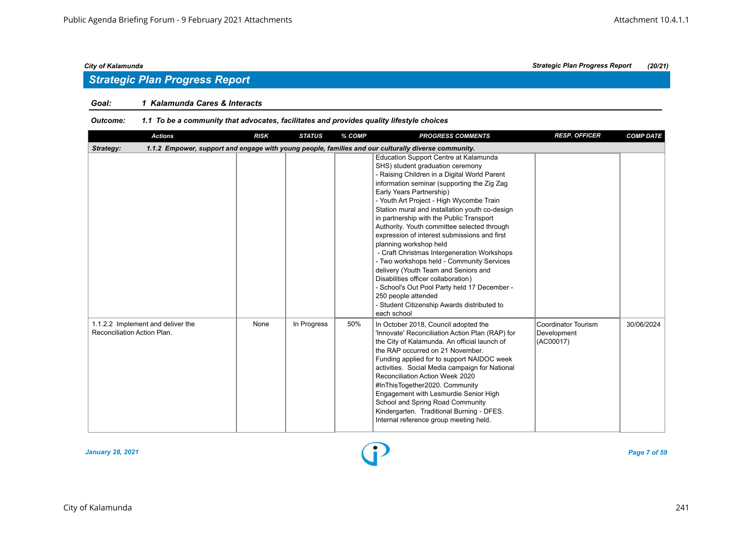## *Strategic Plan Progress Report*

#### *Goal: 1 Kalamunda Cares & Interacts*

| <b>Actions</b>                                                                                                   | <b>RISK</b> | <b>STATUS</b> | % COMP | <b>PROGRESS COMMENTS</b>                                                                                                                                                                                                                                                                                                                                                                                                                                                                                                                                                                                                                                                                                                                                                                | <b>RESP. OFFICER</b>                            | <b>COMP DATE</b> |  |  |  |
|------------------------------------------------------------------------------------------------------------------|-------------|---------------|--------|-----------------------------------------------------------------------------------------------------------------------------------------------------------------------------------------------------------------------------------------------------------------------------------------------------------------------------------------------------------------------------------------------------------------------------------------------------------------------------------------------------------------------------------------------------------------------------------------------------------------------------------------------------------------------------------------------------------------------------------------------------------------------------------------|-------------------------------------------------|------------------|--|--|--|
| 1.1.2 Empower, support and engage with young people, families and our culturally diverse community.<br>Strategy: |             |               |        |                                                                                                                                                                                                                                                                                                                                                                                                                                                                                                                                                                                                                                                                                                                                                                                         |                                                 |                  |  |  |  |
|                                                                                                                  |             |               |        | Education Support Centre at Kalamunda<br>SHS) student graduation ceremony<br>- Raising Children in a Digital World Parent<br>information seminar (supporting the Zig Zag<br>Early Years Partnership)<br>- Youth Art Project - High Wycombe Train<br>Station mural and installation youth co-design<br>in partnership with the Public Transport<br>Authority. Youth committee selected through<br>expression of interest submissions and first<br>planning workshop held<br>- Craft Christmas Intergeneration Workshops<br>- Two workshops held - Community Services<br>delivery (Youth Team and Seniors and<br>Disabilities officer collaboration)<br>- School's Out Pool Party held 17 December -<br>250 people attended<br>- Student Citizenship Awards distributed to<br>each school |                                                 |                  |  |  |  |
| 1.1.2.2 Implement and deliver the<br>Reconciliation Action Plan.                                                 | None        | In Progress   | 50%    | In October 2018, Council adopted the<br>'Innovate' Reconciliation Action Plan (RAP) for<br>the City of Kalamunda. An official launch of<br>the RAP occurred on 21 November.<br>Funding applied for to support NAIDOC week<br>activities. Social Media campaign for National<br>Reconciliation Action Week 2020<br>#InThisTogether2020. Community<br>Engagement with Lesmurdie Senior High<br>School and Spring Road Community<br>Kindergarten. Traditional Burning - DFES.<br>Internal reference group meeting held.                                                                                                                                                                                                                                                                    | Coordinator Tourism<br>Development<br>(AC00017) | 30/06/2024       |  |  |  |

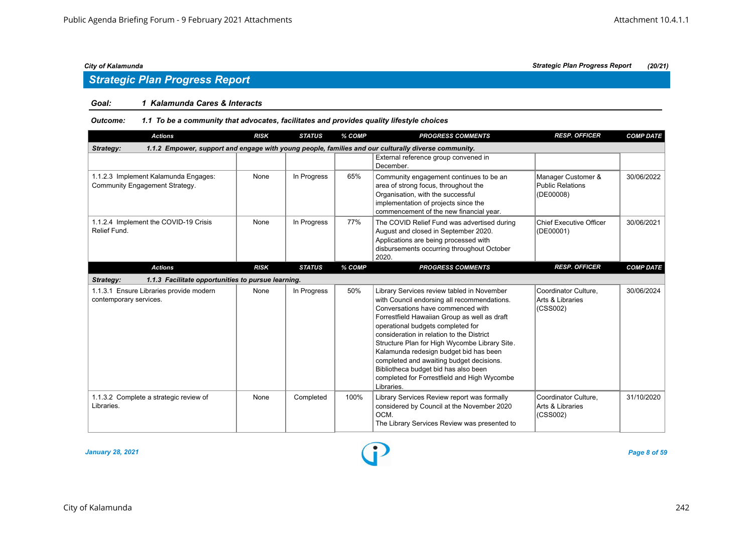# *Strategic Plan Progress Report*

### *Goal: 1 Kalamunda Cares & Interacts*

#### *Outcome: 1.1 To be a community that advocates, facilitates and provides quality lifestyle choices*

| <b>Actions</b>                                                                                                   | <b>RISK</b> | <b>STATUS</b> | % COMP | <b>PROGRESS COMMENTS</b>                                                                                                                                                                                                                                                                                                                                                                                                                                                                                     | <b>RESP. OFFICER</b>                                       | <b>COMP DATE</b> |  |  |  |
|------------------------------------------------------------------------------------------------------------------|-------------|---------------|--------|--------------------------------------------------------------------------------------------------------------------------------------------------------------------------------------------------------------------------------------------------------------------------------------------------------------------------------------------------------------------------------------------------------------------------------------------------------------------------------------------------------------|------------------------------------------------------------|------------------|--|--|--|
| 1.1.2 Empower, support and engage with young people, families and our culturally diverse community.<br>Strategy: |             |               |        |                                                                                                                                                                                                                                                                                                                                                                                                                                                                                                              |                                                            |                  |  |  |  |
|                                                                                                                  |             |               |        | External reference group convened in<br>December.                                                                                                                                                                                                                                                                                                                                                                                                                                                            |                                                            |                  |  |  |  |
| 1.1.2.3 Implement Kalamunda Engages:<br>Community Engagement Strategy.                                           | None        | In Progress   | 65%    | Community engagement continues to be an<br>area of strong focus, throughout the<br>Organisation, with the successful<br>implementation of projects since the<br>commencement of the new financial year.                                                                                                                                                                                                                                                                                                      | Manager Customer &<br><b>Public Relations</b><br>(DE00008) | 30/06/2022       |  |  |  |
| 1.1.2.4 Implement the COVID-19 Crisis<br>Relief Fund.                                                            | None        | In Progress   | 77%    | The COVID Relief Fund was advertised during<br>August and closed in September 2020.<br>Applications are being processed with<br>disbursements occurring throughout October<br>2020.                                                                                                                                                                                                                                                                                                                          | <b>Chief Executive Officer</b><br>(DE00001)                | 30/06/2021       |  |  |  |
| <b>Actions</b>                                                                                                   | <b>RISK</b> | <b>STATUS</b> | % COMP | <b>PROGRESS COMMENTS</b>                                                                                                                                                                                                                                                                                                                                                                                                                                                                                     | <b>RESP. OFFICER</b>                                       | <b>COMP DATE</b> |  |  |  |
| 1.1.3 Facilitate opportunities to pursue learning.<br>Strategy:                                                  |             |               |        |                                                                                                                                                                                                                                                                                                                                                                                                                                                                                                              |                                                            |                  |  |  |  |
| 1.1.3.1 Ensure Libraries provide modern<br>contemporary services.                                                | None        | In Progress   | 50%    | Library Services review tabled in November<br>with Council endorsing all recommendations.<br>Conversations have commenced with<br>Forrestfield Hawaiian Group as well as draft<br>operational budgets completed for<br>consideration in relation to the District<br>Structure Plan for High Wycombe Library Site.<br>Kalamunda redesign budget bid has been<br>completed and awaiting budget decisions.<br>Bibliotheca budget bid has also been<br>completed for Forrestfield and High Wycombe<br>Libraries. | Coordinator Culture,<br>Arts & Libraries<br>(CSS002)       | 30/06/2024       |  |  |  |
| 1.1.3.2 Complete a strategic review of<br>Libraries.                                                             | None        | Completed     | 100%   | Library Services Review report was formally<br>considered by Council at the November 2020<br>OCM.<br>The Library Services Review was presented to                                                                                                                                                                                                                                                                                                                                                            | Coordinator Culture.<br>Arts & Libraries<br>(CSS002)       | 31/10/2020       |  |  |  |

*January 28, 2021 Page 8 of 59*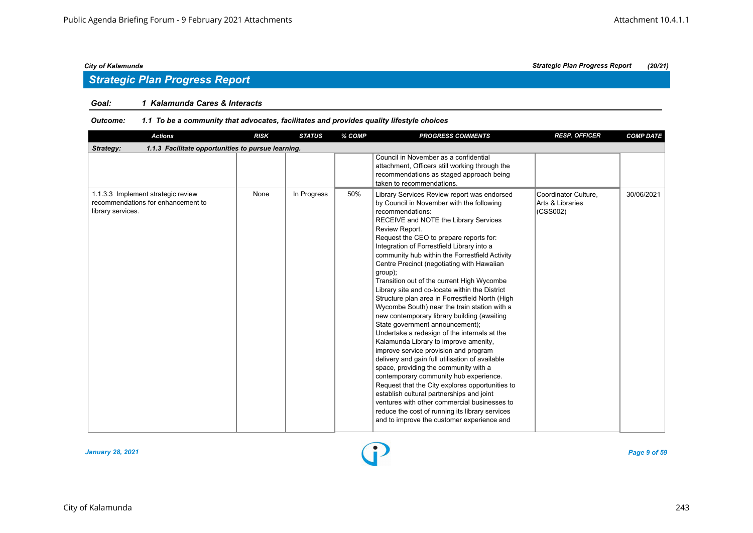## *Strategic Plan Progress Report*

#### *Goal: 1 Kalamunda Cares & Interacts*

| <b>Actions</b>                                                                                | <b>RISK</b> | <b>STATUS</b> | % COMP | <b>PROGRESS COMMENTS</b>                                                                                                                                                                                                                                                                                                                                                                                                                                                                                                                                                                                                                                                                                                                                                                                                                                                                                                                                                                                                                                                                                                                                                                  | <b>RESP. OFFICER</b>                                 | <b>COMP DATE</b> |  |  |  |  |
|-----------------------------------------------------------------------------------------------|-------------|---------------|--------|-------------------------------------------------------------------------------------------------------------------------------------------------------------------------------------------------------------------------------------------------------------------------------------------------------------------------------------------------------------------------------------------------------------------------------------------------------------------------------------------------------------------------------------------------------------------------------------------------------------------------------------------------------------------------------------------------------------------------------------------------------------------------------------------------------------------------------------------------------------------------------------------------------------------------------------------------------------------------------------------------------------------------------------------------------------------------------------------------------------------------------------------------------------------------------------------|------------------------------------------------------|------------------|--|--|--|--|
| Strategy:<br>1.1.3 Facilitate opportunities to pursue learning.                               |             |               |        |                                                                                                                                                                                                                                                                                                                                                                                                                                                                                                                                                                                                                                                                                                                                                                                                                                                                                                                                                                                                                                                                                                                                                                                           |                                                      |                  |  |  |  |  |
|                                                                                               |             |               |        | Council in November as a confidential<br>attachment, Officers still working through the<br>recommendations as staged approach being<br>taken to recommendations.                                                                                                                                                                                                                                                                                                                                                                                                                                                                                                                                                                                                                                                                                                                                                                                                                                                                                                                                                                                                                          |                                                      |                  |  |  |  |  |
| 1.1.3.3 Implement strategic review<br>recommendations for enhancement to<br>library services. | None        | In Progress   | 50%    | Library Services Review report was endorsed<br>by Council in November with the following<br>recommendations:<br>RECEIVE and NOTE the Library Services<br>Review Report.<br>Request the CEO to prepare reports for:<br>Integration of Forrestfield Library into a<br>community hub within the Forrestfield Activity<br>Centre Precinct (negotiating with Hawaiian<br>group);<br>Transition out of the current High Wycombe<br>Library site and co-locate within the District<br>Structure plan area in Forrestfield North (High<br>Wycombe South) near the train station with a<br>new contemporary library building (awaiting<br>State government announcement);<br>Undertake a redesign of the internals at the<br>Kalamunda Library to improve amenity,<br>improve service provision and program<br>delivery and gain full utilisation of available<br>space, providing the community with a<br>contemporary community hub experience.<br>Request that the City explores opportunities to<br>establish cultural partnerships and joint<br>ventures with other commercial businesses to<br>reduce the cost of running its library services<br>and to improve the customer experience and | Coordinator Culture,<br>Arts & Libraries<br>(CSS002) | 30/06/2021       |  |  |  |  |

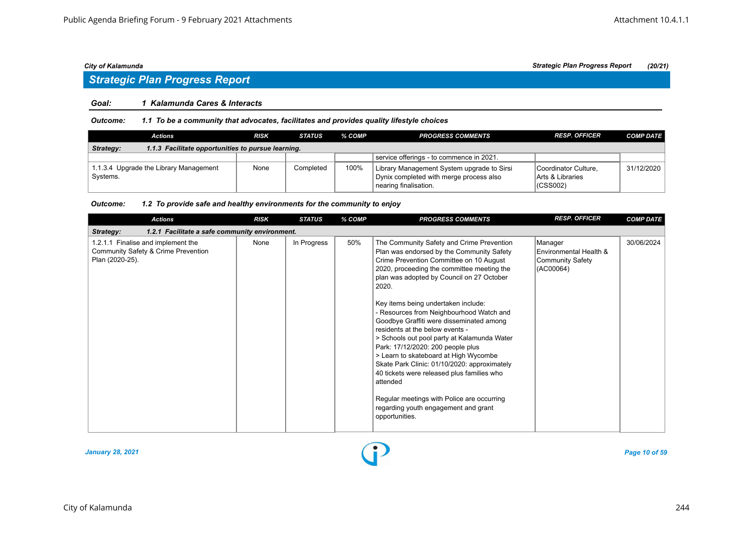## *Strategic Plan Progress Report*

#### *Goal: 1 Kalamunda Cares & Interacts*

*Outcome: 1.1 To be a community that advocates, facilitates and provides quality lifestyle choices*

| Actions                                                         | RISK | <b>STATUS</b> | % COMP | <b>PROGRESS COMMENTS</b>                                                                                       | <b>RESP. OFFICER</b>                                             | <b>COMP DATE</b> |  |  |  |
|-----------------------------------------------------------------|------|---------------|--------|----------------------------------------------------------------------------------------------------------------|------------------------------------------------------------------|------------------|--|--|--|
| 1.1.3 Facilitate opportunities to pursue learning.<br>Strategy: |      |               |        |                                                                                                                |                                                                  |                  |  |  |  |
|                                                                 |      |               |        | service offerings - to commence in 2021.                                                                       |                                                                  |                  |  |  |  |
| 1.1.3.4 Upgrade the Library Management<br>Systems.              | None | Completed     | 100%   | Library Management System upgrade to Sirsi<br>Dynix completed with merge process also<br>nearing finalisation. | Coordinator Culture.<br><b>IArts &amp; Libraries</b><br>(CSS002) | 31/12/2020       |  |  |  |

| <b>Actions</b>                                                                               | <b>RISK</b> | <b>STATUS</b> | % COMP | <b>PROGRESS COMMENTS</b>                                                                                                                                                                                                                                                                                                                                                                                                                                                                                                                                                                                                                                                                                                                               | <b>RESP. OFFICER</b>                                                      | <b>COMP DATE</b> |  |  |  |  |
|----------------------------------------------------------------------------------------------|-------------|---------------|--------|--------------------------------------------------------------------------------------------------------------------------------------------------------------------------------------------------------------------------------------------------------------------------------------------------------------------------------------------------------------------------------------------------------------------------------------------------------------------------------------------------------------------------------------------------------------------------------------------------------------------------------------------------------------------------------------------------------------------------------------------------------|---------------------------------------------------------------------------|------------------|--|--|--|--|
| 1.2.1 Facilitate a safe community environment.<br>Strategy:                                  |             |               |        |                                                                                                                                                                                                                                                                                                                                                                                                                                                                                                                                                                                                                                                                                                                                                        |                                                                           |                  |  |  |  |  |
| 1.2.1.1 Finalise and implement the<br>Community Safety & Crime Prevention<br>Plan (2020-25). | None        | In Progress   | 50%    | The Community Safety and Crime Prevention<br>Plan was endorsed by the Community Safety<br>Crime Prevention Committee on 10 August<br>2020, proceeding the committee meeting the<br>plan was adopted by Council on 27 October<br>2020.<br>Key items being undertaken include:<br>- Resources from Neighbourhood Watch and<br>Goodbye Graffiti were disseminated among<br>residents at the below events -<br>> Schools out pool party at Kalamunda Water<br>Park: 17/12/2020: 200 people plus<br>> Learn to skateboard at High Wycombe<br>Skate Park Clinic: 01/10/2020: approximately<br>40 tickets were released plus families who<br>attended<br>Regular meetings with Police are occurring<br>regarding youth engagement and grant<br>opportunities. | Manager<br>Environmental Health &<br><b>Community Safety</b><br>(AC00064) | 30/06/2024       |  |  |  |  |

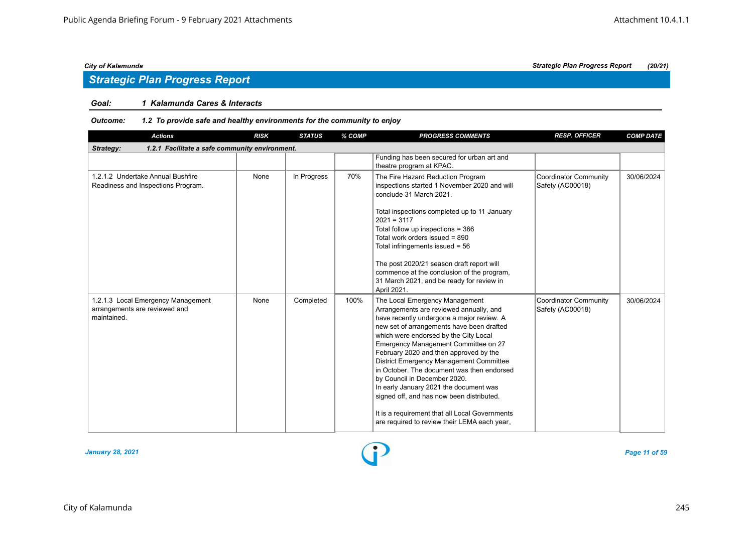## *Strategic Plan Progress Report*

#### *Goal: 1 Kalamunda Cares & Interacts*

| <b>Actions</b>                                                                     | <b>RISK</b> | <b>STATUS</b> | % COMP | <b>PROGRESS COMMENTS</b>                                                                                                                                                                                                                                                                                                                                                                                                                                                                                                                                                                                         | <b>RESP. OFFICER</b>                             | <b>COMP DATE</b> |  |  |  |
|------------------------------------------------------------------------------------|-------------|---------------|--------|------------------------------------------------------------------------------------------------------------------------------------------------------------------------------------------------------------------------------------------------------------------------------------------------------------------------------------------------------------------------------------------------------------------------------------------------------------------------------------------------------------------------------------------------------------------------------------------------------------------|--------------------------------------------------|------------------|--|--|--|
| 1.2.1 Facilitate a safe community environment.<br>Strategy:                        |             |               |        |                                                                                                                                                                                                                                                                                                                                                                                                                                                                                                                                                                                                                  |                                                  |                  |  |  |  |
|                                                                                    |             |               |        | Funding has been secured for urban art and<br>theatre program at KPAC.                                                                                                                                                                                                                                                                                                                                                                                                                                                                                                                                           |                                                  |                  |  |  |  |
| 1.2.1.2 Undertake Annual Bushfire<br>Readiness and Inspections Program.            | None        | In Progress   | 70%    | The Fire Hazard Reduction Program<br>inspections started 1 November 2020 and will<br>conclude 31 March 2021.<br>Total inspections completed up to 11 January<br>$2021 = 3117$<br>Total follow up inspections = 366<br>Total work orders issued = 890<br>Total infringements issued = $56$<br>The post 2020/21 season draft report will<br>commence at the conclusion of the program,<br>31 March 2021, and be ready for review in<br>April 2021.                                                                                                                                                                 | <b>Coordinator Community</b><br>Safety (AC00018) | 30/06/2024       |  |  |  |
| 1.2.1.3 Local Emergency Management<br>arrangements are reviewed and<br>maintained. | None        | Completed     | 100%   | The Local Emergency Management<br>Arrangements are reviewed annually, and<br>have recently undergone a major review. A<br>new set of arrangements have been drafted<br>which were endorsed by the City Local<br>Emergency Management Committee on 27<br>February 2020 and then approved by the<br>District Emergency Management Committee<br>in October. The document was then endorsed<br>by Council in December 2020.<br>In early January 2021 the document was<br>signed off, and has now been distributed.<br>It is a requirement that all Local Governments<br>are required to review their LEMA each year, | <b>Coordinator Community</b><br>Safety (AC00018) | 30/06/2024       |  |  |  |

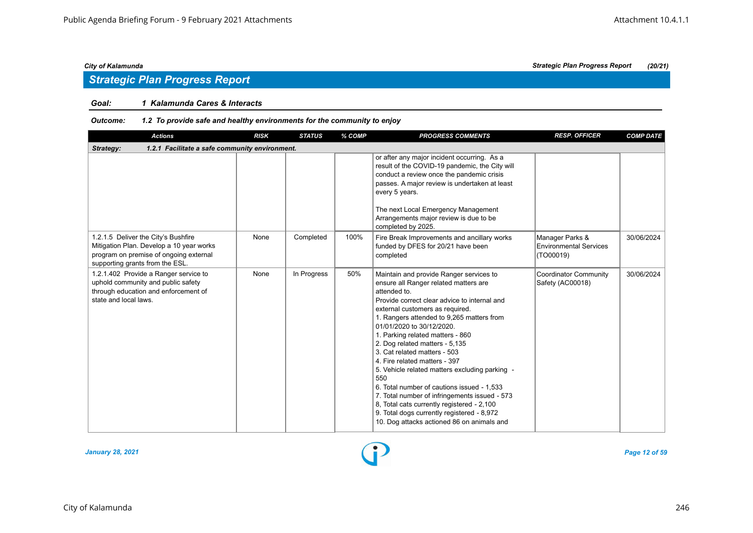#### *Goal: 1 Kalamunda Cares & Interacts*

| <b>Actions</b>                                                                                                                                               | <b>RISK</b> | <b>STATUS</b> | % COMP | <b>PROGRESS COMMENTS</b>                                                                                                                                                                                                                                                                                                                                                                                                                                                                                                                                                                                                                                                                               | <b>RESP. OFFICER</b>                                          | <b>COMP DATE</b> |  |  |  |  |
|--------------------------------------------------------------------------------------------------------------------------------------------------------------|-------------|---------------|--------|--------------------------------------------------------------------------------------------------------------------------------------------------------------------------------------------------------------------------------------------------------------------------------------------------------------------------------------------------------------------------------------------------------------------------------------------------------------------------------------------------------------------------------------------------------------------------------------------------------------------------------------------------------------------------------------------------------|---------------------------------------------------------------|------------------|--|--|--|--|
| 1.2.1 Facilitate a safe community environment.<br>Strategy:                                                                                                  |             |               |        |                                                                                                                                                                                                                                                                                                                                                                                                                                                                                                                                                                                                                                                                                                        |                                                               |                  |  |  |  |  |
|                                                                                                                                                              |             |               |        | or after any major incident occurring. As a<br>result of the COVID-19 pandemic, the City will<br>conduct a review once the pandemic crisis<br>passes. A major review is undertaken at least<br>every 5 years.<br>The next Local Emergency Management<br>Arrangements major review is due to be<br>completed by 2025.                                                                                                                                                                                                                                                                                                                                                                                   |                                                               |                  |  |  |  |  |
| 1.2.1.5 Deliver the City's Bushfire<br>Mitigation Plan. Develop a 10 year works<br>program on premise of ongoing external<br>supporting grants from the ESL. | None        | Completed     | 100%   | Fire Break Improvements and ancillary works<br>funded by DFES for 20/21 have been<br>completed                                                                                                                                                                                                                                                                                                                                                                                                                                                                                                                                                                                                         | Manager Parks &<br><b>Environmental Services</b><br>(TO00019) | 30/06/2024       |  |  |  |  |
| 1.2.1.402 Provide a Ranger service to<br>uphold community and public safety<br>through education and enforcement of<br>state and local laws.                 | None        | In Progress   | 50%    | Maintain and provide Ranger services to<br>ensure all Ranger related matters are<br>attended to.<br>Provide correct clear advice to internal and<br>external customers as required.<br>1. Rangers attended to 9,265 matters from<br>01/01/2020 to 30/12/2020.<br>1. Parking related matters - 860<br>2. Dog related matters - 5,135<br>3. Cat related matters - 503<br>4. Fire related matters - 397<br>5. Vehicle related matters excluding parking -<br>550<br>6. Total number of cautions issued - 1.533<br>7. Total number of infringements issued - 573<br>8, Total cats currently registered - 2,100<br>9. Total dogs currently registered - 8,972<br>10. Dog attacks actioned 86 on animals and | <b>Coordinator Community</b><br>Safety (AC00018)              | 30/06/2024       |  |  |  |  |

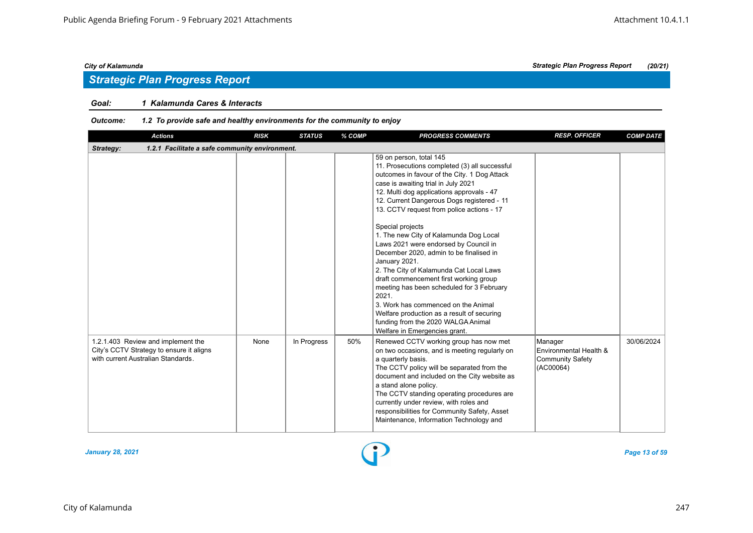## *Strategic Plan Progress Report*

#### *Goal: 1 Kalamunda Cares & Interacts*

| <b>Actions</b>                                                                                                       | <b>RISK</b> | <b>STATUS</b> | % COMP | <b>PROGRESS COMMENTS</b>                                                                                                                                                                                                                                                                                                                                                                                                                                                                                                                                                                                                                                                                                                                                                          | <b>RESP. OFFICER</b>                                                      | <b>COMP DATE</b> |  |  |  |  |
|----------------------------------------------------------------------------------------------------------------------|-------------|---------------|--------|-----------------------------------------------------------------------------------------------------------------------------------------------------------------------------------------------------------------------------------------------------------------------------------------------------------------------------------------------------------------------------------------------------------------------------------------------------------------------------------------------------------------------------------------------------------------------------------------------------------------------------------------------------------------------------------------------------------------------------------------------------------------------------------|---------------------------------------------------------------------------|------------------|--|--|--|--|
| Strategy:<br>1.2.1 Facilitate a safe community environment.                                                          |             |               |        |                                                                                                                                                                                                                                                                                                                                                                                                                                                                                                                                                                                                                                                                                                                                                                                   |                                                                           |                  |  |  |  |  |
|                                                                                                                      |             |               |        | 59 on person, total 145<br>11. Prosecutions completed (3) all successful<br>outcomes in favour of the City. 1 Dog Attack<br>case is awaiting trial in July 2021<br>12. Multi dog applications approvals - 47<br>12. Current Dangerous Dogs registered - 11<br>13. CCTV request from police actions - 17<br>Special projects<br>1. The new City of Kalamunda Dog Local<br>Laws 2021 were endorsed by Council in<br>December 2020, admin to be finalised in<br>January 2021.<br>2. The City of Kalamunda Cat Local Laws<br>draft commencement first working group<br>meeting has been scheduled for 3 February<br>2021.<br>3. Work has commenced on the Animal<br>Welfare production as a result of securing<br>funding from the 2020 WALGA Animal<br>Welfare in Emergencies grant. |                                                                           |                  |  |  |  |  |
| 1.2.1.403 Review and implement the<br>City's CCTV Strategy to ensure it aligns<br>with current Australian Standards. | None        | In Progress   | 50%    | Renewed CCTV working group has now met<br>on two occasions, and is meeting regularly on<br>a quarterly basis.<br>The CCTV policy will be separated from the<br>document and included on the City website as<br>a stand alone policy.<br>The CCTV standing operating procedures are<br>currently under review, with roles and<br>responsibilities for Community Safety, Asset<br>Maintenance, Information Technology and                                                                                                                                                                                                                                                                                                                                                           | Manager<br>Environmental Health &<br><b>Community Safety</b><br>(AC00064) | 30/06/2024       |  |  |  |  |

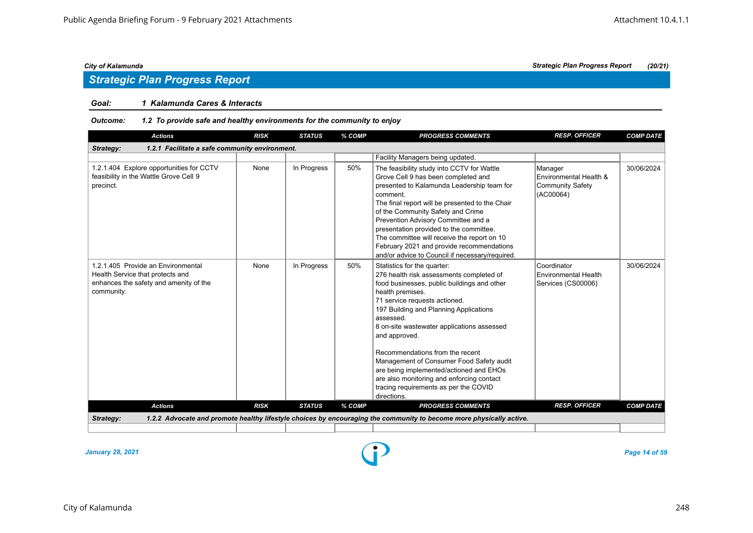#### *Goal: 1 Kalamunda Cares & Interacts*

#### *Outcome: 1.2 To provide safe and healthy environments for the community to enjoy*

| <b>Actions</b>                                                                                                                 | <b>RISK</b> | <b>STATUS</b> | % COMP | <b>PROGRESS COMMENTS</b>                                                                                                                                                                                                                                                                                                                                                                                                                                                                                                         | <b>RESP. OFFICER</b>                                                      | <b>COMP DATE</b> |  |  |  |  |
|--------------------------------------------------------------------------------------------------------------------------------|-------------|---------------|--------|----------------------------------------------------------------------------------------------------------------------------------------------------------------------------------------------------------------------------------------------------------------------------------------------------------------------------------------------------------------------------------------------------------------------------------------------------------------------------------------------------------------------------------|---------------------------------------------------------------------------|------------------|--|--|--|--|
| Strategy:<br>1.2.1 Facilitate a safe community environment.                                                                    |             |               |        |                                                                                                                                                                                                                                                                                                                                                                                                                                                                                                                                  |                                                                           |                  |  |  |  |  |
|                                                                                                                                |             |               |        | Facility Managers being updated.                                                                                                                                                                                                                                                                                                                                                                                                                                                                                                 |                                                                           |                  |  |  |  |  |
| 1.2.1.404 Explore opportunities for CCTV<br>feasibility in the Wattle Grove Cell 9<br>precinct.                                | None        | In Progress   | 50%    | The feasibility study into CCTV for Wattle<br>Grove Cell 9 has been completed and<br>presented to Kalamunda Leadership team for<br>comment.<br>The final report will be presented to the Chair<br>of the Community Safety and Crime<br>Prevention Advisory Committee and a<br>presentation provided to the committee.<br>The committee will receive the report on 10<br>February 2021 and provide recommendations<br>and/or advice to Council if necessary/required.                                                             | Manager<br>Environmental Health &<br><b>Community Safety</b><br>(AC00064) | 30/06/2024       |  |  |  |  |
| 1.2.1.405 Provide an Environmental<br>Health Service that protects and<br>enhances the safety and amenity of the<br>community. | None        | In Progress   | 50%    | Statistics for the quarter:<br>276 health risk assessments completed of<br>food businesses, public buildings and other<br>health premises.<br>71 service requests actioned.<br>197 Building and Planning Applications<br>assessed.<br>8 on-site wastewater applications assessed<br>and approved.<br>Recommendations from the recent<br>Management of Consumer Food Safety audit<br>are being implemented/actioned and EHOs<br>are also monitoring and enforcing contact<br>tracing requirements as per the COVID<br>directions. | Coordinator<br><b>Environmental Health</b><br>Services (CS00006)          | 30/06/2024       |  |  |  |  |
| <b>Actions</b>                                                                                                                 | <b>RISK</b> | <b>STATUS</b> | % COMP | <b>PROGRESS COMMENTS</b>                                                                                                                                                                                                                                                                                                                                                                                                                                                                                                         | <b>RESP. OFFICER</b>                                                      | <b>COMP DATE</b> |  |  |  |  |
| Strategy:                                                                                                                      |             |               |        | 1.2.2 Advocate and promote healthy lifestyle choices by encouraging the community to become more physically active.                                                                                                                                                                                                                                                                                                                                                                                                              |                                                                           |                  |  |  |  |  |
|                                                                                                                                |             |               |        |                                                                                                                                                                                                                                                                                                                                                                                                                                                                                                                                  |                                                                           |                  |  |  |  |  |

*January 28, 2021 Page 14 of 59*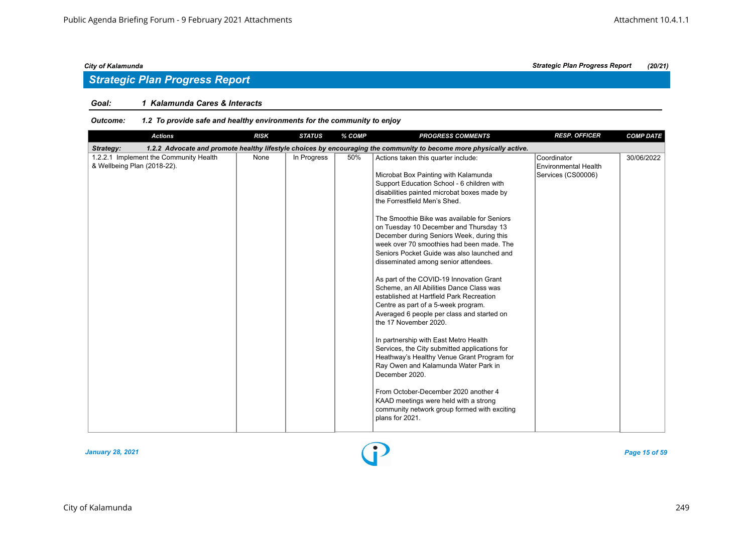## *Strategic Plan Progress Report*

#### *Goal: 1 Kalamunda Cares & Interacts*

| <b>Actions</b>                                                        | <b>RISK</b> | <b>STATUS</b> | % COMP | <b>PROGRESS COMMENTS</b>                                                                                                                                                                                                                                                                                                                                                                                                                                                                                                                                                                                                                                                                                                                                                                                                                                                                                                                                                                                                                                                                  | <b>RESP. OFFICER</b>                                             | <b>COMP DATE</b> |
|-----------------------------------------------------------------------|-------------|---------------|--------|-------------------------------------------------------------------------------------------------------------------------------------------------------------------------------------------------------------------------------------------------------------------------------------------------------------------------------------------------------------------------------------------------------------------------------------------------------------------------------------------------------------------------------------------------------------------------------------------------------------------------------------------------------------------------------------------------------------------------------------------------------------------------------------------------------------------------------------------------------------------------------------------------------------------------------------------------------------------------------------------------------------------------------------------------------------------------------------------|------------------------------------------------------------------|------------------|
| Strategy:                                                             |             |               |        | 1.2.2 Advocate and promote healthy lifestyle choices by encouraging the community to become more physically active.                                                                                                                                                                                                                                                                                                                                                                                                                                                                                                                                                                                                                                                                                                                                                                                                                                                                                                                                                                       |                                                                  |                  |
| 1.2.2.1 Implement the Community Health<br>& Wellbeing Plan (2018-22). | None        | In Progress   | 50%    | Actions taken this quarter include:<br>Microbat Box Painting with Kalamunda<br>Support Education School - 6 children with<br>disabilities painted microbat boxes made by<br>the Forrestfield Men's Shed.<br>The Smoothie Bike was available for Seniors<br>on Tuesday 10 December and Thursday 13<br>December during Seniors Week, during this<br>week over 70 smoothies had been made. The<br>Seniors Pocket Guide was also launched and<br>disseminated among senior attendees.<br>As part of the COVID-19 Innovation Grant<br>Scheme, an All Abilities Dance Class was<br>established at Hartfield Park Recreation<br>Centre as part of a 5-week program.<br>Averaged 6 people per class and started on<br>the 17 November 2020.<br>In partnership with East Metro Health<br>Services, the City submitted applications for<br>Heathway's Healthy Venue Grant Program for<br>Ray Owen and Kalamunda Water Park in<br>December 2020.<br>From October-December 2020 another 4<br>KAAD meetings were held with a strong<br>community network group formed with exciting<br>plans for 2021. | Coordinator<br><b>Environmental Health</b><br>Services (CS00006) | 30/06/2022       |

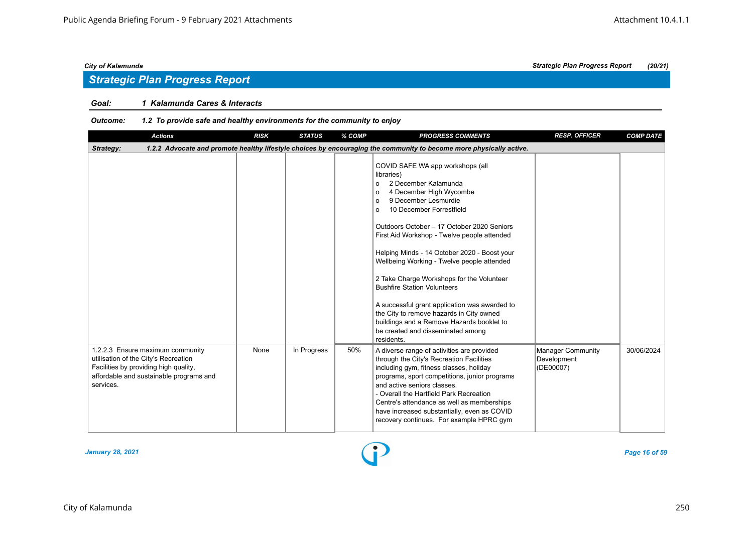## *Strategic Plan Progress Report*

#### *Goal: 1 Kalamunda Cares & Interacts*

| <b>Actions</b>                                                                                                                                                            | <b>RISK</b> | <b>STATUS</b> | % COMP | <b>PROGRESS COMMENTS</b>                                                                                                                                                                                                                                                                                                                                                                                                                                                                                                                                                                                                                                                       | <b>RESP. OFFICER</b>                                 | <b>COMP DATE</b> |  |  |  |  |
|---------------------------------------------------------------------------------------------------------------------------------------------------------------------------|-------------|---------------|--------|--------------------------------------------------------------------------------------------------------------------------------------------------------------------------------------------------------------------------------------------------------------------------------------------------------------------------------------------------------------------------------------------------------------------------------------------------------------------------------------------------------------------------------------------------------------------------------------------------------------------------------------------------------------------------------|------------------------------------------------------|------------------|--|--|--|--|
| 1.2.2 Advocate and promote healthy lifestyle choices by encouraging the community to become more physically active.<br>Strategy:                                          |             |               |        |                                                                                                                                                                                                                                                                                                                                                                                                                                                                                                                                                                                                                                                                                |                                                      |                  |  |  |  |  |
|                                                                                                                                                                           |             |               |        | COVID SAFE WA app workshops (all<br>libraries)<br>2 December Kalamunda<br>$\circ$<br>4 December High Wycombe<br>$\Omega$<br>9 December Lesmurdie<br>$\Omega$<br>10 December Forrestfield<br>$\circ$<br>Outdoors October - 17 October 2020 Seniors<br>First Aid Workshop - Twelve people attended<br>Helping Minds - 14 October 2020 - Boost your<br>Wellbeing Working - Twelve people attended<br>2 Take Charge Workshops for the Volunteer<br><b>Bushfire Station Volunteers</b><br>A successful grant application was awarded to<br>the City to remove hazards in City owned<br>buildings and a Remove Hazards booklet to<br>be created and disseminated among<br>residents. |                                                      |                  |  |  |  |  |
| 1.2.2.3 Ensure maximum community<br>utilisation of the City's Recreation<br>Facilities by providing high quality,<br>affordable and sustainable programs and<br>services. | None        | In Progress   | 50%    | A diverse range of activities are provided<br>through the City's Recreation Facilities<br>including gym, fitness classes, holiday<br>programs, sport competitions, junior programs<br>and active seniors classes.<br>- Overall the Hartfield Park Recreation<br>Centre's attendance as well as memberships<br>have increased substantially, even as COVID<br>recovery continues. For example HPRC gym                                                                                                                                                                                                                                                                          | <b>Manager Community</b><br>Development<br>(DE00007) | 30/06/2024       |  |  |  |  |

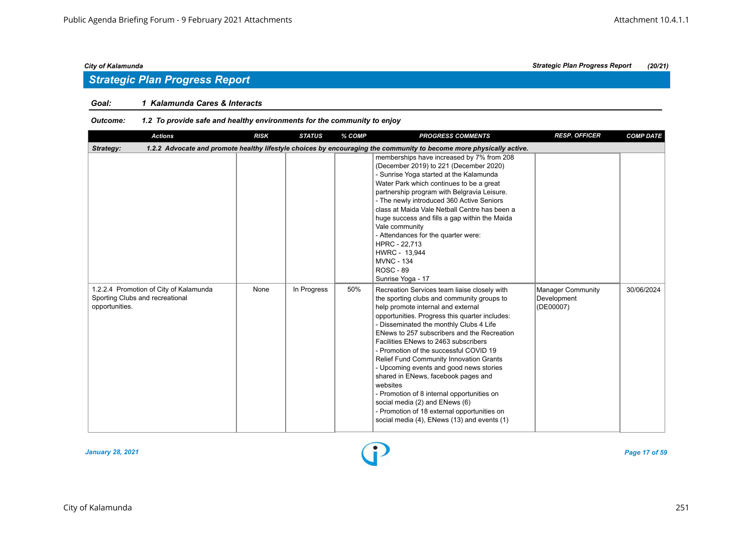## *Strategic Plan Progress Report*

### *Goal: 1 Kalamunda Cares & Interacts*

| <b>Actions</b>                                                                                                                   | <b>RISK</b> | <b>STATUS</b> | % COMP | <b>PROGRESS COMMENTS</b>                                                                                                                                                                                                                                                                                                                                                                                                                                                                                                                                                                                                                                                              | <b>RESP. OFFICER</b>                          | <b>COMP DATE</b> |  |  |  |
|----------------------------------------------------------------------------------------------------------------------------------|-------------|---------------|--------|---------------------------------------------------------------------------------------------------------------------------------------------------------------------------------------------------------------------------------------------------------------------------------------------------------------------------------------------------------------------------------------------------------------------------------------------------------------------------------------------------------------------------------------------------------------------------------------------------------------------------------------------------------------------------------------|-----------------------------------------------|------------------|--|--|--|
| 1.2.2 Advocate and promote healthy lifestyle choices by encouraging the community to become more physically active.<br>Strategy: |             |               |        |                                                                                                                                                                                                                                                                                                                                                                                                                                                                                                                                                                                                                                                                                       |                                               |                  |  |  |  |
|                                                                                                                                  |             |               |        | memberships have increased by 7% from 208<br>(December 2019) to 221 (December 2020)<br>- Sunrise Yoga started at the Kalamunda<br>Water Park which continues to be a great<br>partnership program with Belgravia Leisure.<br>- The newly introduced 360 Active Seniors<br>class at Maida Vale Netball Centre has been a<br>huge success and fills a gap within the Maida<br>Vale community<br>- Attendances for the quarter were:<br>HPRC - 22,713<br>HWRC - 13,944<br><b>MVNC - 134</b><br><b>ROSC - 89</b><br>Sunrise Yoga - 17                                                                                                                                                     |                                               |                  |  |  |  |
| 1.2.2.4 Promotion of City of Kalamunda<br>Sporting Clubs and recreational<br>opportunities.                                      | None        | In Progress   | 50%    | Recreation Services team liaise closely with<br>the sporting clubs and community groups to<br>help promote internal and external<br>opportunities. Progress this quarter includes:<br>- Disseminated the monthly Clubs 4 Life<br>ENews to 257 subscribers and the Recreation<br>Facilities ENews to 2463 subscribers<br>- Promotion of the successful COVID 19<br>Relief Fund Community Innovation Grants<br>- Upcoming events and good news stories<br>shared in ENews, facebook pages and<br>websites<br>- Promotion of 8 internal opportunities on<br>social media (2) and ENews (6)<br>- Promotion of 18 external opportunities on<br>social media (4), ENews (13) and events (1) | Manager Community<br>Development<br>(DE00007) | 30/06/2024       |  |  |  |

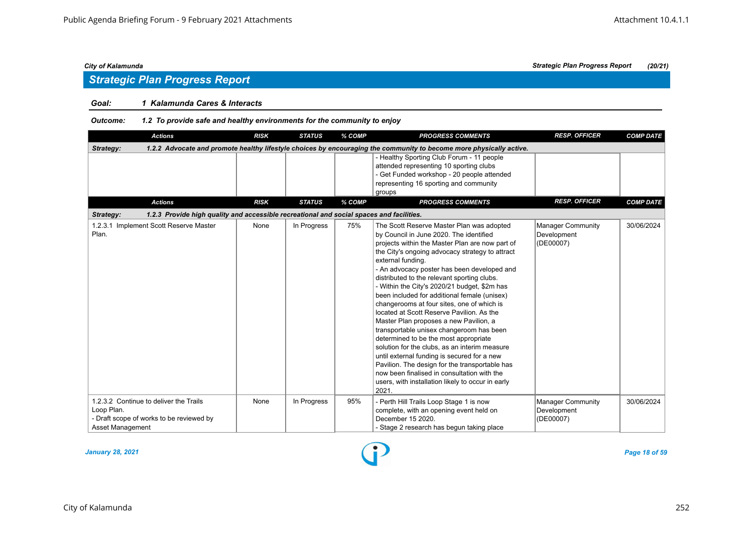## *Strategic Plan Progress Report*

### *Goal: 1 Kalamunda Cares & Interacts*

*Outcome: 1.2 To provide safe and healthy environments for the community to enjoy*

|                                | <b>Actions</b>                                                                                                      | <b>RISK</b> | <b>STATUS</b> | % COMP | <b>PROGRESS COMMENTS</b>                                                                                                                                                                                                                                                                                                                                                                                                                                                                                                                                                                                                                                                                                                                                                                                                                                                                               | <b>RESP. OFFICER</b>                                 | <b>COMP DATE</b> |  |  |  |  |
|--------------------------------|---------------------------------------------------------------------------------------------------------------------|-------------|---------------|--------|--------------------------------------------------------------------------------------------------------------------------------------------------------------------------------------------------------------------------------------------------------------------------------------------------------------------------------------------------------------------------------------------------------------------------------------------------------------------------------------------------------------------------------------------------------------------------------------------------------------------------------------------------------------------------------------------------------------------------------------------------------------------------------------------------------------------------------------------------------------------------------------------------------|------------------------------------------------------|------------------|--|--|--|--|
| Strategy:                      | 1.2.2 Advocate and promote healthy lifestyle choices by encouraging the community to become more physically active. |             |               |        |                                                                                                                                                                                                                                                                                                                                                                                                                                                                                                                                                                                                                                                                                                                                                                                                                                                                                                        |                                                      |                  |  |  |  |  |
|                                |                                                                                                                     |             |               |        | - Healthy Sporting Club Forum - 11 people<br>attended representing 10 sporting clubs<br>- Get Funded workshop - 20 people attended<br>representing 16 sporting and community<br>groups                                                                                                                                                                                                                                                                                                                                                                                                                                                                                                                                                                                                                                                                                                                 |                                                      |                  |  |  |  |  |
|                                | <b>Actions</b>                                                                                                      | <b>RISK</b> | <b>STATUS</b> | % COMP | <b>PROGRESS COMMENTS</b>                                                                                                                                                                                                                                                                                                                                                                                                                                                                                                                                                                                                                                                                                                                                                                                                                                                                               | <b>RESP. OFFICER</b>                                 | <b>COMP DATE</b> |  |  |  |  |
| Strategy:                      | 1.2.3 Provide high quality and accessible recreational and social spaces and facilities.                            |             |               |        |                                                                                                                                                                                                                                                                                                                                                                                                                                                                                                                                                                                                                                                                                                                                                                                                                                                                                                        |                                                      |                  |  |  |  |  |
| Plan.                          | 1.2.3.1 Implement Scott Reserve Master                                                                              | None        | In Progress   | 75%    | The Scott Reserve Master Plan was adopted<br>by Council in June 2020. The identified<br>projects within the Master Plan are now part of<br>the City's ongoing advocacy strategy to attract<br>external funding.<br>- An advocacy poster has been developed and<br>distributed to the relevant sporting clubs.<br>- Within the City's 2020/21 budget, \$2m has<br>been included for additional female (unisex)<br>changerooms at four sites, one of which is<br>located at Scott Reserve Pavilion. As the<br>Master Plan proposes a new Pavilion, a<br>transportable unisex changeroom has been<br>determined to be the most appropriate<br>solution for the clubs, as an interim measure<br>until external funding is secured for a new<br>Pavilion. The design for the transportable has<br>now been finalised in consultation with the<br>users, with installation likely to occur in early<br>2021. | <b>Manager Community</b><br>Development<br>(DE00007) | 30/06/2024       |  |  |  |  |
| Loop Plan.<br>Asset Management | 1.2.3.2 Continue to deliver the Trails<br>- Draft scope of works to be reviewed by                                  | None        | In Progress   | 95%    | - Perth Hill Trails Loop Stage 1 is now<br>complete, with an opening event held on<br>December 15 2020.<br>- Stage 2 research has begun taking place                                                                                                                                                                                                                                                                                                                                                                                                                                                                                                                                                                                                                                                                                                                                                   | <b>Manager Community</b><br>Development<br>(DE00007) | 30/06/2024       |  |  |  |  |

*January 28, 2021 Page 18 of 59*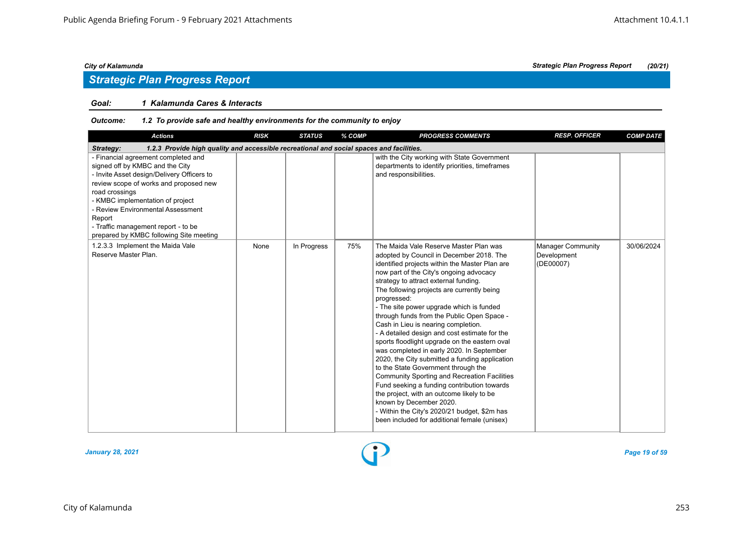## *Strategic Plan Progress Report*

#### *Goal: 1 Kalamunda Cares & Interacts*

| <b>Actions</b>                                                                                                                                                                                                                                                                                                                                        | <b>RISK</b> | <b>STATUS</b> | % COMP | <b>PROGRESS COMMENTS</b>                                                                                                                                                                                                                                                                                                                                                                                                                                                                                                                                                                                                                                                                                                                                                                                                                                                                                                                     | <b>RESP. OFFICER</b>                                 | <b>COMP DATE</b> |  |  |  |  |
|-------------------------------------------------------------------------------------------------------------------------------------------------------------------------------------------------------------------------------------------------------------------------------------------------------------------------------------------------------|-------------|---------------|--------|----------------------------------------------------------------------------------------------------------------------------------------------------------------------------------------------------------------------------------------------------------------------------------------------------------------------------------------------------------------------------------------------------------------------------------------------------------------------------------------------------------------------------------------------------------------------------------------------------------------------------------------------------------------------------------------------------------------------------------------------------------------------------------------------------------------------------------------------------------------------------------------------------------------------------------------------|------------------------------------------------------|------------------|--|--|--|--|
| 1.2.3 Provide high quality and accessible recreational and social spaces and facilities.<br>Strategy:                                                                                                                                                                                                                                                 |             |               |        |                                                                                                                                                                                                                                                                                                                                                                                                                                                                                                                                                                                                                                                                                                                                                                                                                                                                                                                                              |                                                      |                  |  |  |  |  |
| - Financial agreement completed and<br>signed off by KMBC and the City<br>- Invite Asset design/Delivery Officers to<br>review scope of works and proposed new<br>road crossings<br>- KMBC implementation of project<br>- Review Environmental Assessment<br>Report<br>- Traffic management report - to be<br>prepared by KMBC following Site meeting |             |               |        | with the City working with State Government<br>departments to identify priorities, timeframes<br>and responsibilities.                                                                                                                                                                                                                                                                                                                                                                                                                                                                                                                                                                                                                                                                                                                                                                                                                       |                                                      |                  |  |  |  |  |
| 1.2.3.3 Implement the Maida Vale<br>Reserve Master Plan.                                                                                                                                                                                                                                                                                              | None        | In Progress   | 75%    | The Maida Vale Reserve Master Plan was<br>adopted by Council in December 2018. The<br>identified projects within the Master Plan are<br>now part of the City's ongoing advocacy<br>strategy to attract external funding.<br>The following projects are currently being<br>progressed:<br>- The site power upgrade which is funded<br>through funds from the Public Open Space -<br>Cash in Lieu is nearing completion.<br>- A detailed design and cost estimate for the<br>sports floodlight upgrade on the eastern oval<br>was completed in early 2020. In September<br>2020, the City submitted a funding application<br>to the State Government through the<br><b>Community Sporting and Recreation Facilities</b><br>Fund seeking a funding contribution towards<br>the project, with an outcome likely to be<br>known by December 2020.<br>- Within the City's 2020/21 budget, \$2m has<br>been included for additional female (unisex) | <b>Manager Community</b><br>Development<br>(DE00007) | 30/06/2024       |  |  |  |  |

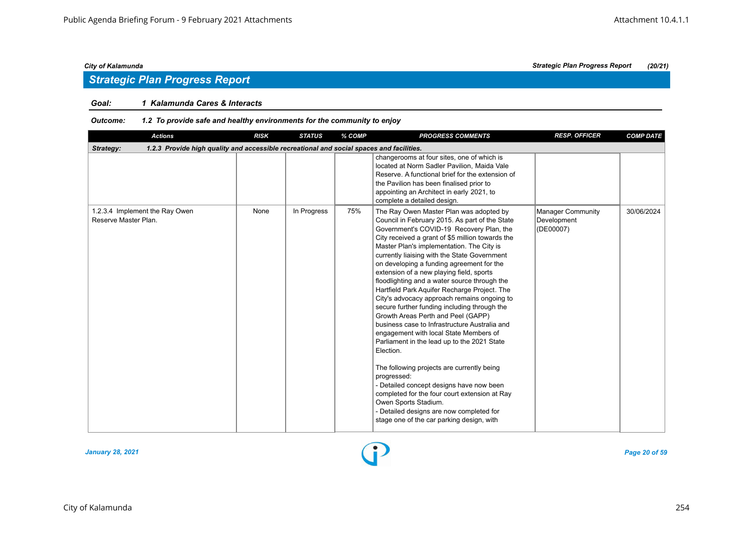### *Goal: 1 Kalamunda Cares & Interacts*

| <b>Actions</b>                                         | <b>RISK</b>                                                                              | <b>STATUS</b> | % COMP | <b>PROGRESS COMMENTS</b>                                                                                                                                                                                                                                                                                                                                                                                                                                                                                                                                                                                                                                                                                                                                                                                                                                                                                                                                                                                                                               | <b>RESP. OFFICER</b>                          | <b>COMP DATE</b> |  |  |  |  |  |
|--------------------------------------------------------|------------------------------------------------------------------------------------------|---------------|--------|--------------------------------------------------------------------------------------------------------------------------------------------------------------------------------------------------------------------------------------------------------------------------------------------------------------------------------------------------------------------------------------------------------------------------------------------------------------------------------------------------------------------------------------------------------------------------------------------------------------------------------------------------------------------------------------------------------------------------------------------------------------------------------------------------------------------------------------------------------------------------------------------------------------------------------------------------------------------------------------------------------------------------------------------------------|-----------------------------------------------|------------------|--|--|--|--|--|
| Strategy:                                              | 1.2.3 Provide high quality and accessible recreational and social spaces and facilities. |               |        |                                                                                                                                                                                                                                                                                                                                                                                                                                                                                                                                                                                                                                                                                                                                                                                                                                                                                                                                                                                                                                                        |                                               |                  |  |  |  |  |  |
|                                                        |                                                                                          |               |        | changerooms at four sites, one of which is<br>located at Norm Sadler Pavilion, Maida Vale<br>Reserve. A functional brief for the extension of<br>the Pavilion has been finalised prior to<br>appointing an Architect in early 2021, to<br>complete a detailed design.                                                                                                                                                                                                                                                                                                                                                                                                                                                                                                                                                                                                                                                                                                                                                                                  |                                               |                  |  |  |  |  |  |
| 1.2.3.4 Implement the Ray Owen<br>Reserve Master Plan. | None                                                                                     | In Progress   | 75%    | The Ray Owen Master Plan was adopted by<br>Council in February 2015. As part of the State<br>Government's COVID-19 Recovery Plan, the<br>City received a grant of \$5 million towards the<br>Master Plan's implementation. The City is<br>currently liaising with the State Government<br>on developing a funding agreement for the<br>extension of a new playing field, sports<br>floodlighting and a water source through the<br>Hartfield Park Aquifer Recharge Project. The<br>City's advocacy approach remains ongoing to<br>secure further funding including through the<br>Growth Areas Perth and Peel (GAPP)<br>business case to Infrastructure Australia and<br>engagement with local State Members of<br>Parliament in the lead up to the 2021 State<br>Election.<br>The following projects are currently being<br>progressed:<br>- Detailed concept designs have now been<br>completed for the four court extension at Ray<br>Owen Sports Stadium.<br>- Detailed designs are now completed for<br>stage one of the car parking design, with | Manager Community<br>Development<br>(DE00007) | 30/06/2024       |  |  |  |  |  |

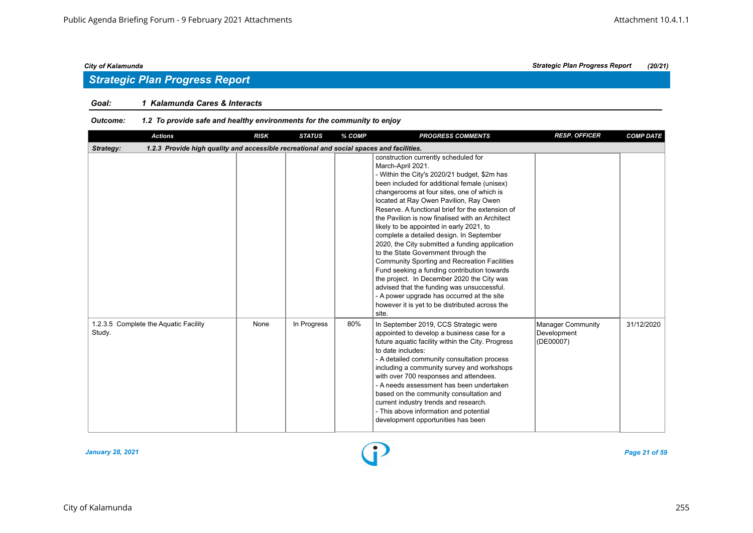## *Strategic Plan Progress Report*

#### *Goal: 1 Kalamunda Cares & Interacts*

| <b>Actions</b>                                                                                        | <b>RISK</b> | <b>STATUS</b> | % COMP | <b>PROGRESS COMMENTS</b>                                                                                                                                                                                                                                                                                                                                                                                                                                                                                                                                                                                                                                                                                                                                                                                                                             | <b>RESP. OFFICER</b>                          | <b>COMP DATE</b> |  |  |  |  |
|-------------------------------------------------------------------------------------------------------|-------------|---------------|--------|------------------------------------------------------------------------------------------------------------------------------------------------------------------------------------------------------------------------------------------------------------------------------------------------------------------------------------------------------------------------------------------------------------------------------------------------------------------------------------------------------------------------------------------------------------------------------------------------------------------------------------------------------------------------------------------------------------------------------------------------------------------------------------------------------------------------------------------------------|-----------------------------------------------|------------------|--|--|--|--|
| 1.2.3 Provide high quality and accessible recreational and social spaces and facilities.<br>Strategy: |             |               |        |                                                                                                                                                                                                                                                                                                                                                                                                                                                                                                                                                                                                                                                                                                                                                                                                                                                      |                                               |                  |  |  |  |  |
|                                                                                                       |             |               |        | construction currently scheduled for<br>March-April 2021.<br>- Within the City's 2020/21 budget, \$2m has<br>been included for additional female (unisex)<br>changerooms at four sites, one of which is<br>located at Ray Owen Pavilion, Ray Owen<br>Reserve. A functional brief for the extension of<br>the Pavilion is now finalised with an Architect<br>likely to be appointed in early 2021, to<br>complete a detailed design. In September<br>2020, the City submitted a funding application<br>to the State Government through the<br><b>Community Sporting and Recreation Facilities</b><br>Fund seeking a funding contribution towards<br>the project. In December 2020 the City was<br>advised that the funding was unsuccessful.<br>- A power upgrade has occurred at the site<br>however it is yet to be distributed across the<br>site. |                                               |                  |  |  |  |  |
| 1.2.3.5 Complete the Aquatic Facility<br>Study.                                                       | None        | In Progress   | 80%    | In September 2019, CCS Strategic were<br>appointed to develop a business case for a<br>future aquatic facility within the City. Progress<br>to date includes:<br>- A detailed community consultation process<br>including a community survey and workshops<br>with over 700 responses and attendees.<br>- A needs assessment has been undertaken<br>based on the community consultation and<br>current industry trends and research.<br>- This above information and potential<br>development opportunities has been                                                                                                                                                                                                                                                                                                                                 | Manager Community<br>Development<br>(DE00007) | 31/12/2020       |  |  |  |  |

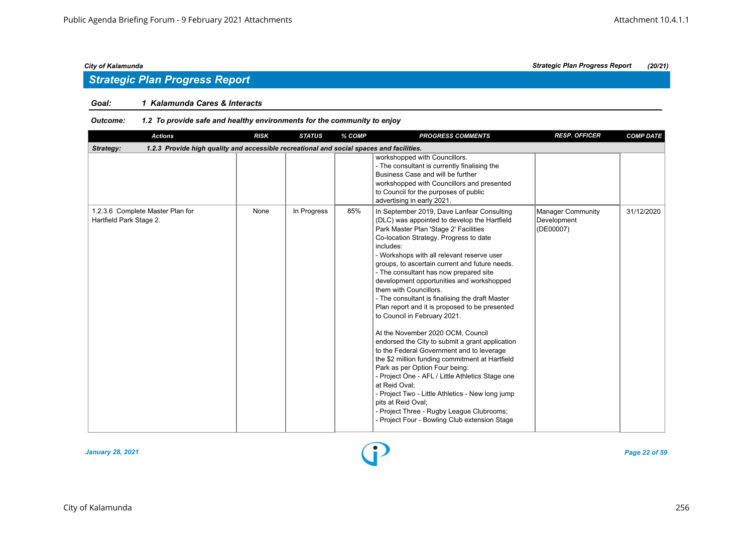### *Goal: 1 Kalamunda Cares & Interacts*

| <b>Actions</b>                                                                                        | <b>RISK</b> | <b>STATUS</b> | % COMP | <b>PROGRESS COMMENTS</b>                                                                                                                                                                                                                                                                                                                                                                                                                                                                                                                                                                                                                                                                                                                                                                                                                                                                                                                                                                                                | <b>RESP. OFFICER</b>                          | <b>COMP DATE</b> |  |  |  |  |
|-------------------------------------------------------------------------------------------------------|-------------|---------------|--------|-------------------------------------------------------------------------------------------------------------------------------------------------------------------------------------------------------------------------------------------------------------------------------------------------------------------------------------------------------------------------------------------------------------------------------------------------------------------------------------------------------------------------------------------------------------------------------------------------------------------------------------------------------------------------------------------------------------------------------------------------------------------------------------------------------------------------------------------------------------------------------------------------------------------------------------------------------------------------------------------------------------------------|-----------------------------------------------|------------------|--|--|--|--|
| 1.2.3 Provide high quality and accessible recreational and social spaces and facilities.<br>Strategy: |             |               |        |                                                                                                                                                                                                                                                                                                                                                                                                                                                                                                                                                                                                                                                                                                                                                                                                                                                                                                                                                                                                                         |                                               |                  |  |  |  |  |
|                                                                                                       |             |               |        | workshopped with Councillors.<br>- The consultant is currently finalising the<br>Business Case and will be further<br>workshopped with Councillors and presented<br>to Council for the purposes of public<br>advertising in early 2021.                                                                                                                                                                                                                                                                                                                                                                                                                                                                                                                                                                                                                                                                                                                                                                                 |                                               |                  |  |  |  |  |
| 1.2.3.6 Complete Master Plan for<br>Hartfield Park Stage 2.                                           | None        | In Progress   | 85%    | In September 2019, Dave Lanfear Consulting<br>(DLC) was appointed to develop the Hartfield<br>Park Master Plan 'Stage 2' Facilities<br>Co-location Strategy. Progress to date<br>includes:<br>- Workshops with all relevant reserve user<br>groups, to ascertain current and future needs.<br>- The consultant has now prepared site<br>development opportunities and workshopped<br>them with Councillors.<br>- The consultant is finalising the draft Master<br>Plan report and it is proposed to be presented<br>to Council in February 2021.<br>At the November 2020 OCM, Council<br>endorsed the City to submit a grant application<br>to the Federal Government and to leverage<br>the \$2 million funding commitment at Hartfield<br>Park as per Option Four being:<br>- Project One - AFL / Little Athletics Stage one<br>at Reid Oval:<br>- Project Two - Little Athletics - New long jump<br>pits at Reid Oval;<br>- Project Three - Rugby League Clubrooms;<br>- Project Four - Bowling Club extension Stage | Manager Community<br>Development<br>(DE00007) | 31/12/2020       |  |  |  |  |

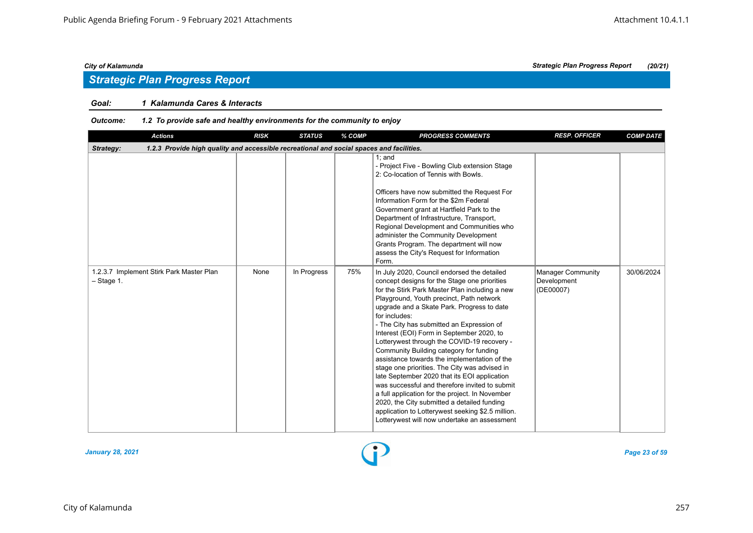## *Strategic Plan Progress Report*

### *Goal: 1 Kalamunda Cares & Interacts*

| <b>Actions</b>                                                                                        | <b>RISK</b> | <b>STATUS</b> | % COMP | <b>PROGRESS COMMENTS</b>                                                                                                                                                                                                                                                                                                                                                                                                                                                                                                                                                                                                                                                                                                                                                                                                                               | <b>RESP. OFFICER</b>                                 | <b>COMP DATE</b> |  |  |  |  |
|-------------------------------------------------------------------------------------------------------|-------------|---------------|--------|--------------------------------------------------------------------------------------------------------------------------------------------------------------------------------------------------------------------------------------------------------------------------------------------------------------------------------------------------------------------------------------------------------------------------------------------------------------------------------------------------------------------------------------------------------------------------------------------------------------------------------------------------------------------------------------------------------------------------------------------------------------------------------------------------------------------------------------------------------|------------------------------------------------------|------------------|--|--|--|--|
| 1.2.3 Provide high quality and accessible recreational and social spaces and facilities.<br>Strategy: |             |               |        |                                                                                                                                                                                                                                                                                                                                                                                                                                                                                                                                                                                                                                                                                                                                                                                                                                                        |                                                      |                  |  |  |  |  |
|                                                                                                       |             |               |        | $1:$ and<br>- Project Five - Bowling Club extension Stage<br>2: Co-location of Tennis with Bowls.<br>Officers have now submitted the Request For<br>Information Form for the \$2m Federal<br>Government grant at Hartfield Park to the<br>Department of Infrastructure, Transport,<br>Regional Development and Communities who<br>administer the Community Development<br>Grants Program. The department will now<br>assess the City's Request for Information<br>Form.                                                                                                                                                                                                                                                                                                                                                                                |                                                      |                  |  |  |  |  |
| 1.2.3.7 Implement Stirk Park Master Plan<br>$-$ Stage 1.                                              | None        | In Progress   | 75%    | In July 2020, Council endorsed the detailed<br>concept designs for the Stage one priorities<br>for the Stirk Park Master Plan including a new<br>Playground, Youth precinct, Path network<br>upgrade and a Skate Park. Progress to date<br>for includes:<br>- The City has submitted an Expression of<br>Interest (EOI) Form in September 2020, to<br>Lotterywest through the COVID-19 recovery -<br>Community Building category for funding<br>assistance towards the implementation of the<br>stage one priorities. The City was advised in<br>late September 2020 that its EOI application<br>was successful and therefore invited to submit<br>a full application for the project. In November<br>2020, the City submitted a detailed funding<br>application to Lotterywest seeking \$2.5 million.<br>Lotterywest will now undertake an assessment | <b>Manager Community</b><br>Development<br>(DE00007) | 30/06/2024       |  |  |  |  |

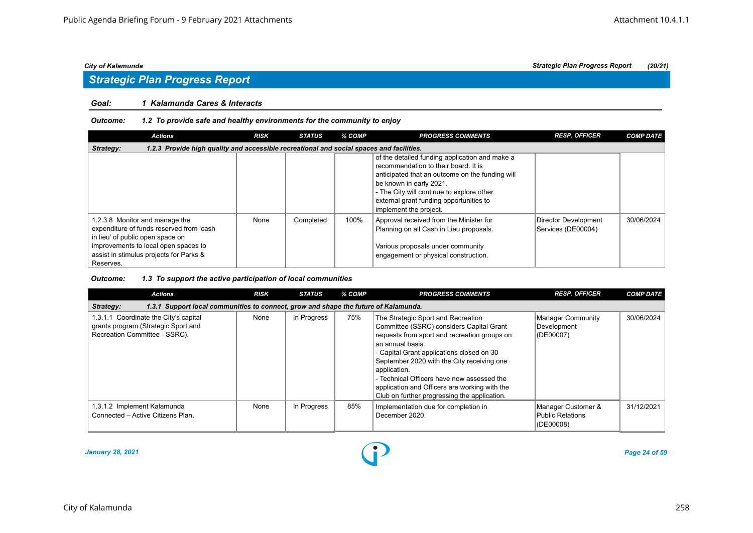## *Strategic Plan Progress Report*

#### *Goal: 1 Kalamunda Cares & Interacts*

#### *Outcome: 1.2 To provide safe and healthy environments for the community to enjoy*

| <b>Actions</b>                                                                                                                                                                                                 | <b>RISK</b> | <b>STATUS</b> | % COMP | <b>PROGRESS COMMENTS</b>                                                                                                                                                                                                                                                               | <b>RESP. OFFICER</b>                       | <b>COMP DATE</b> |  |  |  |  |
|----------------------------------------------------------------------------------------------------------------------------------------------------------------------------------------------------------------|-------------|---------------|--------|----------------------------------------------------------------------------------------------------------------------------------------------------------------------------------------------------------------------------------------------------------------------------------------|--------------------------------------------|------------------|--|--|--|--|
| 1.2.3 Provide high quality and accessible recreational and social spaces and facilities.<br>Strategy:                                                                                                          |             |               |        |                                                                                                                                                                                                                                                                                        |                                            |                  |  |  |  |  |
|                                                                                                                                                                                                                |             |               |        | of the detailed funding application and make a<br>recommendation to their board. It is<br>anticipated that an outcome on the funding will<br>be known in early 2021.<br>- The City will continue to explore other<br>external grant funding opportunities to<br>implement the project. |                                            |                  |  |  |  |  |
| 1.2.3.8 Monitor and manage the<br>expenditure of funds reserved from 'cash<br>in lieu' of public open space on<br>improvements to local open spaces to<br>assist in stimulus projects for Parks &<br>Reserves. | None        | Completed     | 100%   | Approval received from the Minister for<br>Planning on all Cash in Lieu proposals.<br>Various proposals under community<br>engagement or physical construction.                                                                                                                        | Director Development<br>Services (DE00004) | 30/06/2024       |  |  |  |  |

#### *Outcome: 1.3 To support the active participation of local communities*

| <b>Actions</b>                                                                                                | <b>RISK</b> | <b>STATUS</b> | % COMP | <b>PROGRESS COMMENTS</b>                                                                                                                                                                                                                                                                                                                                                                                     | <b>RESP. OFFICER</b>                                | <b>COMP DATE</b> |  |  |  |
|---------------------------------------------------------------------------------------------------------------|-------------|---------------|--------|--------------------------------------------------------------------------------------------------------------------------------------------------------------------------------------------------------------------------------------------------------------------------------------------------------------------------------------------------------------------------------------------------------------|-----------------------------------------------------|------------------|--|--|--|
| 1.3.1 Support local communities to connect, grow and shape the future of Kalamunda.<br>Strategy:              |             |               |        |                                                                                                                                                                                                                                                                                                                                                                                                              |                                                     |                  |  |  |  |
| 1.3.1.1 Coordinate the City's capital<br>grants program (Strategic Sport and<br>Recreation Committee - SSRC). | None        | In Progress   | 75%    | The Strategic Sport and Recreation<br>Committee (SSRC) considers Capital Grant<br>requests from sport and recreation groups on<br>an annual basis.<br>- Capital Grant applications closed on 30<br>September 2020 with the City receiving one<br>application.<br>- Technical Officers have now assessed the<br>application and Officers are working with the<br>Club on further progressing the application. | Manager Community<br>Development<br>(DE00007)       | 30/06/2024       |  |  |  |
| 1.3.1.2 Implement Kalamunda<br>Connected - Active Citizens Plan.                                              | None        | In Progress   | 85%    | Implementation due for completion in<br>December 2020.                                                                                                                                                                                                                                                                                                                                                       | Manager Customer &<br>Public Relations<br>(DE00008) | 31/12/2021       |  |  |  |

#### *January 28, 2021 Page 24 of 59*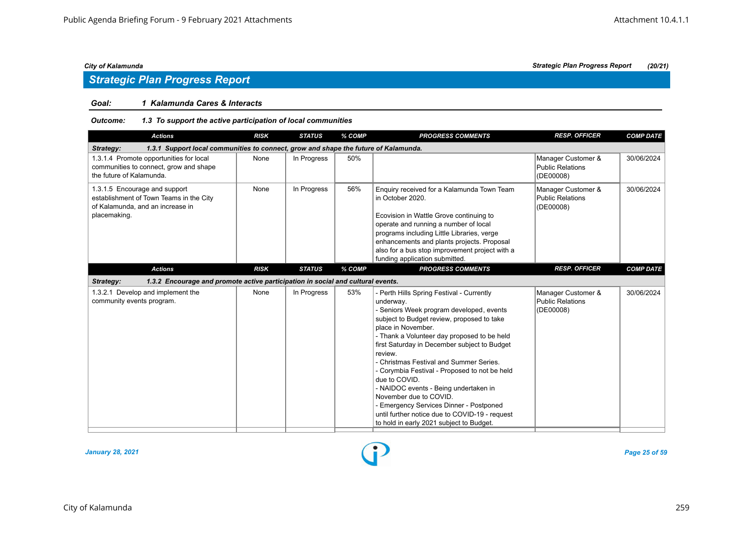## *Strategic Plan Progress Report*

#### *Goal: 1 Kalamunda Cares & Interacts*

#### *Outcome: 1.3 To support the active participation of local communities*

| <b>Actions</b>                                                                                                               | <b>RISK</b> | <b>STATUS</b> | % COMP | <b>PROGRESS COMMENTS</b>                                                                                                                                                                                                                                                                                                                                                                                                                                                                                                                                                                                  | <b>RESP. OFFICER</b>                                       | <b>COMP DATE</b> |
|------------------------------------------------------------------------------------------------------------------------------|-------------|---------------|--------|-----------------------------------------------------------------------------------------------------------------------------------------------------------------------------------------------------------------------------------------------------------------------------------------------------------------------------------------------------------------------------------------------------------------------------------------------------------------------------------------------------------------------------------------------------------------------------------------------------------|------------------------------------------------------------|------------------|
| 1.3.1 Support local communities to connect, grow and shape the future of Kalamunda.<br>Strategy:                             |             |               |        |                                                                                                                                                                                                                                                                                                                                                                                                                                                                                                                                                                                                           |                                                            |                  |
| 1.3.1.4 Promote opportunities for local<br>communities to connect, grow and shape<br>the future of Kalamunda.                | None        | In Progress   | 50%    |                                                                                                                                                                                                                                                                                                                                                                                                                                                                                                                                                                                                           | Manager Customer &<br><b>Public Relations</b><br>(DE00008) | 30/06/2024       |
| 1.3.1.5 Encourage and support<br>establishment of Town Teams in the City<br>of Kalamunda, and an increase in<br>placemaking. | None        | In Progress   | 56%    | Enquiry received for a Kalamunda Town Team<br>in October 2020.<br>Ecovision in Wattle Grove continuing to<br>operate and running a number of local<br>programs including Little Libraries, verge<br>enhancements and plants projects. Proposal<br>also for a bus stop improvement project with a<br>funding application submitted.                                                                                                                                                                                                                                                                        | Manager Customer &<br><b>Public Relations</b><br>(DE00008) | 30/06/2024       |
| <b>Actions</b>                                                                                                               | <b>RISK</b> | <b>STATUS</b> | % COMP | <b>PROGRESS COMMENTS</b>                                                                                                                                                                                                                                                                                                                                                                                                                                                                                                                                                                                  | <b>RESP. OFFICER</b>                                       | <b>COMP DATE</b> |
| 1.3.2 Encourage and promote active participation in social and cultural events.<br>Strategy:                                 |             |               |        |                                                                                                                                                                                                                                                                                                                                                                                                                                                                                                                                                                                                           |                                                            |                  |
| 1.3.2.1 Develop and implement the<br>community events program.                                                               | None        | In Progress   | 53%    | - Perth Hills Spring Festival - Currently<br>underway.<br>- Seniors Week program developed, events<br>subject to Budget review, proposed to take<br>place in November.<br>- Thank a Volunteer day proposed to be held<br>first Saturday in December subject to Budget<br>review.<br>- Christmas Festival and Summer Series.<br>- Corymbia Festival - Proposed to not be held<br>due to COVID.<br>- NAIDOC events - Being undertaken in<br>November due to COVID.<br>- Emergency Services Dinner - Postponed<br>until further notice due to COVID-19 - request<br>to hold in early 2021 subject to Budget. | Manager Customer &<br><b>Public Relations</b><br>(DE00008) | 30/06/2024       |

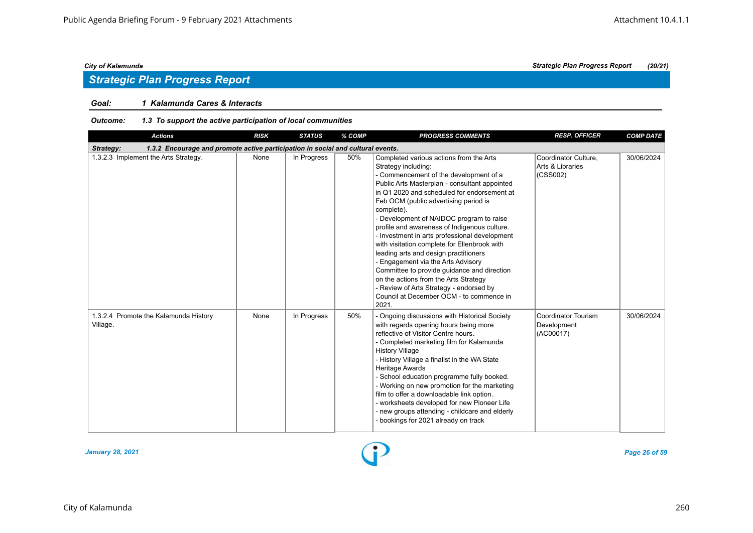### *Goal: 1 Kalamunda Cares & Interacts*

| Outcome: | 1.3 To support the active participation of local communities |
|----------|--------------------------------------------------------------|
|----------|--------------------------------------------------------------|

| <b>Actions</b>                                                                               | <b>RISK</b> | <b>STATUS</b> | % COMP | <b>PROGRESS COMMENTS</b>                                                                                                                                                                                                                                                                                                                                                                                                                                                                                                                                                                                                                                                                                                            | <b>RESP. OFFICER</b>                                 | <b>COMP DATE</b> |  |  |  |  |
|----------------------------------------------------------------------------------------------|-------------|---------------|--------|-------------------------------------------------------------------------------------------------------------------------------------------------------------------------------------------------------------------------------------------------------------------------------------------------------------------------------------------------------------------------------------------------------------------------------------------------------------------------------------------------------------------------------------------------------------------------------------------------------------------------------------------------------------------------------------------------------------------------------------|------------------------------------------------------|------------------|--|--|--|--|
| 1.3.2 Encourage and promote active participation in social and cultural events.<br>Strategy: |             |               |        |                                                                                                                                                                                                                                                                                                                                                                                                                                                                                                                                                                                                                                                                                                                                     |                                                      |                  |  |  |  |  |
| 1.3.2.3 Implement the Arts Strategy.                                                         | None        | In Progress   | 50%    | Completed various actions from the Arts<br>Strategy including:<br>- Commencement of the development of a<br>Public Arts Masterplan - consultant appointed<br>in Q1 2020 and scheduled for endorsement at<br>Feb OCM (public advertising period is<br>complete).<br>- Development of NAIDOC program to raise<br>profile and awareness of Indigenous culture.<br>- Investment in arts professional development<br>with visitation complete for Ellenbrook with<br>leading arts and design practitioners<br>- Engagement via the Arts Advisory<br>Committee to provide guidance and direction<br>on the actions from the Arts Strategy<br>- Review of Arts Strategy - endorsed by<br>Council at December OCM - to commence in<br>2021. | Coordinator Culture.<br>Arts & Libraries<br>(CSS002) | 30/06/2024       |  |  |  |  |
| 1.3.2.4 Promote the Kalamunda History<br>Village.                                            | None        | In Progress   | 50%    | - Ongoing discussions with Historical Society<br>with regards opening hours being more<br>reflective of Visitor Centre hours.<br>- Completed marketing film for Kalamunda<br><b>History Village</b><br>- History Village a finalist in the WA State<br>Heritage Awards<br>- School education programme fully booked.<br>- Working on new promotion for the marketing<br>film to offer a downloadable link option.<br>- worksheets developed for new Pioneer Life<br>- new groups attending - childcare and elderly<br>- bookings for 2021 already on track                                                                                                                                                                          | Coordinator Tourism<br>Development<br>(AC00017)      | 30/06/2024       |  |  |  |  |

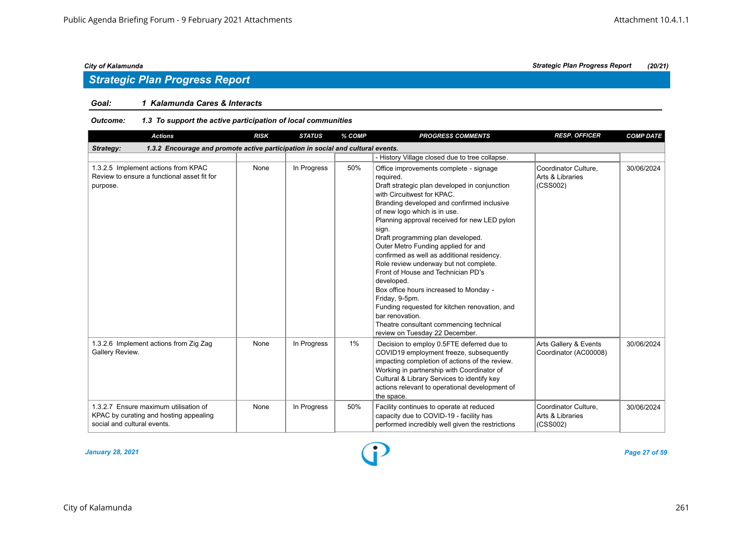### *Goal: 1 Kalamunda Cares & Interacts*

#### *Outcome: 1.3 To support the active participation of local communities*

| <b>Actions</b>                                                                                                 | <b>RISK</b> | <b>STATUS</b> | % COMP | <b>PROGRESS COMMENTS</b>                                                                                                                                                                                                                                                                                                                                                                                                                                                                                                                                                                                                                                                                                       | <b>RESP. OFFICER</b>                                 | <b>COMP DATE</b> |
|----------------------------------------------------------------------------------------------------------------|-------------|---------------|--------|----------------------------------------------------------------------------------------------------------------------------------------------------------------------------------------------------------------------------------------------------------------------------------------------------------------------------------------------------------------------------------------------------------------------------------------------------------------------------------------------------------------------------------------------------------------------------------------------------------------------------------------------------------------------------------------------------------------|------------------------------------------------------|------------------|
| 1.3.2 Encourage and promote active participation in social and cultural events.<br>Strategy:                   |             |               |        |                                                                                                                                                                                                                                                                                                                                                                                                                                                                                                                                                                                                                                                                                                                |                                                      |                  |
|                                                                                                                |             |               |        | - History Village closed due to tree collapse.                                                                                                                                                                                                                                                                                                                                                                                                                                                                                                                                                                                                                                                                 |                                                      |                  |
| 1.3.2.5 Implement actions from KPAC<br>Review to ensure a functional asset fit for<br>purpose.                 | None        | In Progress   | 50%    | Office improvements complete - signage<br>required.<br>Draft strategic plan developed in conjunction<br>with Circuitwest for KPAC.<br>Branding developed and confirmed inclusive<br>of new logo which is in use.<br>Planning approval received for new LED pylon<br>sign.<br>Draft programming plan developed.<br>Outer Metro Funding applied for and<br>confirmed as well as additional residency.<br>Role review underway but not complete.<br>Front of House and Technician PD's<br>developed.<br>Box office hours increased to Monday -<br>Friday, 9-5pm.<br>Funding requested for kitchen renovation, and<br>bar renovation.<br>Theatre consultant commencing technical<br>review on Tuesday 22 December. | Coordinator Culture.<br>Arts & Libraries<br>(CSS002) | 30/06/2024       |
| 1.3.2.6 Implement actions from Zig Zag<br>Gallery Review.                                                      | None        | In Progress   | 1%     | Decision to employ 0.5FTE deferred due to<br>COVID19 employment freeze, subsequently<br>impacting completion of actions of the review.<br>Working in partnership with Coordinator of<br>Cultural & Library Services to identify key<br>actions relevant to operational development of<br>the space.                                                                                                                                                                                                                                                                                                                                                                                                            | Arts Gallery & Events<br>Coordinator (AC00008)       | 30/06/2024       |
| 1.3.2.7 Ensure maximum utilisation of<br>KPAC by curating and hosting appealing<br>social and cultural events. | None        | In Progress   | 50%    | Facility continues to operate at reduced<br>capacity due to COVID-19 - facility has<br>performed incredibly well given the restrictions                                                                                                                                                                                                                                                                                                                                                                                                                                                                                                                                                                        | Coordinator Culture.<br>Arts & Libraries<br>(CSS002) | 30/06/2024       |

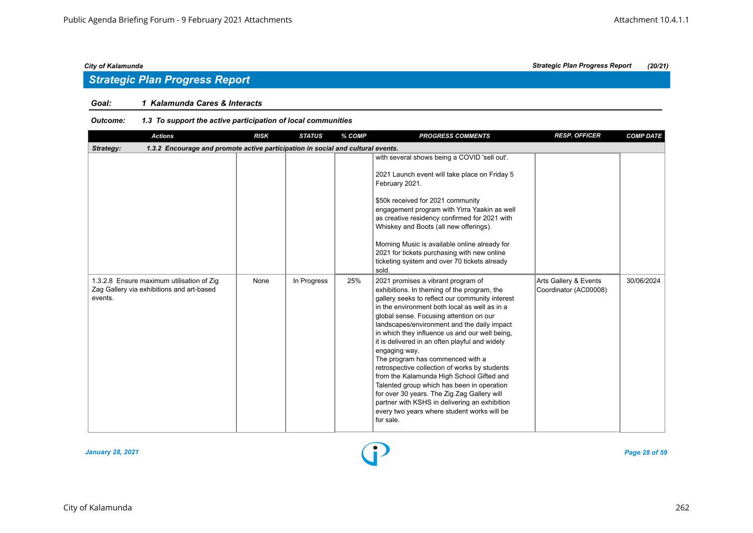### *Goal: 1 Kalamunda Cares & Interacts*

#### *Outcome: 1.3 To support the active participation of local communities*

| <b>Actions</b>                                                                                    | <b>RISK</b> | <b>STATUS</b> | % COMP | <b>PROGRESS COMMENTS</b>                                                                                                                                                                                                                                                                                                                                                                                                                                                                                                                                                                                                                                                                                                                         | <b>RESP. OFFICER</b>                           | <b>COMP DATE</b> |
|---------------------------------------------------------------------------------------------------|-------------|---------------|--------|--------------------------------------------------------------------------------------------------------------------------------------------------------------------------------------------------------------------------------------------------------------------------------------------------------------------------------------------------------------------------------------------------------------------------------------------------------------------------------------------------------------------------------------------------------------------------------------------------------------------------------------------------------------------------------------------------------------------------------------------------|------------------------------------------------|------------------|
| 1.3.2 Encourage and promote active participation in social and cultural events.<br>Strategy:      |             |               |        |                                                                                                                                                                                                                                                                                                                                                                                                                                                                                                                                                                                                                                                                                                                                                  |                                                |                  |
|                                                                                                   |             |               |        | with several shows being a COVID 'sell out'.<br>2021 Launch event will take place on Friday 5<br>February 2021.<br>\$50k received for 2021 community<br>engagement program with Yirra Yaakin as well<br>as creative residency confirmed for 2021 with<br>Whiskey and Boots (all new offerings).<br>Morning Music is available online already for<br>2021 for tickets purchasing with new online<br>ticketing system and over 70 tickets already<br>sold.                                                                                                                                                                                                                                                                                         |                                                |                  |
| 1.3.2.8 Ensure maximum utilisation of Zig<br>Zag Gallery via exhibitions and art-based<br>events. | None        | In Progress   | 25%    | 2021 promises a vibrant program of<br>exhibitions. In theming of the program, the<br>gallery seeks to reflect our community interest<br>in the environment both local as well as in a<br>global sense. Focusing attention on our<br>landscapes/environment and the daily impact<br>in which they influence us and our well being,<br>it is delivered in an often playful and widely<br>engaging way.<br>The program has commenced with a<br>retrospective collection of works by students<br>from the Kalamunda High School Gifted and<br>Talented group which has been in operation<br>for over 30 years. The Zig Zag Gallery will<br>partner with KSHS in delivering an exhibition<br>every two years where student works will be<br>for sale. | Arts Gallery & Events<br>Coordinator (AC00008) | 30/06/2024       |



*City of Kalamunda Strategic Plan Progress Report (20/21)*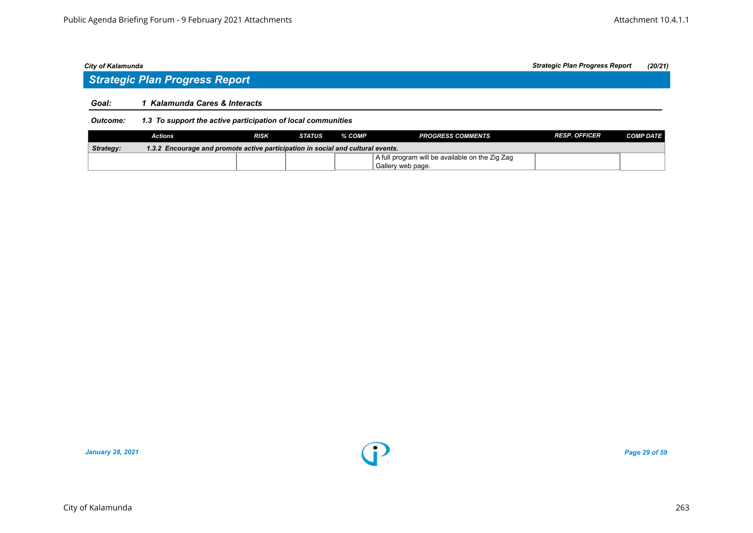## *Strategic Plan Progress Report*

#### *Goal: 1 Kalamunda Cares & Interacts*

#### *Outcome: 1.3 To support the active participation of local communities*

|           | Actions                                                                         | RISK | STATUS | % COMP | <b>PROGRESS COMMENTS</b>                        | <b>RESP. OFFICER</b> | <b>COMP DATE</b> |  |  |
|-----------|---------------------------------------------------------------------------------|------|--------|--------|-------------------------------------------------|----------------------|------------------|--|--|
| Strategy: | 1.3.2 Encourage and promote active participation in social and cultural events. |      |        |        |                                                 |                      |                  |  |  |
|           |                                                                                 |      |        |        | A full program will be available on the Zig Zag |                      |                  |  |  |
|           |                                                                                 |      |        |        | Gallery web page.                               |                      |                  |  |  |

*January 28, 2021 Page 29 of 59*

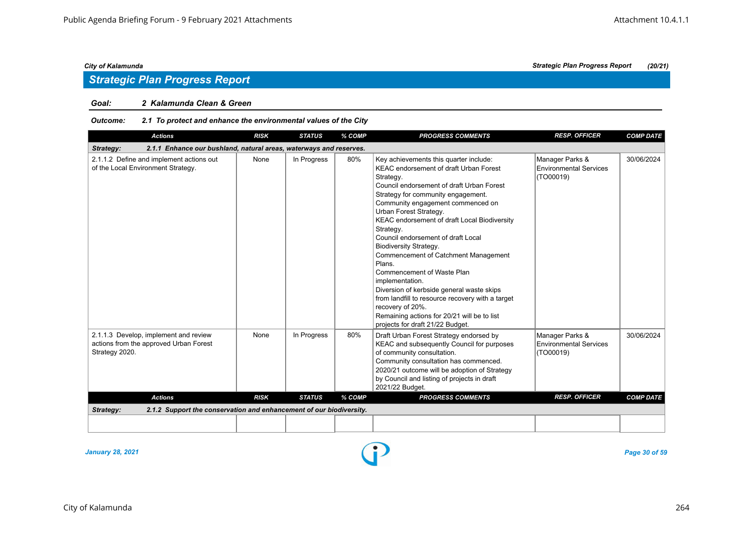#### *Goal: 2 Kalamunda Clean & Green*

#### *Outcome: 2.1 To protect and enhance the environmental values of the City*

| <b>Actions</b>                                                                                    | <b>RISK</b> | <b>STATUS</b> | % COMP | <b>PROGRESS COMMENTS</b>                                                                                                                                                                                                                                                                                                                                                                                                                                                                                                                                                                                                                                                                              | <b>RESP. OFFICER</b>                                   | <b>COMP DATE</b> |
|---------------------------------------------------------------------------------------------------|-------------|---------------|--------|-------------------------------------------------------------------------------------------------------------------------------------------------------------------------------------------------------------------------------------------------------------------------------------------------------------------------------------------------------------------------------------------------------------------------------------------------------------------------------------------------------------------------------------------------------------------------------------------------------------------------------------------------------------------------------------------------------|--------------------------------------------------------|------------------|
| Strategy:<br>2.1.1 Enhance our bushland, natural areas, waterways and reserves.                   |             |               |        |                                                                                                                                                                                                                                                                                                                                                                                                                                                                                                                                                                                                                                                                                                       |                                                        |                  |
| 2.1.1.2 Define and implement actions out<br>of the Local Environment Strategy.                    | None        | In Progress   | 80%    | Key achievements this quarter include:<br><b>KEAC endorsement of draft Urban Forest</b><br>Strategy.<br>Council endorsement of draft Urban Forest<br>Strategy for community engagement.<br>Community engagement commenced on<br>Urban Forest Strategy.<br>KEAC endorsement of draft Local Biodiversity<br>Strategy.<br>Council endorsement of draft Local<br><b>Biodiversity Strategy.</b><br>Commencement of Catchment Management<br>Plans.<br>Commencement of Waste Plan<br>implementation.<br>Diversion of kerbside general waste skips<br>from landfill to resource recovery with a target<br>recovery of 20%.<br>Remaining actions for 20/21 will be to list<br>projects for draft 21/22 Budget. | Manager Parks &<br>Environmental Services<br>(TO00019) | 30/06/2024       |
| 2.1.1.3 Develop, implement and review<br>actions from the approved Urban Forest<br>Strategy 2020. | None        | In Progress   | 80%    | Draft Urban Forest Strategy endorsed by<br>KEAC and subsequently Council for purposes<br>of community consultation.<br>Community consultation has commenced.<br>2020/21 outcome will be adoption of Strategy<br>by Council and listing of projects in draft<br>2021/22 Budget.                                                                                                                                                                                                                                                                                                                                                                                                                        | Manager Parks &<br>Environmental Services<br>(TO00019) | 30/06/2024       |
| <b>Actions</b>                                                                                    | <b>RISK</b> | <b>STATUS</b> | % COMP | <b>PROGRESS COMMENTS</b>                                                                                                                                                                                                                                                                                                                                                                                                                                                                                                                                                                                                                                                                              | <b>RESP. OFFICER</b>                                   | <b>COMP DATE</b> |
| 2.1.2 Support the conservation and enhancement of our biodiversity.<br>Strategy:                  |             |               |        |                                                                                                                                                                                                                                                                                                                                                                                                                                                                                                                                                                                                                                                                                                       |                                                        |                  |
|                                                                                                   |             |               |        |                                                                                                                                                                                                                                                                                                                                                                                                                                                                                                                                                                                                                                                                                                       |                                                        |                  |

*January 28, 2021 Page 30 of 59*

City of Kalamunda 264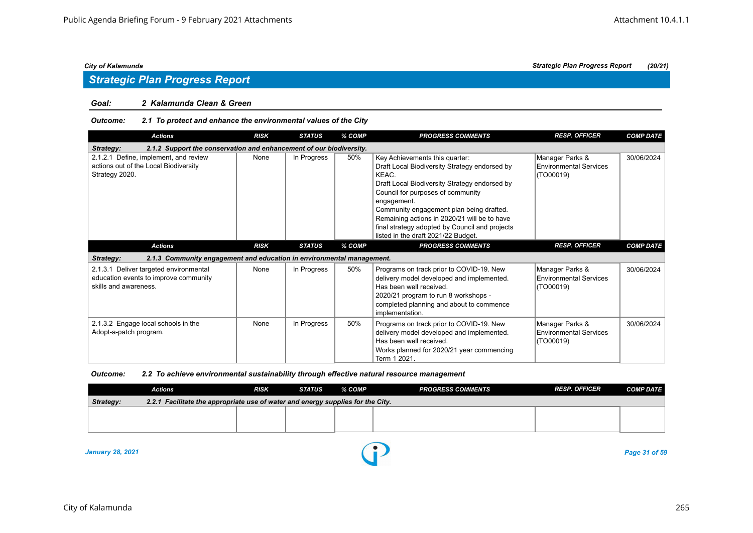## *Strategic Plan Progress Report*

#### *Goal: 2 Kalamunda Clean & Green*

#### *Outcome: 2.1 To protect and enhance the environmental values of the City*

| <b>Actions</b>                                                                                           | <b>RISK</b>                                                         | <b>STATUS</b> | % COMP | <b>PROGRESS COMMENTS</b>                                                                                                                                                                                                                                                                                                                                                           | <b>RESP. OFFICER</b>                                          | <b>COMP DATE</b> |  |  |  |  |
|----------------------------------------------------------------------------------------------------------|---------------------------------------------------------------------|---------------|--------|------------------------------------------------------------------------------------------------------------------------------------------------------------------------------------------------------------------------------------------------------------------------------------------------------------------------------------------------------------------------------------|---------------------------------------------------------------|------------------|--|--|--|--|
| Strategy:                                                                                                | 2.1.2 Support the conservation and enhancement of our biodiversity. |               |        |                                                                                                                                                                                                                                                                                                                                                                                    |                                                               |                  |  |  |  |  |
| 2.1.2.1 Define, implement, and review<br>actions out of the Local Biodiversity<br>Strategy 2020.         | None                                                                | In Progress   | 50%    | Key Achievements this quarter:<br>Draft Local Biodiversity Strategy endorsed by<br>KEAC.<br>Draft Local Biodiversity Strategy endorsed by<br>Council for purposes of community<br>engagement.<br>Community engagement plan being drafted.<br>Remaining actions in 2020/21 will be to have<br>final strategy adopted by Council and projects<br>listed in the draft 2021/22 Budget. | Manager Parks &<br><b>Environmental Services</b><br>(TO00019) | 30/06/2024       |  |  |  |  |
| <b>Actions</b>                                                                                           | <b>RISK</b>                                                         | <b>STATUS</b> | % COMP | <b>PROGRESS COMMENTS</b>                                                                                                                                                                                                                                                                                                                                                           | <b>RESP. OFFICER</b>                                          | <b>COMP DATE</b> |  |  |  |  |
| 2.1.3 Community engagement and education in environmental management.<br>Strategy:                       |                                                                     |               |        |                                                                                                                                                                                                                                                                                                                                                                                    |                                                               |                  |  |  |  |  |
| 2.1.3.1 Deliver targeted environmental<br>education events to improve community<br>skills and awareness. | None                                                                | In Progress   | 50%    | Programs on track prior to COVID-19. New<br>delivery model developed and implemented.<br>Has been well received.<br>2020/21 program to run 8 workshops -<br>completed planning and about to commence<br>implementation.                                                                                                                                                            | Manager Parks &<br><b>Environmental Services</b><br>(TO00019) | 30/06/2024       |  |  |  |  |
| 2.1.3.2 Engage local schools in the<br>Adopt-a-patch program.                                            | None                                                                | In Progress   | 50%    | Programs on track prior to COVID-19. New<br>delivery model developed and implemented.<br>Has been well received.<br>Works planned for 2020/21 year commencing<br>Term 1 2021.                                                                                                                                                                                                      | Manager Parks &<br><b>Environmental Services</b><br>(TO00019) | 30/06/2024       |  |  |  |  |

#### *Outcome: 2.2 To achieve environmental sustainability through effective natural resource management*

|                                                                                              | <b>Actions</b> | <b>RISK</b> | <b>STATUS</b> | % COMP | <b>PROGRESS COMMENTS</b> | <b>RESP. OFFICER</b> | <b>COMP DATE</b> |  |  |
|----------------------------------------------------------------------------------------------|----------------|-------------|---------------|--------|--------------------------|----------------------|------------------|--|--|
| 2.2.1 Facilitate the appropriate use of water and energy supplies for the City.<br>Strategy: |                |             |               |        |                          |                      |                  |  |  |
|                                                                                              |                |             |               |        |                          |                      |                  |  |  |
|                                                                                              |                |             |               |        |                          |                      |                  |  |  |
|                                                                                              |                |             |               |        |                          |                      |                  |  |  |

*January 28, 2021 Page 31 of 59*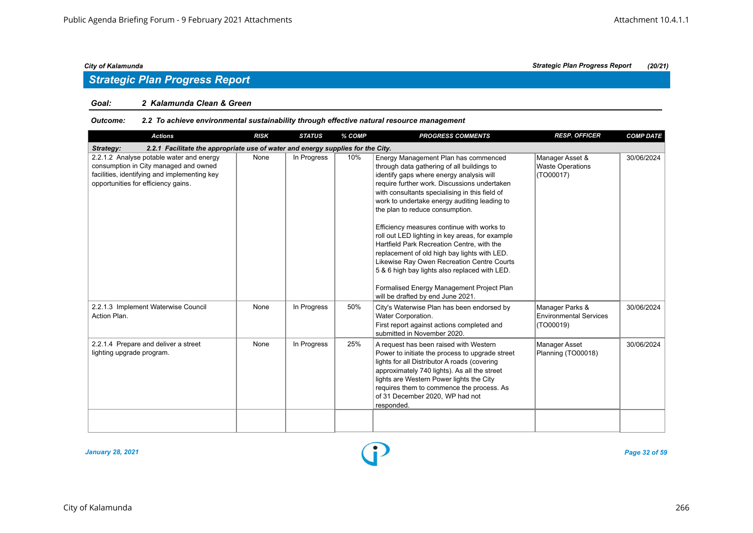## *Strategic Plan Progress Report*

#### *Goal: 2 Kalamunda Clean & Green*

#### *Outcome: 2.2 To achieve environmental sustainability through effective natural resource management*

| <b>Actions</b>                                                                                                                                                           | <b>RISK</b> | <b>STATUS</b> | % COMP | <b>PROGRESS COMMENTS</b>                                                                                                                                                                                                                                                                                                                                                                                                                                                                                                                                                                                                                                                                            | <b>RESP. OFFICER</b>                                          | <b>COMP DATE</b> |
|--------------------------------------------------------------------------------------------------------------------------------------------------------------------------|-------------|---------------|--------|-----------------------------------------------------------------------------------------------------------------------------------------------------------------------------------------------------------------------------------------------------------------------------------------------------------------------------------------------------------------------------------------------------------------------------------------------------------------------------------------------------------------------------------------------------------------------------------------------------------------------------------------------------------------------------------------------------|---------------------------------------------------------------|------------------|
| 2.2.1 Facilitate the appropriate use of water and energy supplies for the City.<br>Strategy:                                                                             |             |               |        |                                                                                                                                                                                                                                                                                                                                                                                                                                                                                                                                                                                                                                                                                                     |                                                               |                  |
| 2.2.1.2 Analyse potable water and energy<br>consumption in City managed and owned<br>facilities, identifying and implementing key<br>opportunities for efficiency gains. | None        | In Progress   | 10%    | Energy Management Plan has commenced<br>through data gathering of all buildings to<br>identify gaps where energy analysis will<br>require further work. Discussions undertaken<br>with consultants specialising in this field of<br>work to undertake energy auditing leading to<br>the plan to reduce consumption.<br>Efficiency measures continue with works to<br>roll out LED lighting in key areas, for example<br>Hartfield Park Recreation Centre, with the<br>replacement of old high bay lights with LED.<br>Likewise Ray Owen Recreation Centre Courts<br>5 & 6 high bay lights also replaced with LED.<br>Formalised Energy Management Project Plan<br>will be drafted by end June 2021. | Manager Asset &<br><b>Waste Operations</b><br>(TO00017)       | 30/06/2024       |
| 2.2.1.3 Implement Waterwise Council<br>Action Plan.                                                                                                                      | None        | In Progress   | 50%    | City's Waterwise Plan has been endorsed by<br>Water Corporation.<br>First report against actions completed and<br>submitted in November 2020.                                                                                                                                                                                                                                                                                                                                                                                                                                                                                                                                                       | Manager Parks &<br><b>Environmental Services</b><br>(TO00019) | 30/06/2024       |
| 2.2.1.4 Prepare and deliver a street<br>lighting upgrade program.                                                                                                        | None        | In Progress   | 25%    | A request has been raised with Western<br>Power to initiate the process to upgrade street<br>lights for all Distributor A roads (covering<br>approximately 740 lights). As all the street<br>lights are Western Power lights the City<br>requires them to commence the process. As<br>of 31 December 2020, WP had not<br>responded.                                                                                                                                                                                                                                                                                                                                                                 | <b>Manager Asset</b><br>Planning (TO00018)                    | 30/06/2024       |
|                                                                                                                                                                          |             |               |        |                                                                                                                                                                                                                                                                                                                                                                                                                                                                                                                                                                                                                                                                                                     |                                                               |                  |

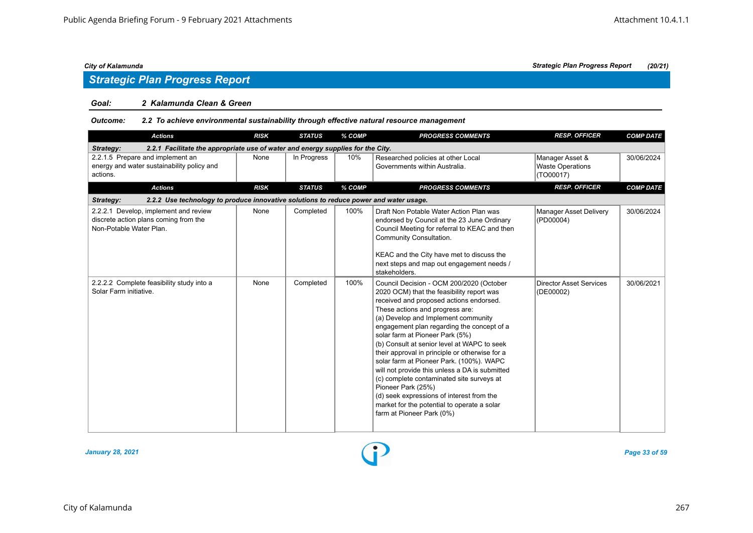## *Strategic Plan Progress Report*

#### *Goal: 2 Kalamunda Clean & Green*

#### *Outcome: 2.2 To achieve environmental sustainability through effective natural resource management*

| <b>Actions</b>                                                                                            | <b>RISK</b> | <b>STATUS</b> | % COMP | <b>PROGRESS COMMENTS</b>                                                                                                                                                                                                                                                                                                                                                                                                                                                                                                                                                                                                                                                               | <b>RESP. OFFICER</b>                                    | <b>COMP DATE</b> |
|-----------------------------------------------------------------------------------------------------------|-------------|---------------|--------|----------------------------------------------------------------------------------------------------------------------------------------------------------------------------------------------------------------------------------------------------------------------------------------------------------------------------------------------------------------------------------------------------------------------------------------------------------------------------------------------------------------------------------------------------------------------------------------------------------------------------------------------------------------------------------------|---------------------------------------------------------|------------------|
| 2.2.1 Facilitate the appropriate use of water and energy supplies for the City.<br>Strategy:              |             |               |        |                                                                                                                                                                                                                                                                                                                                                                                                                                                                                                                                                                                                                                                                                        |                                                         |                  |
| 2.2.1.5 Prepare and implement an<br>energy and water sustainability policy and<br>actions.                | None        | In Progress   | 10%    | Researched policies at other Local<br>Governments within Australia.                                                                                                                                                                                                                                                                                                                                                                                                                                                                                                                                                                                                                    | Manager Asset &<br><b>Waste Operations</b><br>(TO00017) | 30/06/2024       |
| <b>Actions</b>                                                                                            | <b>RISK</b> | <b>STATUS</b> | % COMP | <b>PROGRESS COMMENTS</b>                                                                                                                                                                                                                                                                                                                                                                                                                                                                                                                                                                                                                                                               | <b>RESP. OFFICER</b>                                    | <b>COMP DATE</b> |
| 2.2.2 Use technology to produce innovative solutions to reduce power and water usage.<br>Strategy:        |             |               |        |                                                                                                                                                                                                                                                                                                                                                                                                                                                                                                                                                                                                                                                                                        |                                                         |                  |
| 2.2.2.1 Develop, implement and review<br>discrete action plans coming from the<br>Non-Potable Water Plan. | None        | Completed     | 100%   | Draft Non Potable Water Action Plan was<br>endorsed by Council at the 23 June Ordinary<br>Council Meeting for referral to KEAC and then<br>Community Consultation.<br>KEAC and the City have met to discuss the<br>next steps and map out engagement needs /<br>stakeholders.                                                                                                                                                                                                                                                                                                                                                                                                          | <b>Manager Asset Delivery</b><br>(PD00004)              | 30/06/2024       |
| 2.2.2.2 Complete feasibility study into a<br>Solar Farm initiative.                                       | None        | Completed     | 100%   | Council Decision - OCM 200/2020 (October<br>2020 OCM) that the feasibility report was<br>received and proposed actions endorsed.<br>These actions and progress are:<br>(a) Develop and Implement community<br>engagement plan regarding the concept of a<br>solar farm at Pioneer Park (5%)<br>(b) Consult at senior level at WAPC to seek<br>their approval in principle or otherwise for a<br>solar farm at Pioneer Park. (100%). WAPC<br>will not provide this unless a DA is submitted<br>(c) complete contaminated site surveys at<br>Pioneer Park (25%)<br>(d) seek expressions of interest from the<br>market for the potential to operate a solar<br>farm at Pioneer Park (0%) | <b>Director Asset Services</b><br>(DE00002)             | 30/06/2021       |

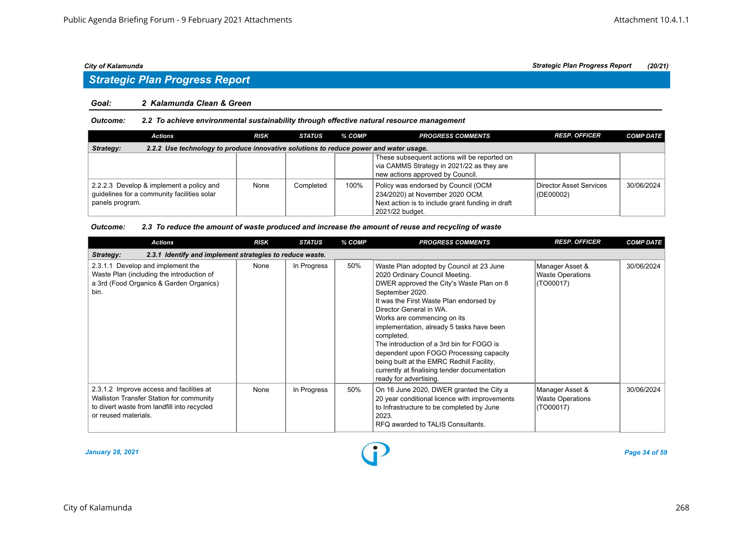# *Strategic Plan Progress Report*

#### *Goal: 2 Kalamunda Clean & Green*

#### *Outcome: 2.2 To achieve environmental sustainability through effective natural resource management*

| <b>Actions</b>                                                                                             | <b>RISK</b> | <b>STATUS</b> | % COMP | <b>PROGRESS COMMENTS</b>                                                                                                                      | <b>RESP. OFFICER</b>                     | <b>COMP DATE</b> |  |  |
|------------------------------------------------------------------------------------------------------------|-------------|---------------|--------|-----------------------------------------------------------------------------------------------------------------------------------------------|------------------------------------------|------------------|--|--|
| 2.2.2 Use technology to produce innovative solutions to reduce power and water usage.<br>Strategy:         |             |               |        |                                                                                                                                               |                                          |                  |  |  |
|                                                                                                            |             |               |        | These subsequent actions will be reported on<br>via CAMMS Strategy in 2021/22 as they are<br>new actions approved by Council.                 |                                          |                  |  |  |
| 2.2.2.3 Develop & implement a policy and<br>guidelines for a community facilities solar<br>panels program. | None        | Completed     | 100%   | Policy was endorsed by Council (OCM<br>234/2020) at November 2020 OCM.<br>Next action is to include grant funding in draft<br>2021/22 budget. | Director Asset Services<br>$ $ (DE00002) | 30/06/2024       |  |  |

#### *Outcome: 2.3 To reduce the amount of waste produced and increase the amount of reuse and recycling of waste*

| <b>Actions</b>                                                                                                                                              | <b>RISK</b> | <b>STATUS</b> | % COMP | <b>PROGRESS COMMENTS</b>                                                                                                                                                                                                                                                                                                                                                                                                                                                                                                 | <b>RESP. OFFICER</b>                                    | <b>COMP DATE</b> |
|-------------------------------------------------------------------------------------------------------------------------------------------------------------|-------------|---------------|--------|--------------------------------------------------------------------------------------------------------------------------------------------------------------------------------------------------------------------------------------------------------------------------------------------------------------------------------------------------------------------------------------------------------------------------------------------------------------------------------------------------------------------------|---------------------------------------------------------|------------------|
| 2.3.1 Identify and implement strategies to reduce waste.<br><b>Strategy:</b>                                                                                |             |               |        |                                                                                                                                                                                                                                                                                                                                                                                                                                                                                                                          |                                                         |                  |
| 2.3.1.1 Develop and implement the<br>Waste Plan (including the introduction of<br>a 3rd (Food Organics & Garden Organics)<br>bin.                           | None        | In Progress   | 50%    | Waste Plan adopted by Council at 23 June<br>2020 Ordinary Council Meeting.<br>DWER approved the City's Waste Plan on 8<br>September 2020.<br>It was the First Waste Plan endorsed by<br>Director General in WA.<br>Works are commencing on its<br>implementation, already 5 tasks have been<br>completed.<br>The introduction of a 3rd bin for FOGO is<br>dependent upon FOGO Processing capacity<br>being built at the EMRC Redhill Facility,<br>currently at finalising tender documentation<br>ready for advertising. | Manager Asset &<br><b>Waste Operations</b><br>(TO00017) | 30/06/2024       |
| 2.3.1.2 Improve access and facilities at<br>Walliston Transfer Station for community<br>to divert waste from landfill into recycled<br>or reused materials. | None        | In Progress   | 50%    | On 16 June 2020, DWER granted the City a<br>20 year conditional licence with improvements<br>to Infrastructure to be completed by June<br>2023.<br>RFQ awarded to TALIS Consultants.                                                                                                                                                                                                                                                                                                                                     | Manager Asset &<br><b>Waste Operations</b><br>(TO00017) | 30/06/2024       |

*January 28, 2021 Page 34 of 59*

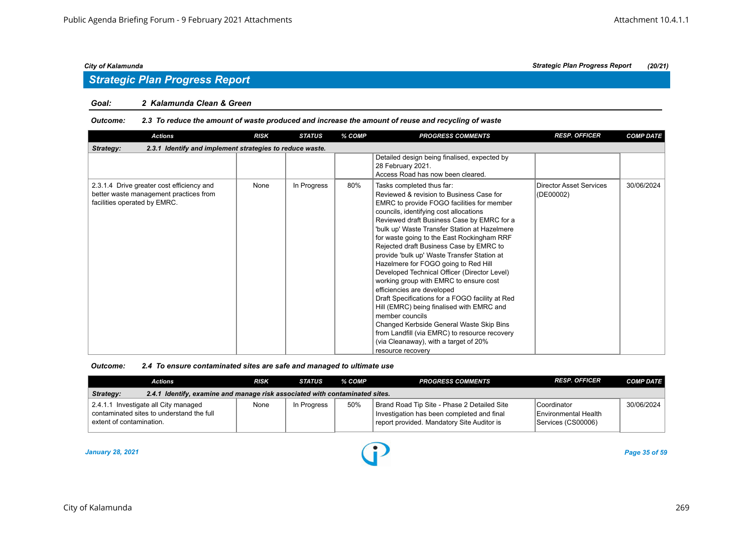## *Strategic Plan Progress Report*

#### *Goal: 2 Kalamunda Clean & Green*

#### *Outcome: 2.3 To reduce the amount of waste produced and increase the amount of reuse and recycling of waste*

| <b>Actions</b>                                                                                                      | <b>RISK</b> | <b>STATUS</b> | % COMP | <b>PROGRESS COMMENTS</b>                                                                                                                                                                                                                                                                                                                                                                                                                                                                                                                                                                                                                                                                                                                                                                                                                           | <b>RESP. OFFICER</b>                        | <b>COMP DATE</b> |
|---------------------------------------------------------------------------------------------------------------------|-------------|---------------|--------|----------------------------------------------------------------------------------------------------------------------------------------------------------------------------------------------------------------------------------------------------------------------------------------------------------------------------------------------------------------------------------------------------------------------------------------------------------------------------------------------------------------------------------------------------------------------------------------------------------------------------------------------------------------------------------------------------------------------------------------------------------------------------------------------------------------------------------------------------|---------------------------------------------|------------------|
| 2.3.1 Identify and implement strategies to reduce waste.<br>Strategy:                                               |             |               |        |                                                                                                                                                                                                                                                                                                                                                                                                                                                                                                                                                                                                                                                                                                                                                                                                                                                    |                                             |                  |
|                                                                                                                     |             |               |        | Detailed design being finalised, expected by<br>28 February 2021.<br>Access Road has now been cleared.                                                                                                                                                                                                                                                                                                                                                                                                                                                                                                                                                                                                                                                                                                                                             |                                             |                  |
| 2.3.1.4 Drive greater cost efficiency and<br>better waste management practices from<br>facilities operated by EMRC. | None        | In Progress   | 80%    | Tasks completed thus far:<br>Reviewed & revision to Business Case for<br>EMRC to provide FOGO facilities for member<br>councils, identifying cost allocations<br>Reviewed draft Business Case by EMRC for a<br>'bulk up' Waste Transfer Station at Hazelmere<br>for waste going to the East Rockingham RRF<br>Rejected draft Business Case by EMRC to<br>provide 'bulk up' Waste Transfer Station at<br>Hazelmere for FOGO going to Red Hill<br>Developed Technical Officer (Director Level)<br>working group with EMRC to ensure cost<br>efficiencies are developed<br>Draft Specifications for a FOGO facility at Red<br>Hill (EMRC) being finalised with EMRC and<br>member councils<br>Changed Kerbside General Waste Skip Bins<br>from Landfill (via EMRC) to resource recovery<br>(via Cleanaway), with a target of 20%<br>resource recovery | <b>Director Asset Services</b><br>(DE00002) | 30/06/2024       |

| Outcome: | 2.4 To ensure contaminated sites are safe and managed to ultimate use |
|----------|-----------------------------------------------------------------------|
|----------|-----------------------------------------------------------------------|

| Actions                                                                                                       | <b>RISK</b> | STATUS      | % COMP | <b>PROGRESS COMMENTS</b>                                                                                                                | <b>RESP. OFFICER</b>                                                | <b>COMP DATE</b> |
|---------------------------------------------------------------------------------------------------------------|-------------|-------------|--------|-----------------------------------------------------------------------------------------------------------------------------------------|---------------------------------------------------------------------|------------------|
| 2.4.1 Identify, examine and manage risk associated with contaminated sites.<br>Strategy:                      |             |             |        |                                                                                                                                         |                                                                     |                  |
| 2.4.1.1 Investigate all City managed<br>contaminated sites to understand the full<br>extent of contamination. | None        | In Progress | 50%    | Brand Road Tip Site - Phase 2 Detailed Site<br>Investigation has been completed and final<br>report provided. Mandatory Site Auditor is | l Coordinator<br><b>IEnvironmental Health</b><br>Services (CS00006) | 30/06/2024       |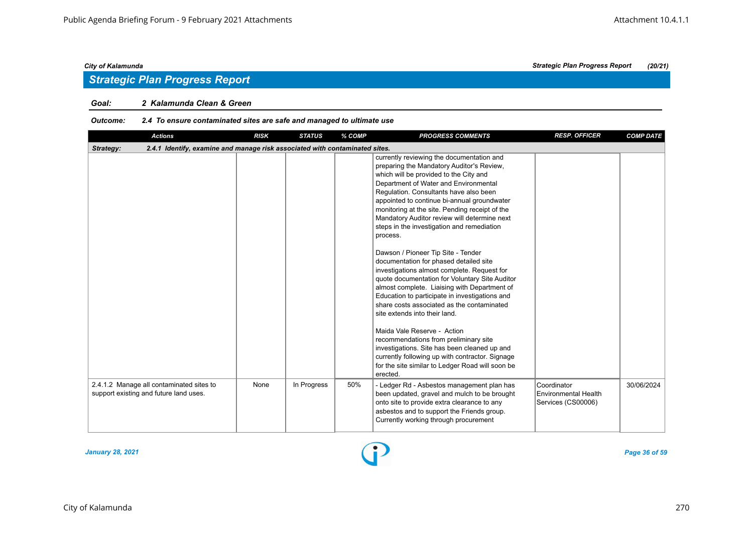## *Strategic Plan Progress Report*

#### *Goal: 2 Kalamunda Clean & Green*

## *Outcome: 2.4 To ensure contaminated sites are safe and managed to ultimate use*

| <b>Actions</b>                                                                           | <b>RISK</b> | <b>STATUS</b> | % COMP | <b>PROGRESS COMMENTS</b>                                                                                                                                                                                                                                                                                                                                                                                                                                                                                                                                                                                                                                                                                                                                                                                                                                                                                                                                                                                                                    | <b>RESP. OFFICER</b>                                      | <b>COMP DATE</b> |
|------------------------------------------------------------------------------------------|-------------|---------------|--------|---------------------------------------------------------------------------------------------------------------------------------------------------------------------------------------------------------------------------------------------------------------------------------------------------------------------------------------------------------------------------------------------------------------------------------------------------------------------------------------------------------------------------------------------------------------------------------------------------------------------------------------------------------------------------------------------------------------------------------------------------------------------------------------------------------------------------------------------------------------------------------------------------------------------------------------------------------------------------------------------------------------------------------------------|-----------------------------------------------------------|------------------|
| 2.4.1 Identify, examine and manage risk associated with contaminated sites.<br>Strategy: |             |               |        |                                                                                                                                                                                                                                                                                                                                                                                                                                                                                                                                                                                                                                                                                                                                                                                                                                                                                                                                                                                                                                             |                                                           |                  |
|                                                                                          |             |               |        | currently reviewing the documentation and<br>preparing the Mandatory Auditor's Review,<br>which will be provided to the City and<br>Department of Water and Environmental<br>Regulation. Consultants have also been<br>appointed to continue bi-annual groundwater<br>monitoring at the site. Pending receipt of the<br>Mandatory Auditor review will determine next<br>steps in the investigation and remediation<br>process.<br>Dawson / Pioneer Tip Site - Tender<br>documentation for phased detailed site<br>investigations almost complete. Request for<br>quote documentation for Voluntary Site Auditor<br>almost complete. Liaising with Department of<br>Education to participate in investigations and<br>share costs associated as the contaminated<br>site extends into their land.<br>Maida Vale Reserve - Action<br>recommendations from preliminary site<br>investigations. Site has been cleaned up and<br>currently following up with contractor. Signage<br>for the site similar to Ledger Road will soon be<br>erected. |                                                           |                  |
| 2.4.1.2 Manage all contaminated sites to<br>support existing and future land uses.       | None        | In Progress   | 50%    | - Ledger Rd - Asbestos management plan has<br>been updated, gravel and mulch to be brought<br>onto site to provide extra clearance to any<br>asbestos and to support the Friends group.<br>Currently working through procurement                                                                                                                                                                                                                                                                                                                                                                                                                                                                                                                                                                                                                                                                                                                                                                                                            | Coordinator<br>Environmental Health<br>Services (CS00006) | 30/06/2024       |

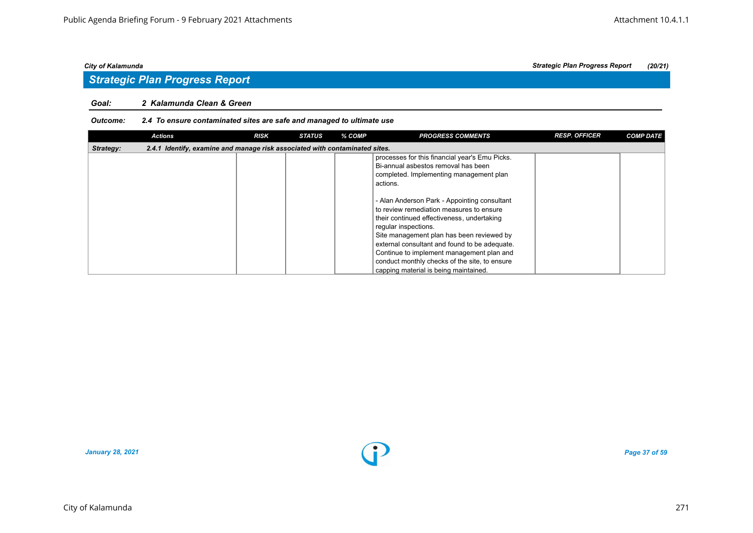#### *Goal: 2 Kalamunda Clean & Green*

#### *Outcome: 2.4 To ensure contaminated sites are safe and managed to ultimate use*

|           | <b>Actions</b>                                                              | <b>RISK</b> | <b>STATUS</b> | % COMP | <b>PROGRESS COMMENTS</b>                                                                                                                                                                                                                                                                                                                                                                            | <b>RESP. OFFICER</b> | <b>COMP DATE</b> |
|-----------|-----------------------------------------------------------------------------|-------------|---------------|--------|-----------------------------------------------------------------------------------------------------------------------------------------------------------------------------------------------------------------------------------------------------------------------------------------------------------------------------------------------------------------------------------------------------|----------------------|------------------|
| Strategy: | 2.4.1 Identify, examine and manage risk associated with contaminated sites. |             |               |        |                                                                                                                                                                                                                                                                                                                                                                                                     |                      |                  |
|           |                                                                             |             |               |        | processes for this financial year's Emu Picks.<br>Bi-annual asbestos removal has been<br>completed. Implementing management plan<br>actions.                                                                                                                                                                                                                                                        |                      |                  |
|           |                                                                             |             |               |        | - Alan Anderson Park - Appointing consultant<br>to review remediation measures to ensure<br>their continued effectiveness, undertaking<br>regular inspections.<br>Site management plan has been reviewed by<br>external consultant and found to be adequate.<br>Continue to implement management plan and<br>conduct monthly checks of the site, to ensure<br>capping material is being maintained. |                      |                  |



*January 28, 2021 Page 37 of 59*

*City of Kalamunda Strategic Plan Progress Report (20/21)*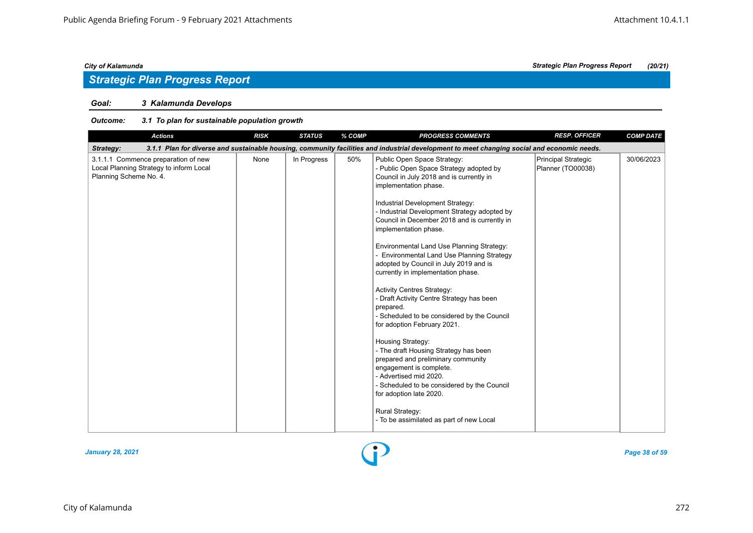### *Goal: 3 Kalamunda Develops*

| <b>RESP. OFFICER</b><br><b>Actions</b><br><b>RISK</b><br><b>STATUS</b><br>% COMP<br><b>PROGRESS COMMENTS</b>                                                                                                                                                                                                                                                                                                                                                                                                                                                                                                                                                                                                                                                                                                                                                                                                                                                                                                                                                                                                                                                    | <b>COMP DATE</b> |
|-----------------------------------------------------------------------------------------------------------------------------------------------------------------------------------------------------------------------------------------------------------------------------------------------------------------------------------------------------------------------------------------------------------------------------------------------------------------------------------------------------------------------------------------------------------------------------------------------------------------------------------------------------------------------------------------------------------------------------------------------------------------------------------------------------------------------------------------------------------------------------------------------------------------------------------------------------------------------------------------------------------------------------------------------------------------------------------------------------------------------------------------------------------------|------------------|
| 3.1.1 Plan for diverse and sustainable housing, community facilities and industrial development to meet changing social and economic needs.<br>Strategy:                                                                                                                                                                                                                                                                                                                                                                                                                                                                                                                                                                                                                                                                                                                                                                                                                                                                                                                                                                                                        |                  |
| 3.1.1.1 Commence preparation of new<br>In Progress<br>50%<br>None<br>Public Open Space Strategy:<br>Principal Strategic<br>Local Planning Strategy to inform Local<br>- Public Open Space Strategy adopted by<br>Planner (TO00038)<br>Planning Scheme No. 4.<br>Council in July 2018 and is currently in<br>implementation phase.<br>Industrial Development Strategy:<br>- Industrial Development Strategy adopted by<br>Council in December 2018 and is currently in<br>implementation phase.<br>Environmental Land Use Planning Strategy:<br>- Environmental Land Use Planning Strategy<br>adopted by Council in July 2019 and is<br>currently in implementation phase.<br><b>Activity Centres Strategy:</b><br>- Draft Activity Centre Strategy has been<br>prepared.<br>- Scheduled to be considered by the Council<br>for adoption February 2021.<br>Housing Strategy:<br>- The draft Housing Strategy has been<br>prepared and preliminary community<br>engagement is complete.<br>- Advertised mid 2020.<br>- Scheduled to be considered by the Council<br>for adoption late 2020.<br><b>Rural Strategy:</b><br>- To be assimilated as part of new Local | 30/06/2023       |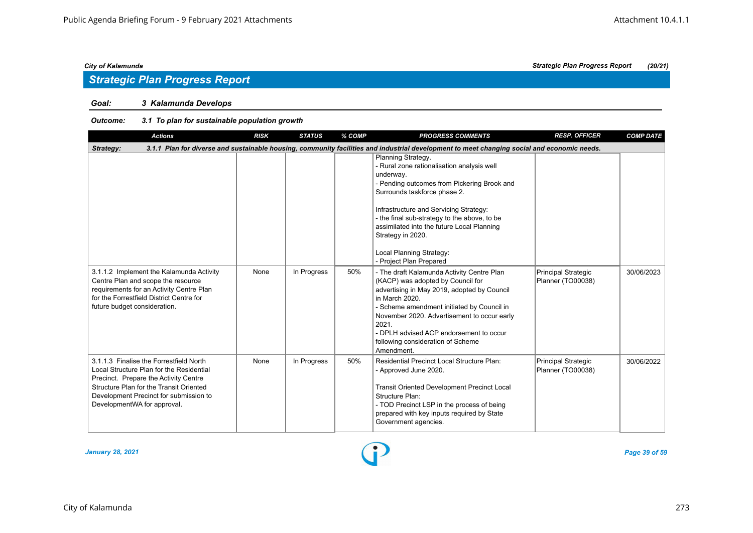## *Strategic Plan Progress Report*

### *Goal: 3 Kalamunda Develops*

| <b>Actions</b>                                                                                                                                                                                                                                   | <b>RISK</b> | <b>STATUS</b> | % COMP | <b>PROGRESS COMMENTS</b>                                                                                                                                                                                                                                                                                                                                                         | <b>RESP. OFFICER</b>                            | <b>COMP DATE</b> |
|--------------------------------------------------------------------------------------------------------------------------------------------------------------------------------------------------------------------------------------------------|-------------|---------------|--------|----------------------------------------------------------------------------------------------------------------------------------------------------------------------------------------------------------------------------------------------------------------------------------------------------------------------------------------------------------------------------------|-------------------------------------------------|------------------|
| Strategy:                                                                                                                                                                                                                                        |             |               |        | 3.1.1 Plan for diverse and sustainable housing, community facilities and industrial development to meet changing social and economic needs.                                                                                                                                                                                                                                      |                                                 |                  |
|                                                                                                                                                                                                                                                  |             |               |        | Planning Strategy.<br>- Rural zone rationalisation analysis well<br>underway.<br>- Pending outcomes from Pickering Brook and<br>Surrounds taskforce phase 2.<br>Infrastructure and Servicing Strategy:<br>- the final sub-strategy to the above, to be<br>assimilated into the future Local Planning<br>Strategy in 2020.<br>Local Planning Strategy:<br>- Project Plan Prepared |                                                 |                  |
| 3.1.1.2 Implement the Kalamunda Activity<br>Centre Plan and scope the resource<br>requirements for an Activity Centre Plan<br>for the Forrestfield District Centre for<br>future budget consideration.                                           | None        | In Progress   | 50%    | - The draft Kalamunda Activity Centre Plan<br>(KACP) was adopted by Council for<br>advertising in May 2019, adopted by Council<br>in March 2020.<br>- Scheme amendment initiated by Council in<br>November 2020. Advertisement to occur early<br>2021.<br>- DPLH advised ACP endorsement to occur<br>following consideration of Scheme<br>Amendment.                             | <b>Principal Strategic</b><br>Planner (TO00038) | 30/06/2023       |
| 3.1.1.3 Finalise the Forrestfield North<br>Local Structure Plan for the Residential<br>Precinct. Prepare the Activity Centre<br>Structure Plan for the Transit Oriented<br>Development Precinct for submission to<br>DevelopmentWA for approval. | None        | In Progress   | 50%    | <b>Residential Precinct Local Structure Plan:</b><br>- Approved June 2020.<br><b>Transit Oriented Development Precinct Local</b><br>Structure Plan:<br>- TOD Precinct LSP in the process of being<br>prepared with key inputs required by State<br>Government agencies.                                                                                                          | Principal Strategic<br>Planner (TO00038)        | 30/06/2022       |

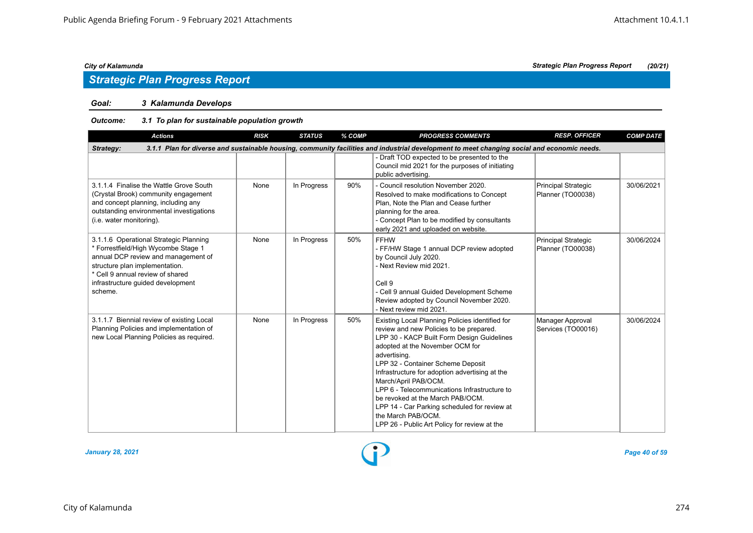## *Strategic Plan Progress Report*

## *Goal: 3 Kalamunda Develops*

| <b>Actions</b>                                                                                                                                                                                                                             | <b>RISK</b>                                                                                                                                 | <b>STATUS</b> | % COMP | <b>PROGRESS COMMENTS</b>                                                                                                                                                                                                                                                                                                                                                                                                                                                                                             | <b>RESP. OFFICER</b>                     | <b>COMP DATE</b> |  |  |  |  |
|--------------------------------------------------------------------------------------------------------------------------------------------------------------------------------------------------------------------------------------------|---------------------------------------------------------------------------------------------------------------------------------------------|---------------|--------|----------------------------------------------------------------------------------------------------------------------------------------------------------------------------------------------------------------------------------------------------------------------------------------------------------------------------------------------------------------------------------------------------------------------------------------------------------------------------------------------------------------------|------------------------------------------|------------------|--|--|--|--|
| Strategy:                                                                                                                                                                                                                                  | 3.1.1 Plan for diverse and sustainable housing, community facilities and industrial development to meet changing social and economic needs. |               |        |                                                                                                                                                                                                                                                                                                                                                                                                                                                                                                                      |                                          |                  |  |  |  |  |
|                                                                                                                                                                                                                                            |                                                                                                                                             |               |        | - Draft TOD expected to be presented to the<br>Council mid 2021 for the purposes of initiating<br>public advertising.                                                                                                                                                                                                                                                                                                                                                                                                |                                          |                  |  |  |  |  |
| 3.1.1.4 Finalise the Wattle Grove South<br>(Crystal Brook) community engagement<br>and concept planning, including any<br>outstanding environmental investigations<br>(i.e. water monitoring).                                             | None                                                                                                                                        | In Progress   | 90%    | - Council resolution November 2020.<br>Resolved to make modifications to Concept<br>Plan. Note the Plan and Cease further<br>planning for the area.<br>- Concept Plan to be modified by consultants<br>early 2021 and uploaded on website.                                                                                                                                                                                                                                                                           | Principal Strategic<br>Planner (TO00038) | 30/06/2021       |  |  |  |  |
| 3.1.1.6 Operational Strategic Planning<br>* Forrestfield/High Wycombe Stage 1<br>annual DCP review and management of<br>structure plan implementation.<br>* Cell 9 annual review of shared<br>infrastructure guided development<br>scheme. | None                                                                                                                                        | In Progress   | 50%    | <b>FFHW</b><br>- FF/HW Stage 1 annual DCP review adopted<br>by Council July 2020.<br>- Next Review mid 2021.<br>Cell 9<br>- Cell 9 annual Guided Development Scheme<br>Review adopted by Council November 2020.<br>- Next review mid 2021.                                                                                                                                                                                                                                                                           | Principal Strategic<br>Planner (TO00038) | 30/06/2024       |  |  |  |  |
| 3.1.1.7 Biennial review of existing Local<br>Planning Policies and implementation of<br>new Local Planning Policies as required.                                                                                                           | None                                                                                                                                        | In Progress   | 50%    | Existing Local Planning Policies identified for<br>review and new Policies to be prepared.<br>LPP 30 - KACP Built Form Design Guidelines<br>adopted at the November OCM for<br>advertising.<br>LPP 32 - Container Scheme Deposit<br>Infrastructure for adoption advertising at the<br>March/April PAB/OCM.<br>LPP 6 - Telecommunications Infrastructure to<br>be revoked at the March PAB/OCM.<br>LPP 14 - Car Parking scheduled for review at<br>the March PAB/OCM.<br>LPP 26 - Public Art Policy for review at the | Manager Approval<br>Services (TO00016)   | 30/06/2024       |  |  |  |  |

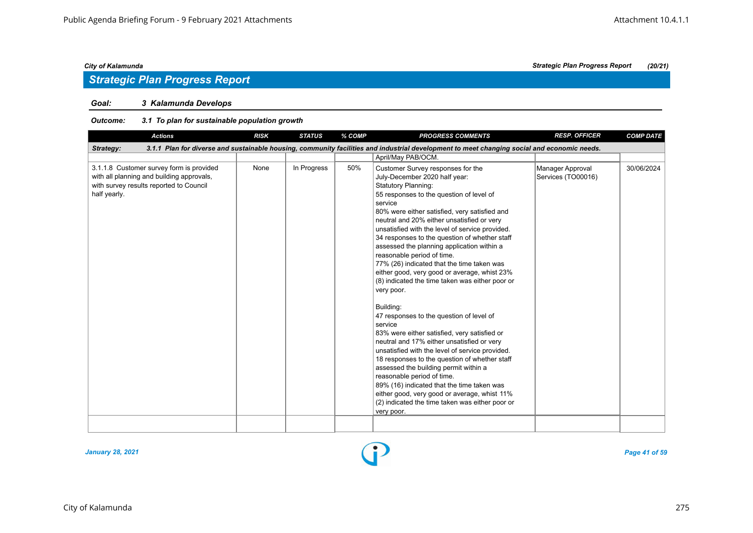## *Strategic Plan Progress Report*

## *Goal: 3 Kalamunda Develops*

| <b>Actions</b>                                                                                                                                   | <b>RISK</b> | <b>STATUS</b> | % COMP | <b>PROGRESS COMMENTS</b>                                                                                                                                                                                                                                                                                                                                                                                                                                                                                                                                                                                                                                                                                                                                                                                                                                                                                                                                                                                                                                                                                          | <b>RESP. OFFICER</b>                   | <b>COMP DATE</b> |
|--------------------------------------------------------------------------------------------------------------------------------------------------|-------------|---------------|--------|-------------------------------------------------------------------------------------------------------------------------------------------------------------------------------------------------------------------------------------------------------------------------------------------------------------------------------------------------------------------------------------------------------------------------------------------------------------------------------------------------------------------------------------------------------------------------------------------------------------------------------------------------------------------------------------------------------------------------------------------------------------------------------------------------------------------------------------------------------------------------------------------------------------------------------------------------------------------------------------------------------------------------------------------------------------------------------------------------------------------|----------------------------------------|------------------|
| Strategy:                                                                                                                                        |             |               |        | 3.1.1 Plan for diverse and sustainable housing, community facilities and industrial development to meet changing social and economic needs.                                                                                                                                                                                                                                                                                                                                                                                                                                                                                                                                                                                                                                                                                                                                                                                                                                                                                                                                                                       |                                        |                  |
|                                                                                                                                                  |             |               |        | April/May PAB/OCM.                                                                                                                                                                                                                                                                                                                                                                                                                                                                                                                                                                                                                                                                                                                                                                                                                                                                                                                                                                                                                                                                                                |                                        |                  |
| 3.1.1.8 Customer survey form is provided<br>with all planning and building approvals,<br>with survey results reported to Council<br>half yearly. | None        | In Progress   | 50%    | Customer Survey responses for the<br>July-December 2020 half year:<br><b>Statutory Planning:</b><br>55 responses to the question of level of<br>service<br>80% were either satisfied, very satisfied and<br>neutral and 20% either unsatisfied or very<br>unsatisfied with the level of service provided.<br>34 responses to the question of whether staff<br>assessed the planning application within a<br>reasonable period of time.<br>77% (26) indicated that the time taken was<br>either good, very good or average, whist 23%<br>(8) indicated the time taken was either poor or<br>very poor.<br>Building:<br>47 responses to the question of level of<br>service<br>83% were either satisfied, very satisfied or<br>neutral and 17% either unsatisfied or very<br>unsatisfied with the level of service provided.<br>18 responses to the question of whether staff<br>assessed the building permit within a<br>reasonable period of time.<br>89% (16) indicated that the time taken was<br>either good, very good or average, whist 11%<br>(2) indicated the time taken was either poor or<br>very poor. | Manager Approval<br>Services (TO00016) | 30/06/2024       |
|                                                                                                                                                  |             |               |        |                                                                                                                                                                                                                                                                                                                                                                                                                                                                                                                                                                                                                                                                                                                                                                                                                                                                                                                                                                                                                                                                                                                   |                                        |                  |

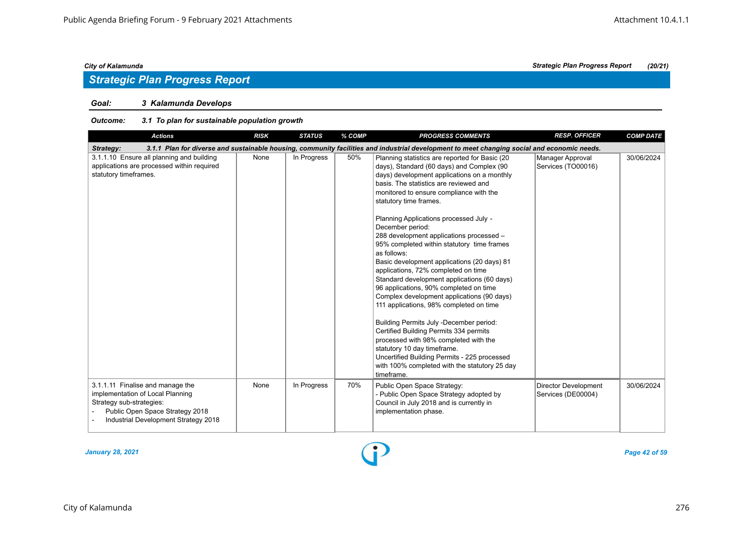## *Strategic Plan Progress Report*

### *Goal: 3 Kalamunda Develops*

| <b>Actions</b>                                                                                                                                                              | <b>RISK</b> | <b>STATUS</b> | % COMP | <b>PROGRESS COMMENTS</b>                                                                                                                                                                                                                                                                                                                                                                                                                                                                                                                                                                                                                                                                                                                                                                                                                                                                                                                                                             | <b>RESP. OFFICER</b>                              | <b>COMP DATE</b> |
|-----------------------------------------------------------------------------------------------------------------------------------------------------------------------------|-------------|---------------|--------|--------------------------------------------------------------------------------------------------------------------------------------------------------------------------------------------------------------------------------------------------------------------------------------------------------------------------------------------------------------------------------------------------------------------------------------------------------------------------------------------------------------------------------------------------------------------------------------------------------------------------------------------------------------------------------------------------------------------------------------------------------------------------------------------------------------------------------------------------------------------------------------------------------------------------------------------------------------------------------------|---------------------------------------------------|------------------|
| Strategy:                                                                                                                                                                   |             |               |        | 3.1.1 Plan for diverse and sustainable housing, community facilities and industrial development to meet changing social and economic needs.                                                                                                                                                                                                                                                                                                                                                                                                                                                                                                                                                                                                                                                                                                                                                                                                                                          |                                                   |                  |
| 3.1.1.10 Ensure all planning and building<br>applications are processed within required<br>statutory timeframes.                                                            | None        | In Progress   | 50%    | Planning statistics are reported for Basic (20<br>days), Standard (60 days) and Complex (90<br>days) development applications on a monthly<br>basis. The statistics are reviewed and<br>monitored to ensure compliance with the<br>statutory time frames.<br>Planning Applications processed July -<br>December period:<br>288 development applications processed -<br>95% completed within statutory time frames<br>as follows:<br>Basic development applications (20 days) 81<br>applications, 72% completed on time<br>Standard development applications (60 days)<br>96 applications, 90% completed on time<br>Complex development applications (90 days)<br>111 applications, 98% completed on time<br>Building Permits July -December period:<br>Certified Building Permits 334 permits<br>processed with 98% completed with the<br>statutory 10 day timeframe.<br>Uncertified Building Permits - 225 processed<br>with 100% completed with the statutory 25 day<br>timeframe. | Manager Approval<br>Services (TO00016)            | 30/06/2024       |
| 3.1.1.11 Finalise and manage the<br>implementation of Local Planning<br>Strategy sub-strategies:<br>Public Open Space Strategy 2018<br>Industrial Development Strategy 2018 | None        | In Progress   | 70%    | Public Open Space Strategy:<br>- Public Open Space Strategy adopted by<br>Council in July 2018 and is currently in<br>implementation phase.                                                                                                                                                                                                                                                                                                                                                                                                                                                                                                                                                                                                                                                                                                                                                                                                                                          | <b>Director Development</b><br>Services (DE00004) | 30/06/2024       |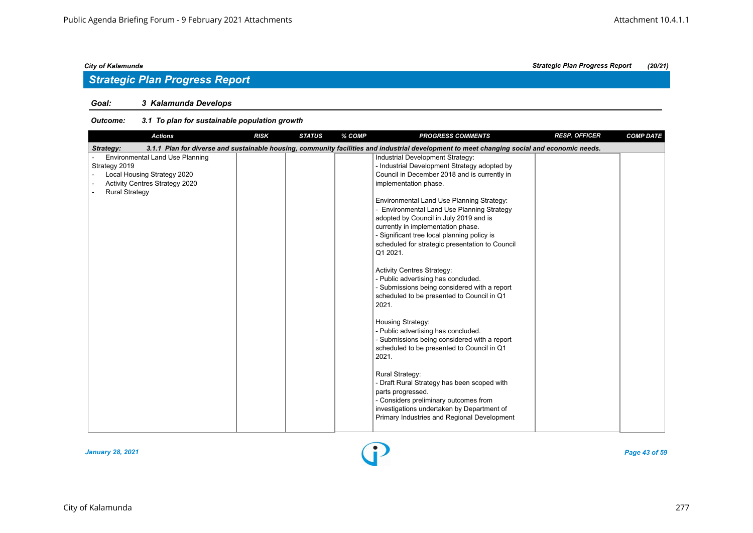### *Goal: 3 Kalamunda Develops*

| <b>Actions</b>                                                                                                                                    | <b>RISK</b> | <b>STATUS</b> | % COMP | <b>PROGRESS COMMENTS</b>                                                                                                                                                                                                                                                                                                                                                                                                                                                                                                                                                                                                            | <b>RESP. OFFICER</b> | <b>COMP DATE</b> |
|---------------------------------------------------------------------------------------------------------------------------------------------------|-------------|---------------|--------|-------------------------------------------------------------------------------------------------------------------------------------------------------------------------------------------------------------------------------------------------------------------------------------------------------------------------------------------------------------------------------------------------------------------------------------------------------------------------------------------------------------------------------------------------------------------------------------------------------------------------------------|----------------------|------------------|
| Strategy:                                                                                                                                         |             |               |        | 3.1.1 Plan for diverse and sustainable housing, community facilities and industrial development to meet changing social and economic needs.                                                                                                                                                                                                                                                                                                                                                                                                                                                                                         |                      |                  |
| <b>Environmental Land Use Planning</b><br>Strategy 2019<br>Local Housing Strategy 2020<br>Activity Centres Strategy 2020<br><b>Rural Strategy</b> |             |               |        | Industrial Development Strategy:<br>- Industrial Development Strategy adopted by<br>Council in December 2018 and is currently in<br>implementation phase.<br>Environmental Land Use Planning Strategy:<br>Environmental Land Use Planning Strategy<br>adopted by Council in July 2019 and is<br>currently in implementation phase.<br>- Significant tree local planning policy is<br>scheduled for strategic presentation to Council<br>Q1 2021.<br><b>Activity Centres Strategy:</b><br>- Public advertising has concluded.<br>- Submissions being considered with a report<br>scheduled to be presented to Council in Q1<br>2021. |                      |                  |
|                                                                                                                                                   |             |               |        | Housing Strategy:<br>- Public advertising has concluded.<br>- Submissions being considered with a report<br>scheduled to be presented to Council in Q1<br>2021.<br>Rural Strategy:<br>- Draft Rural Strategy has been scoped with<br>parts progressed.<br>- Considers preliminary outcomes from<br>investigations undertaken by Department of<br>Primary Industries and Regional Development                                                                                                                                                                                                                                        |                      |                  |

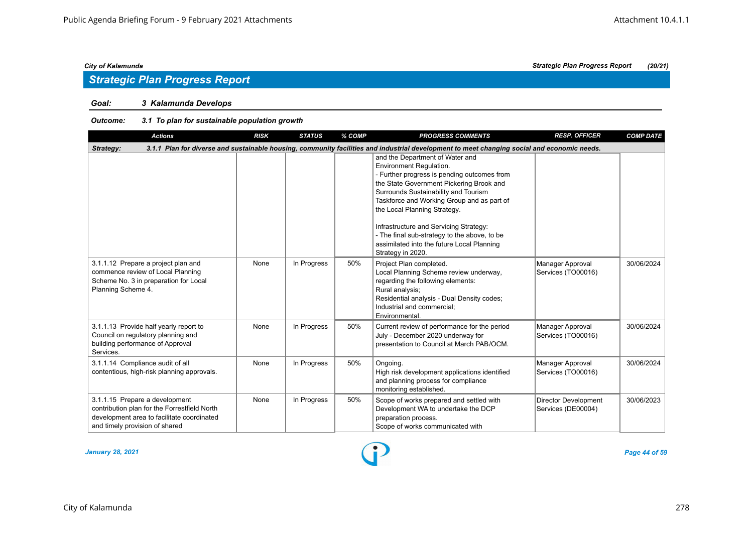## *Strategic Plan Progress Report*

### *Goal: 3 Kalamunda Develops*

| <b>Actions</b>                                                                                                                                                 | <b>RISK</b> | <b>STATUS</b> | % COMP | <b>PROGRESS COMMENTS</b>                                                                                                                                                                                                                                                                                                                                                                                                                 | <b>RESP. OFFICER</b>                              | <b>COMP DATE</b> |
|----------------------------------------------------------------------------------------------------------------------------------------------------------------|-------------|---------------|--------|------------------------------------------------------------------------------------------------------------------------------------------------------------------------------------------------------------------------------------------------------------------------------------------------------------------------------------------------------------------------------------------------------------------------------------------|---------------------------------------------------|------------------|
| Strategy:                                                                                                                                                      |             |               |        | 3.1.1 Plan for diverse and sustainable housing, community facilities and industrial development to meet changing social and economic needs.                                                                                                                                                                                                                                                                                              |                                                   |                  |
|                                                                                                                                                                |             |               |        | and the Department of Water and<br>Environment Regulation.<br>- Further progress is pending outcomes from<br>the State Government Pickering Brook and<br>Surrounds Sustainability and Tourism<br>Taskforce and Working Group and as part of<br>the Local Planning Strategy.<br>Infrastructure and Servicing Strategy:<br>- The final sub-strategy to the above, to be<br>assimilated into the future Local Planning<br>Strategy in 2020. |                                                   |                  |
| 3.1.1.12 Prepare a project plan and<br>commence review of Local Planning<br>Scheme No. 3 in preparation for Local<br>Planning Scheme 4.                        | None        | In Progress   | 50%    | Project Plan completed.<br>Local Planning Scheme review underway,<br>regarding the following elements:<br>Rural analysis;<br>Residential analysis - Dual Density codes;<br>Industrial and commercial:<br>Environmental.                                                                                                                                                                                                                  | Manager Approval<br>Services (TO00016)            | 30/06/2024       |
| 3.1.1.13 Provide half yearly report to<br>Council on regulatory planning and<br>building performance of Approval<br>Services.                                  | None        | In Progress   | 50%    | Current review of performance for the period<br>July - December 2020 underway for<br>presentation to Council at March PAB/OCM.                                                                                                                                                                                                                                                                                                           | Manager Approval<br>Services (TO00016)            | 30/06/2024       |
| 3.1.1.14 Compliance audit of all<br>contentious, high-risk planning approvals.                                                                                 | None        | In Progress   | 50%    | Ongoing.<br>High risk development applications identified<br>and planning process for compliance<br>monitoring established.                                                                                                                                                                                                                                                                                                              | Manager Approval<br>Services (TO00016)            | 30/06/2024       |
| 3.1.1.15 Prepare a development<br>contribution plan for the Forrestfield North<br>development area to facilitate coordinated<br>and timely provision of shared | None        | In Progress   | 50%    | Scope of works prepared and settled with<br>Development WA to undertake the DCP<br>preparation process.<br>Scope of works communicated with                                                                                                                                                                                                                                                                                              | <b>Director Development</b><br>Services (DE00004) | 30/06/2023       |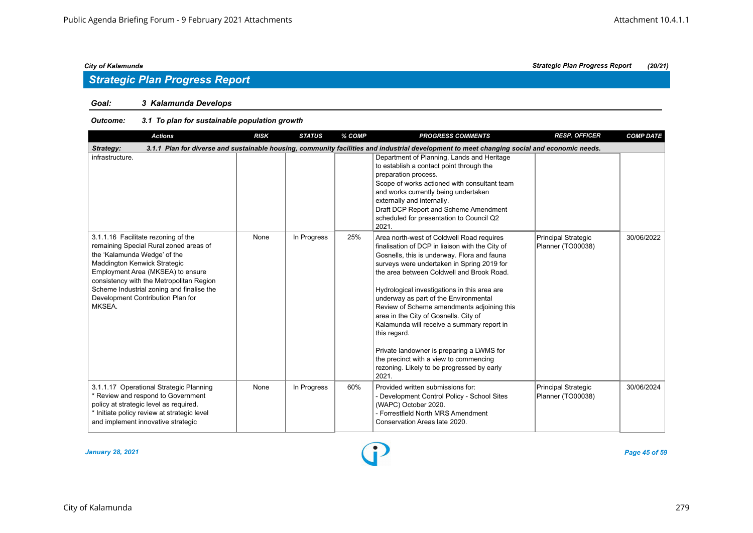## *Strategic Plan Progress Report*

## *Goal: 3 Kalamunda Develops*

| <b>Actions</b>                                                                                                                                                                                                                                                                                                             | <b>RISK</b> | <b>STATUS</b> | % COMP | <b>PROGRESS COMMENTS</b>                                                                                                                                                                                                                                                                                                                                                                                                                                                                                                                                                                                                           | <b>RESP. OFFICER</b>                            | <b>COMP DATE</b> |
|----------------------------------------------------------------------------------------------------------------------------------------------------------------------------------------------------------------------------------------------------------------------------------------------------------------------------|-------------|---------------|--------|------------------------------------------------------------------------------------------------------------------------------------------------------------------------------------------------------------------------------------------------------------------------------------------------------------------------------------------------------------------------------------------------------------------------------------------------------------------------------------------------------------------------------------------------------------------------------------------------------------------------------------|-------------------------------------------------|------------------|
| Strategy:                                                                                                                                                                                                                                                                                                                  |             |               |        | 3.1.1 Plan for diverse and sustainable housing, community facilities and industrial development to meet changing social and economic needs.                                                                                                                                                                                                                                                                                                                                                                                                                                                                                        |                                                 |                  |
| infrastructure.                                                                                                                                                                                                                                                                                                            |             |               |        | Department of Planning, Lands and Heritage<br>to establish a contact point through the<br>preparation process.<br>Scope of works actioned with consultant team<br>and works currently being undertaken<br>externally and internally.<br>Draft DCP Report and Scheme Amendment<br>scheduled for presentation to Council Q2<br>2021.                                                                                                                                                                                                                                                                                                 |                                                 |                  |
| 3.1.1.16 Facilitate rezoning of the<br>remaining Special Rural zoned areas of<br>the 'Kalamunda Wedge' of the<br>Maddington Kenwick Strategic<br>Employment Area (MKSEA) to ensure<br>consistency with the Metropolitan Region<br>Scheme Industrial zoning and finalise the<br>Development Contribution Plan for<br>MKSEA. | None        | In Progress   | 25%    | Area north-west of Coldwell Road requires<br>finalisation of DCP in liaison with the City of<br>Gosnells, this is underway. Flora and fauna<br>surveys were undertaken in Spring 2019 for<br>the area between Coldwell and Brook Road.<br>Hydrological investigations in this area are<br>underway as part of the Environmental<br>Review of Scheme amendments adjoining this<br>area in the City of Gosnells. City of<br>Kalamunda will receive a summary report in<br>this regard.<br>Private landowner is preparing a LWMS for<br>the precinct with a view to commencing<br>rezoning. Likely to be progressed by early<br>2021. | <b>Principal Strategic</b><br>Planner (TO00038) | 30/06/2022       |
| 3.1.1.17 Operational Strategic Planning<br>Review and respond to Government<br>policy at strategic level as required.<br>* Initiate policy review at strategic level<br>and implement innovative strategic                                                                                                                 | None        | In Progress   | 60%    | Provided written submissions for:<br>- Development Control Policy - School Sites<br>(WAPC) October 2020.<br>- Forrestfield North MRS Amendment<br>Conservation Areas late 2020.                                                                                                                                                                                                                                                                                                                                                                                                                                                    | <b>Principal Strategic</b><br>Planner (TO00038) | 30/06/2024       |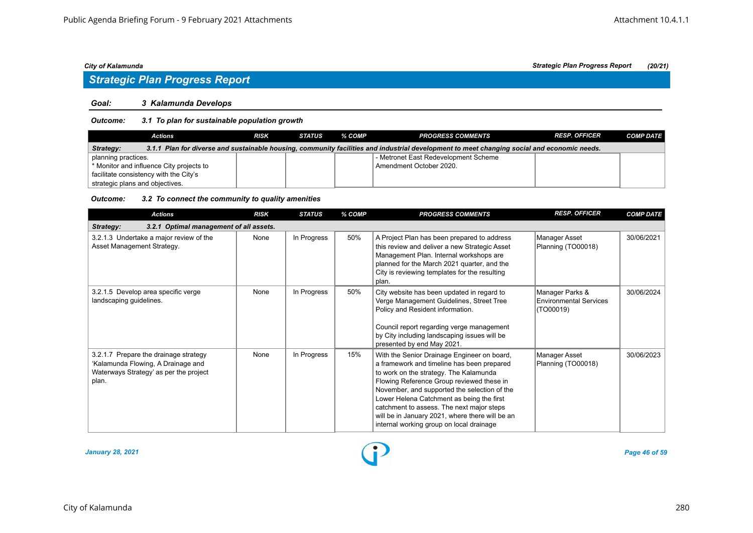# *Strategic Plan Progress Report*

#### *Goal: 3 Kalamunda Develops*

#### *Outcome: 3.1 To plan for sustainable population growth*

| <b>Actions</b>                                                                                                                                           | <b>RISK</b> | <b>STATUS</b> | % COMP | <b>PROGRESS COMMENTS</b>             | <b>RESP. OFFICER</b> | <b>COMP DATE</b> |  |  |
|----------------------------------------------------------------------------------------------------------------------------------------------------------|-------------|---------------|--------|--------------------------------------|----------------------|------------------|--|--|
| 3.1.1 Plan for diverse and sustainable housing, community facilities and industrial development to meet changing social and economic needs.<br>Strategy: |             |               |        |                                      |                      |                  |  |  |
| planning practices.                                                                                                                                      |             |               |        | - Metronet East Redevelopment Scheme |                      |                  |  |  |
| * Monitor and influence City projects to                                                                                                                 |             |               |        | Amendment October 2020.              |                      |                  |  |  |
| facilitate consistency with the City's                                                                                                                   |             |               |        |                                      |                      |                  |  |  |
| strategic plans and objectives.                                                                                                                          |             |               |        |                                      |                      |                  |  |  |

#### *Outcome: 3.2 To connect the community to quality amenities*

| <b>Actions</b>                                                                                                                 | <b>RISK</b> | <b>STATUS</b> | % COMP | <b>PROGRESS COMMENTS</b>                                                                                                                                                                                                                                                                                                                                                                                                  | <b>RESP. OFFICER</b>                                          | <b>COMP DATE</b> |
|--------------------------------------------------------------------------------------------------------------------------------|-------------|---------------|--------|---------------------------------------------------------------------------------------------------------------------------------------------------------------------------------------------------------------------------------------------------------------------------------------------------------------------------------------------------------------------------------------------------------------------------|---------------------------------------------------------------|------------------|
| 3.2.1 Optimal management of all assets.<br>Strategy:                                                                           |             |               |        |                                                                                                                                                                                                                                                                                                                                                                                                                           |                                                               |                  |
| 3.2.1.3 Undertake a major review of the<br>Asset Management Strategy.                                                          | None        | In Progress   | 50%    | A Project Plan has been prepared to address<br>this review and deliver a new Strategic Asset<br>Management Plan. Internal workshops are<br>planned for the March 2021 quarter, and the<br>City is reviewing templates for the resulting<br>plan.                                                                                                                                                                          | Manager Asset<br>Planning (TO00018)                           | 30/06/2021       |
| 3.2.1.5 Develop area specific verge<br>landscaping guidelines.                                                                 | None        | In Progress   | 50%    | City website has been updated in regard to<br>Verge Management Guidelines, Street Tree<br>Policy and Resident information.<br>Council report regarding verge management<br>by City including landscaping issues will be<br>presented by end May 2021.                                                                                                                                                                     | Manager Parks &<br><b>Environmental Services</b><br>(TO00019) | 30/06/2024       |
| 3.2.1.7 Prepare the drainage strategy<br>'Kalamunda Flowing, A Drainage and<br>Waterways Strategy' as per the project<br>plan. | None        | In Progress   | 15%    | With the Senior Drainage Engineer on board,<br>a framework and timeline has been prepared<br>to work on the strategy. The Kalamunda<br>Flowing Reference Group reviewed these in<br>November, and supported the selection of the<br>Lower Helena Catchment as being the first<br>catchment to assess. The next major steps<br>will be in January 2021, where there will be an<br>internal working group on local drainage | Manager Asset<br>Planning (TO00018)                           | 30/06/2023       |

*January 28, 2021 Page 46 of 59*

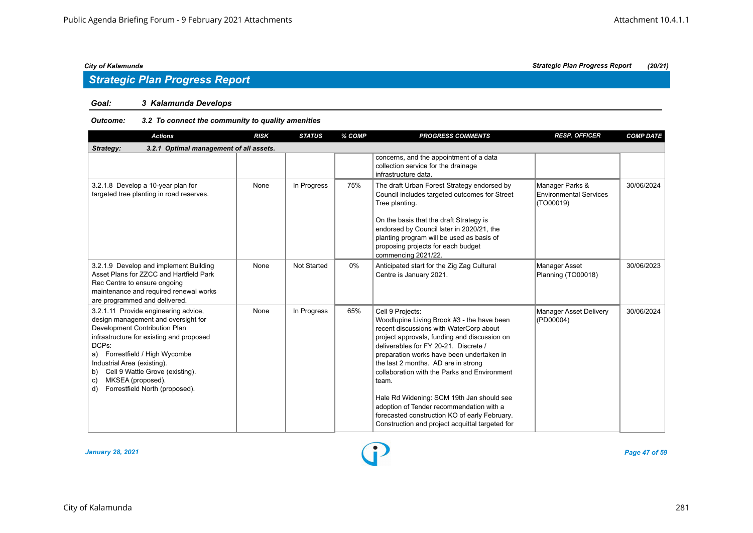## *Goal: 3 Kalamunda Develops*

#### *Outcome: 3.2 To connect the community to quality amenities*

| <b>Actions</b>                                                                                                                                                                                                                                                                                                                                 | <b>RISK</b> | <b>STATUS</b>      | % COMP | <b>PROGRESS COMMENTS</b>                                                                                                                                                                                                                                                                                                                                                                                                                                                                                                                     | <b>RESP. OFFICER</b>                                          | <b>COMP DATE</b> |
|------------------------------------------------------------------------------------------------------------------------------------------------------------------------------------------------------------------------------------------------------------------------------------------------------------------------------------------------|-------------|--------------------|--------|----------------------------------------------------------------------------------------------------------------------------------------------------------------------------------------------------------------------------------------------------------------------------------------------------------------------------------------------------------------------------------------------------------------------------------------------------------------------------------------------------------------------------------------------|---------------------------------------------------------------|------------------|
| Strategy:<br>3.2.1 Optimal management of all assets.                                                                                                                                                                                                                                                                                           |             |                    |        |                                                                                                                                                                                                                                                                                                                                                                                                                                                                                                                                              |                                                               |                  |
|                                                                                                                                                                                                                                                                                                                                                |             |                    |        | concerns, and the appointment of a data<br>collection service for the drainage<br>infrastructure data.                                                                                                                                                                                                                                                                                                                                                                                                                                       |                                                               |                  |
| 3.2.1.8 Develop a 10-year plan for<br>targeted tree planting in road reserves.                                                                                                                                                                                                                                                                 | None        | In Progress        | 75%    | The draft Urban Forest Strategy endorsed by<br>Council includes targeted outcomes for Street<br>Tree planting.<br>On the basis that the draft Strategy is<br>endorsed by Council later in 2020/21, the<br>planting program will be used as basis of<br>proposing projects for each budget<br>commencing 2021/22.                                                                                                                                                                                                                             | Manager Parks &<br><b>Environmental Services</b><br>(TO00019) | 30/06/2024       |
| 3.2.1.9 Develop and implement Building<br>Asset Plans for ZZCC and Hartfield Park<br>Rec Centre to ensure ongoing<br>maintenance and required renewal works<br>are programmed and delivered.                                                                                                                                                   | None        | <b>Not Started</b> | $0\%$  | Anticipated start for the Zig Zag Cultural<br>Centre is January 2021.                                                                                                                                                                                                                                                                                                                                                                                                                                                                        | <b>Manager Asset</b><br>Planning (TO00018)                    | 30/06/2023       |
| 3.2.1.11 Provide engineering advice,<br>design management and oversight for<br>Development Contribution Plan<br>infrastructure for existing and proposed<br>DCPs:<br>a) Forrestfield / High Wycombe<br>Industrial Area (existing).<br>Cell 9 Wattle Grove (existing).<br>b)<br>MKSEA (proposed).<br>c)<br>Forrestfield North (proposed).<br>d) | None        | In Progress        | 65%    | Cell 9 Projects:<br>Woodlupine Living Brook #3 - the have been<br>recent discussions with WaterCorp about<br>project approvals, funding and discussion on<br>deliverables for FY 20-21. Discrete /<br>preparation works have been undertaken in<br>the last 2 months. AD are in strong<br>collaboration with the Parks and Environment<br>team.<br>Hale Rd Widening: SCM 19th Jan should see<br>adoption of Tender recommendation with a<br>forecasted construction KO of early February.<br>Construction and project acquittal targeted for | <b>Manager Asset Delivery</b><br>(PD00004)                    | 30/06/2024       |

*January 28, 2021 Page 47 of 59*

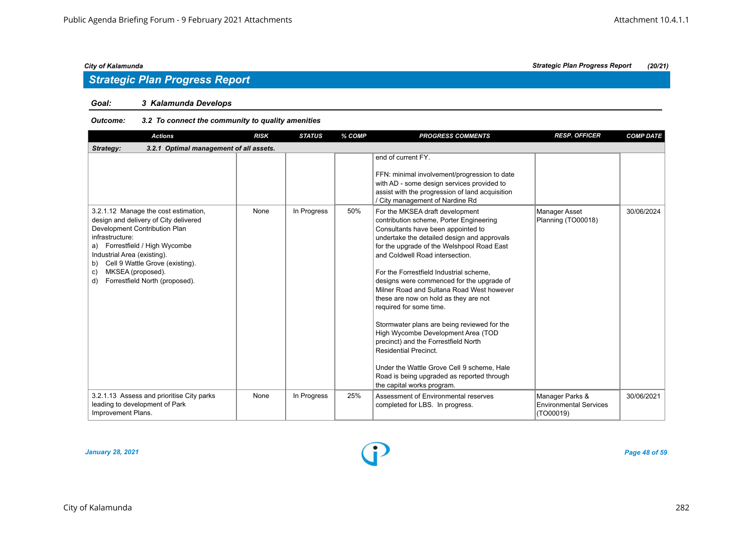## *Strategic Plan Progress Report*

#### *Goal: 3 Kalamunda Develops*

#### *Outcome: 3.2 To connect the community to quality amenities*

| <b>Actions</b>                                                                                                                                                                                                                                                                                                 | <b>RISK</b> | <b>STATUS</b> | % COMP | <b>PROGRESS COMMENTS</b>                                                                                                                                                                                                                                                                                                                                                                                                                                                                                                                                                                                                                                                                                                                        | <b>RESP. OFFICER</b>                                          | <b>COMP DATE</b> |
|----------------------------------------------------------------------------------------------------------------------------------------------------------------------------------------------------------------------------------------------------------------------------------------------------------------|-------------|---------------|--------|-------------------------------------------------------------------------------------------------------------------------------------------------------------------------------------------------------------------------------------------------------------------------------------------------------------------------------------------------------------------------------------------------------------------------------------------------------------------------------------------------------------------------------------------------------------------------------------------------------------------------------------------------------------------------------------------------------------------------------------------------|---------------------------------------------------------------|------------------|
| 3.2.1 Optimal management of all assets.<br>Strategy:                                                                                                                                                                                                                                                           |             |               |        |                                                                                                                                                                                                                                                                                                                                                                                                                                                                                                                                                                                                                                                                                                                                                 |                                                               |                  |
|                                                                                                                                                                                                                                                                                                                |             |               |        | end of current FY.<br>FFN: minimal involvement/progression to date<br>with AD - some design services provided to<br>assist with the progression of land acquisition<br>/ City management of Nardine Rd                                                                                                                                                                                                                                                                                                                                                                                                                                                                                                                                          |                                                               |                  |
| 3.2.1.12 Manage the cost estimation,<br>design and delivery of City delivered<br>Development Contribution Plan<br>infrastructure:<br>a) Forrestfield / High Wycombe<br>Industrial Area (existing).<br>Cell 9 Wattle Grove (existing).<br>b)<br>MKSEA (proposed).<br>C)<br>Forrestfield North (proposed).<br>d) | None        | In Progress   | 50%    | For the MKSEA draft development<br>contribution scheme, Porter Engineering<br>Consultants have been appointed to<br>undertake the detailed design and approvals<br>for the upgrade of the Welshpool Road East<br>and Coldwell Road intersection<br>For the Forrestfield Industrial scheme,<br>designs were commenced for the upgrade of<br>Milner Road and Sultana Road West however<br>these are now on hold as they are not<br>required for some time.<br>Stormwater plans are being reviewed for the<br>High Wycombe Development Area (TOD<br>precinct) and the Forrestfield North<br><b>Residential Precinct.</b><br>Under the Wattle Grove Cell 9 scheme, Hale<br>Road is being upgraded as reported through<br>the capital works program. | Manager Asset<br>Planning (TO00018)                           | 30/06/2024       |
| 3.2.1.13 Assess and prioritise City parks<br>leading to development of Park<br>Improvement Plans.                                                                                                                                                                                                              | None        | In Progress   | 25%    | Assessment of Environmental reserves<br>completed for LBS. In progress.                                                                                                                                                                                                                                                                                                                                                                                                                                                                                                                                                                                                                                                                         | Manager Parks &<br><b>Environmental Services</b><br>(TO00019) | 30/06/2021       |

*January 28, 2021 Page 48 of 59*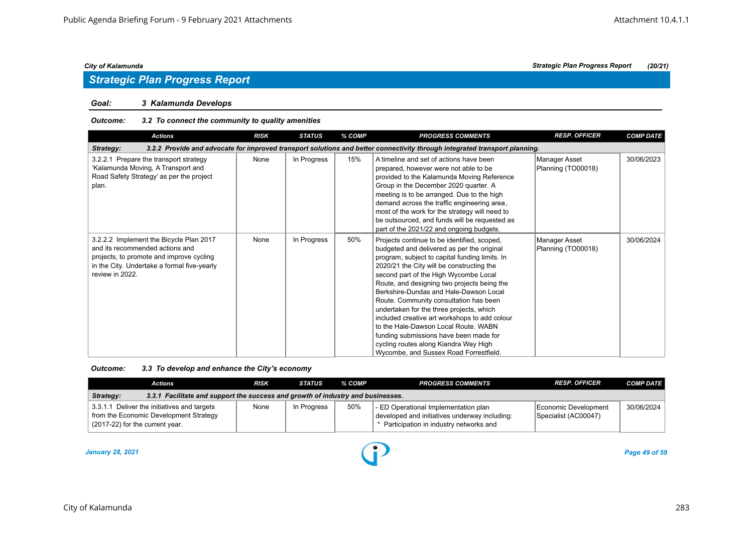## *Goal: 3 Kalamunda Develops*

#### *Outcome: 3.2 To connect the community to quality amenities*

| <b>Actions</b>                                                                                                                                                                           | <b>RISK</b> | <b>STATUS</b> | % COMP | <b>PROGRESS COMMENTS</b>                                                                                                                                                                                                                                                                                                                                                                                                                                                                                                                                                                                                               | <b>RESP. OFFICER</b>                | <b>COMP DATE</b> |
|------------------------------------------------------------------------------------------------------------------------------------------------------------------------------------------|-------------|---------------|--------|----------------------------------------------------------------------------------------------------------------------------------------------------------------------------------------------------------------------------------------------------------------------------------------------------------------------------------------------------------------------------------------------------------------------------------------------------------------------------------------------------------------------------------------------------------------------------------------------------------------------------------------|-------------------------------------|------------------|
| Strategy:                                                                                                                                                                                |             |               |        | 3.2.2 Provide and advocate for improved transport solutions and better connectivity through integrated transport planning.                                                                                                                                                                                                                                                                                                                                                                                                                                                                                                             |                                     |                  |
| 3.2.2.1 Prepare the transport strategy<br>'Kalamunda Moving, A Transport and<br>Road Safety Strategy' as per the project<br>plan.                                                        | None        | In Progress   | 15%    | A timeline and set of actions have been<br>prepared, however were not able to be<br>provided to the Kalamunda Moving Reference<br>Group in the December 2020 quarter. A<br>meeting is to be arranged. Due to the high<br>demand across the traffic engineering area,<br>most of the work for the strategy will need to<br>be outsourced, and funds will be requested as<br>part of the 2021/22 and ongoing budgets.                                                                                                                                                                                                                    | Manager Asset<br>Planning (TO00018) | 30/06/2023       |
| 3.2.2.2 Implement the Bicycle Plan 2017<br>and its recommended actions and<br>projects, to promote and improve cycling<br>in the City. Undertake a formal five-yearly<br>review in 2022. | None        | In Progress   | 50%    | Projects continue to be identified, scoped,<br>budgeted and delivered as per the original<br>program, subject to capital funding limits. In<br>2020/21 the City will be constructing the<br>second part of the High Wycombe Local<br>Route, and designing two projects being the<br>Berkshire-Dundas and Hale-Dawson Local<br>Route. Community consultation has been<br>undertaken for the three projects, which<br>included creative art workshops to add colour<br>to the Hale-Dawson Local Route, WABN<br>funding submissions have been made for<br>cycling routes along Kiandra Way High<br>Wycombe, and Sussex Road Forrestfield. | Manager Asset<br>Planning (TO00018) | 30/06/2024       |

| 3.3 To develop and enhance the City's economy<br>Outcome: |
|-----------------------------------------------------------|
|-----------------------------------------------------------|

| Actions                                                                                                                  | <b>RISK</b> | <b>STATUS</b> | % COMP | <b>PROGRESS COMMENTS</b>                                                                                                          | <b>RESP. OFFICER</b>                         | <b>COMP DATE</b> |  |  |
|--------------------------------------------------------------------------------------------------------------------------|-------------|---------------|--------|-----------------------------------------------------------------------------------------------------------------------------------|----------------------------------------------|------------------|--|--|
| 3.3.1 Facilitate and support the success and growth of industry and businesses.<br>Strategy:                             |             |               |        |                                                                                                                                   |                                              |                  |  |  |
| 3.3.1.1 Deliver the initiatives and targets<br>from the Economic Development Strategy<br>(2017-22) for the current year. | None        | In Progress   | 50%    | - ED Operational Implementation plan<br>developed and initiatives underway including:<br>* Participation in industry networks and | Economic Development<br>Specialist (AC00047) | 30/06/2024       |  |  |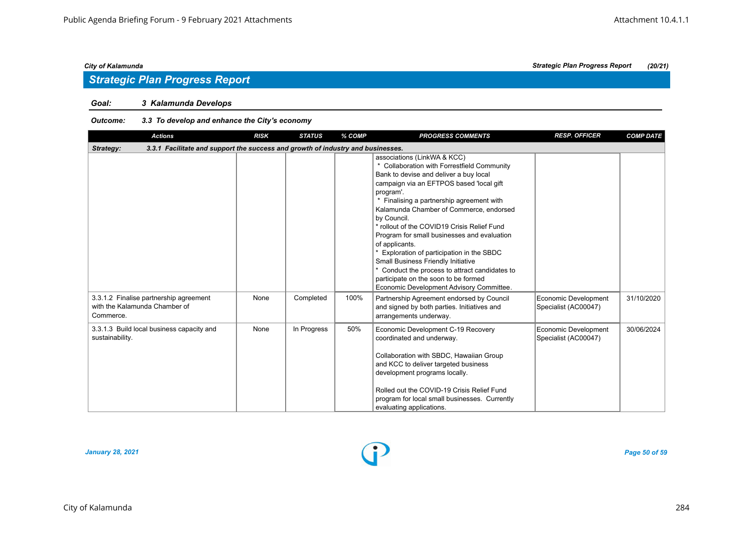### *Goal: 3 Kalamunda Develops*

#### *Outcome: 3.3 To develop and enhance the City's economy*

| <b>Actions</b>                                                                               | <b>RISK</b> | <b>STATUS</b> | % COMP | <b>PROGRESS COMMENTS</b>                                                                                                                                                                                                                                                                                                                                                                                                                                                                                                                                                                                                            | <b>RESP. OFFICER</b>                         | <b>COMP DATE</b> |
|----------------------------------------------------------------------------------------------|-------------|---------------|--------|-------------------------------------------------------------------------------------------------------------------------------------------------------------------------------------------------------------------------------------------------------------------------------------------------------------------------------------------------------------------------------------------------------------------------------------------------------------------------------------------------------------------------------------------------------------------------------------------------------------------------------------|----------------------------------------------|------------------|
| 3.3.1 Facilitate and support the success and growth of industry and businesses.<br>Strategy: |             |               |        |                                                                                                                                                                                                                                                                                                                                                                                                                                                                                                                                                                                                                                     |                                              |                  |
|                                                                                              |             |               |        | associations (LinkWA & KCC)<br>* Collaboration with Forrestfield Community<br>Bank to devise and deliver a buy local<br>campaign via an EFTPOS based 'local gift<br>program'.<br>Finalising a partnership agreement with<br>Kalamunda Chamber of Commerce, endorsed<br>by Council.<br>* rollout of the COVID19 Crisis Relief Fund<br>Program for small businesses and evaluation<br>of applicants.<br>* Exploration of participation in the SBDC<br><b>Small Business Friendly Initiative</b><br>* Conduct the process to attract candidates to<br>participate on the soon to be formed<br>Economic Development Advisory Committee. |                                              |                  |
| 3.3.1.2 Finalise partnership agreement<br>with the Kalamunda Chamber of<br>Commerce.         | None        | Completed     | 100%   | Partnership Agreement endorsed by Council<br>and signed by both parties. Initiatives and<br>arrangements underway.                                                                                                                                                                                                                                                                                                                                                                                                                                                                                                                  | Economic Development<br>Specialist (AC00047) | 31/10/2020       |
| 3.3.1.3 Build local business capacity and<br>sustainability.                                 | None        | In Progress   | 50%    | Economic Development C-19 Recovery<br>coordinated and underway.<br>Collaboration with SBDC, Hawaiian Group<br>and KCC to deliver targeted business<br>development programs locally.<br>Rolled out the COVID-19 Crisis Relief Fund<br>program for local small businesses. Currently<br>evaluating applications.                                                                                                                                                                                                                                                                                                                      | Economic Development<br>Specialist (AC00047) | 30/06/2024       |

*January 28, 2021 Page 50 of 59*

*City of Kalamunda Strategic Plan Progress Report (20/21)*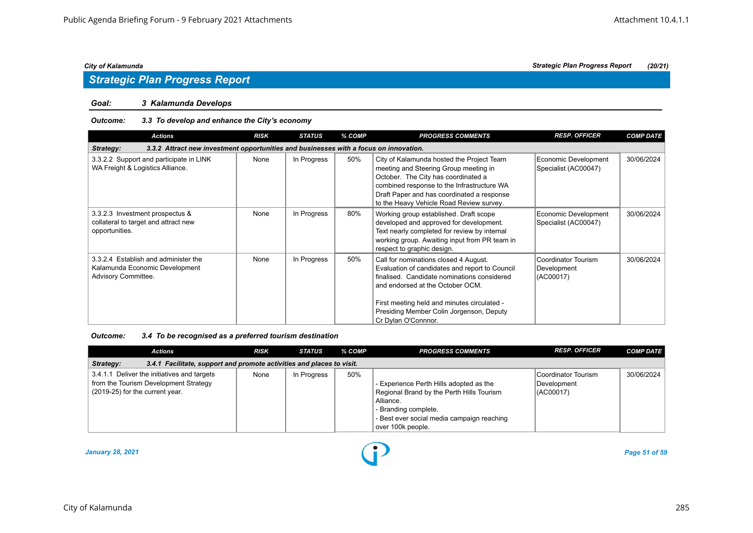#### *Goal: 3 Kalamunda Develops*

#### *Outcome: 3.3 To develop and enhance the City's economy*

| <b>Actions</b>                                                                                     | <b>RISK</b> | <b>STATUS</b> | % COMP | <b>PROGRESS COMMENTS</b>                                                                                                                                                                                                                                                                     | <b>RESP. OFFICER</b>                            | <b>COMP DATE</b> |
|----------------------------------------------------------------------------------------------------|-------------|---------------|--------|----------------------------------------------------------------------------------------------------------------------------------------------------------------------------------------------------------------------------------------------------------------------------------------------|-------------------------------------------------|------------------|
| 3.3.2 Attract new investment opportunities and businesses with a focus on innovation.<br>Strategy: |             |               |        |                                                                                                                                                                                                                                                                                              |                                                 |                  |
| 3.3.2.2 Support and participate in LINK<br>WA Freight & Logistics Alliance.                        | None        | In Progress   | 50%    | City of Kalamunda hosted the Project Team<br>meeting and Steering Group meeting in<br>October. The City has coordinated a<br>combined response to the Infrastructure WA<br>Draft Paper and has coordinated a response<br>to the Heavy Vehicle Road Review survey.                            | Economic Development<br>Specialist (AC00047)    | 30/06/2024       |
| 3.3.2.3 Investment prospectus &<br>collateral to target and attract new<br>opportunities.          | None        | In Progress   | 80%    | Working group established. Draft scope<br>developed and approved for development.<br>Text nearly completed for review by internal<br>working group. Awaiting input from PR team in<br>respect to graphic design.                                                                             | Economic Development<br>Specialist (AC00047)    | 30/06/2024       |
| 3.3.2.4 Establish and administer the<br>Kalamunda Economic Development<br>Advisory Committee.      | None        | In Progress   | 50%    | Call for nominations closed 4 August.<br>Evaluation of candidates and report to Council<br>finalised. Candidate nominations considered<br>and endorsed at the October OCM.<br>First meeting held and minutes circulated -<br>Presiding Member Colin Jorgenson, Deputy<br>Cr Dylan O'Connnor. | Coordinator Tourism<br>Development<br>(AC00017) | 30/06/2024       |

*Outcome: 3.4 To be recognised as a preferred tourism destination*

| <b>Actions</b>                                                                                                          | <b>RISK</b> | <b>STATUS</b> | % COMP | <b>PROGRESS COMMENTS</b>                                                                                                                                                                     | <b>RESP. OFFICER</b>                            | <b>COMP DATE</b> |  |  |  |
|-------------------------------------------------------------------------------------------------------------------------|-------------|---------------|--------|----------------------------------------------------------------------------------------------------------------------------------------------------------------------------------------------|-------------------------------------------------|------------------|--|--|--|
| 3.4.1 Facilitate, support and promote activities and places to visit.<br>Strategy:                                      |             |               |        |                                                                                                                                                                                              |                                                 |                  |  |  |  |
| 3.4.1.1 Deliver the initiatives and targets<br>from the Tourism Development Strategy<br>(2019-25) for the current year. | None        | In Progress   | 50%    | - Experience Perth Hills adopted as the<br>Regional Brand by the Perth Hills Tourism<br>Alliance.<br>- Branding complete.<br>- Best ever social media campaign reaching<br>over 100k people. | Coordinator Tourism<br>Development<br>(AC00017) | 30/06/2024       |  |  |  |

*January 28, 2021 Page 51 of 59*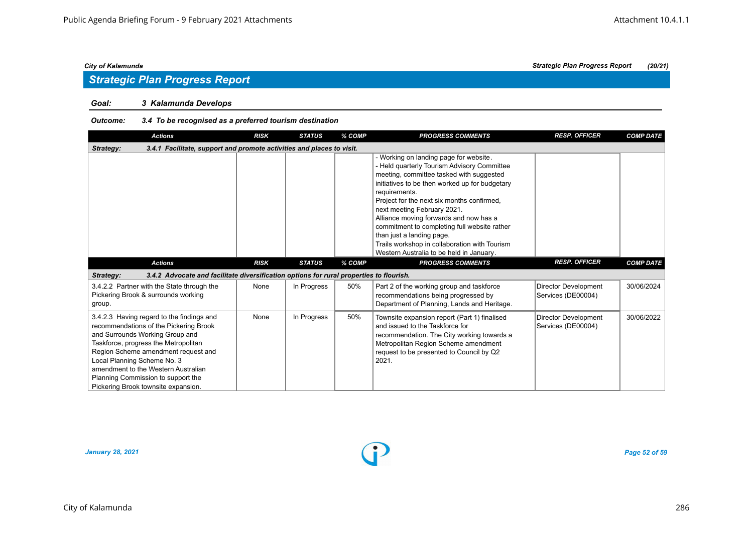## *Strategic Plan Progress Report*

#### *Goal: 3 Kalamunda Develops*

#### *Outcome: 3.4 To be recognised as a preferred tourism destination*

| <b>Actions</b>                                                                                                                                                                                                                                                                                                                                           | <b>RISK</b> | <b>STATUS</b> | % COMP | <b>PROGRESS COMMENTS</b>                                                                                                                                                                                                                                                                                                                                                                                                                                                                              | <b>RESP. OFFICER</b>                              | <b>COMP DATE</b> |
|----------------------------------------------------------------------------------------------------------------------------------------------------------------------------------------------------------------------------------------------------------------------------------------------------------------------------------------------------------|-------------|---------------|--------|-------------------------------------------------------------------------------------------------------------------------------------------------------------------------------------------------------------------------------------------------------------------------------------------------------------------------------------------------------------------------------------------------------------------------------------------------------------------------------------------------------|---------------------------------------------------|------------------|
| 3.4.1 Facilitate, support and promote activities and places to visit.<br>Strategy:                                                                                                                                                                                                                                                                       |             |               |        |                                                                                                                                                                                                                                                                                                                                                                                                                                                                                                       |                                                   |                  |
|                                                                                                                                                                                                                                                                                                                                                          |             |               |        | - Working on landing page for website.<br>- Held quarterly Tourism Advisory Committee<br>meeting, committee tasked with suggested<br>initiatives to be then worked up for budgetary<br>requirements.<br>Project for the next six months confirmed,<br>next meeting February 2021.<br>Alliance moving forwards and now has a<br>commitment to completing full website rather<br>than just a landing page.<br>Trails workshop in collaboration with Tourism<br>Western Australia to be held in January. |                                                   |                  |
| <b>Actions</b>                                                                                                                                                                                                                                                                                                                                           | <b>RISK</b> | <b>STATUS</b> | % COMP | <b>PROGRESS COMMENTS</b>                                                                                                                                                                                                                                                                                                                                                                                                                                                                              | <b>RESP. OFFICER</b>                              | <b>COMP DATE</b> |
| 3.4.2 Advocate and facilitate diversification options for rural properties to flourish.<br>Strategy:                                                                                                                                                                                                                                                     |             |               |        |                                                                                                                                                                                                                                                                                                                                                                                                                                                                                                       |                                                   |                  |
| 3.4.2.2 Partner with the State through the<br>Pickering Brook & surrounds working<br>group.                                                                                                                                                                                                                                                              | None        | In Progress   | 50%    | Part 2 of the working group and taskforce<br>recommendations being progressed by<br>Department of Planning, Lands and Heritage.                                                                                                                                                                                                                                                                                                                                                                       | <b>Director Development</b><br>Services (DE00004) | 30/06/2024       |
| 3.4.2.3 Having regard to the findings and<br>recommendations of the Pickering Brook<br>and Surrounds Working Group and<br>Taskforce, progress the Metropolitan<br>Region Scheme amendment request and<br>Local Planning Scheme No. 3<br>amendment to the Western Australian<br>Planning Commission to support the<br>Pickering Brook townsite expansion. | None        | In Progress   | 50%    | Townsite expansion report (Part 1) finalised<br>and issued to the Taskforce for<br>recommendation. The City working towards a<br>Metropolitan Region Scheme amendment<br>request to be presented to Council by Q2<br>2021.                                                                                                                                                                                                                                                                            | <b>Director Development</b><br>Services (DE00004) | 30/06/2022       |

*January 28, 2021 Page 52 of 59*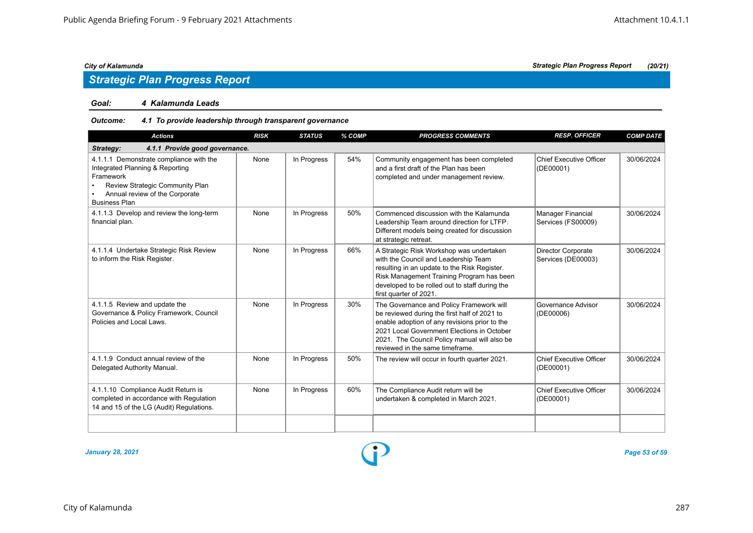## *Strategic Plan Progress Report*

#### *Goal: 4 Kalamunda Leads*

#### *Outcome: 4.1 To provide leadership through transparent governance*

| <b>Actions</b>                                                                                                                                                                       | <b>RISK</b> | <b>STATUS</b> | % COMP | <b>PROGRESS COMMENTS</b>                                                                                                                                                                                                                                                   | <b>RESP. OFFICER</b>                        | <b>COMP DATE</b> |  |  |  |  |
|--------------------------------------------------------------------------------------------------------------------------------------------------------------------------------------|-------------|---------------|--------|----------------------------------------------------------------------------------------------------------------------------------------------------------------------------------------------------------------------------------------------------------------------------|---------------------------------------------|------------------|--|--|--|--|
| 4.1.1 Provide good governance.<br>Strategy:                                                                                                                                          |             |               |        |                                                                                                                                                                                                                                                                            |                                             |                  |  |  |  |  |
| 4.1.1.1 Demonstrate compliance with the<br>Integrated Planning & Reporting<br>Framework<br>Review Strategic Community Plan<br>Annual review of the Corporate<br><b>Business Plan</b> | None        | In Progress   | 54%    | Community engagement has been completed<br>and a first draft of the Plan has been<br>completed and under management review.                                                                                                                                                | Chief Executive Officer<br>(DE00001)        | 30/06/2024       |  |  |  |  |
| 4.1.1.3 Develop and review the long-term<br>financial plan.                                                                                                                          | None        | In Progress   | 50%    | Commenced discussion with the Kalamunda<br>Leadership Team around direction for LTFP.<br>Different models being created for discussion<br>at strategic retreat.                                                                                                            | Manager Financial<br>Services (FS00009)     | 30/06/2024       |  |  |  |  |
| 4.1.1.4 Undertake Strategic Risk Review<br>to inform the Risk Register.                                                                                                              | None        | In Progress   | 66%    | A Strategic Risk Workshop was undertaken<br>with the Council and Leadership Team<br>resulting in an update to the Risk Register.<br>Risk Management Training Program has been<br>developed to be rolled out to staff during the<br>first quarter of 2021.                  | Director Corporate<br>Services (DE00003)    | 30/06/2024       |  |  |  |  |
| 4.1.1.5 Review and update the<br>Governance & Policy Framework, Council<br>Policies and Local Laws.                                                                                  | None        | In Progress   | 30%    | The Governance and Policy Framework will<br>be reviewed during the first half of 2021 to<br>enable adoption of any revisions prior to the<br>2021 Local Government Elections in October<br>2021. The Council Policy manual will also be<br>reviewed in the same timeframe. | Governance Advisor<br>(DE00006)             | 30/06/2024       |  |  |  |  |
| 4.1.1.9 Conduct annual review of the<br>Delegated Authority Manual.                                                                                                                  | None        | In Progress   | 50%    | The review will occur in fourth quarter 2021.                                                                                                                                                                                                                              | <b>Chief Executive Officer</b><br>(DE00001) | 30/06/2024       |  |  |  |  |
| 4.1.1.10 Compliance Audit Return is<br>completed in accordance with Regulation<br>14 and 15 of the LG (Audit) Regulations.                                                           | None        | In Progress   | 60%    | The Compliance Audit return will be<br>undertaken & completed in March 2021.                                                                                                                                                                                               | Chief Executive Officer<br>(DE00001)        | 30/06/2024       |  |  |  |  |
|                                                                                                                                                                                      |             |               |        |                                                                                                                                                                                                                                                                            |                                             |                  |  |  |  |  |

*January 28, 2021 Page 53 of 59*

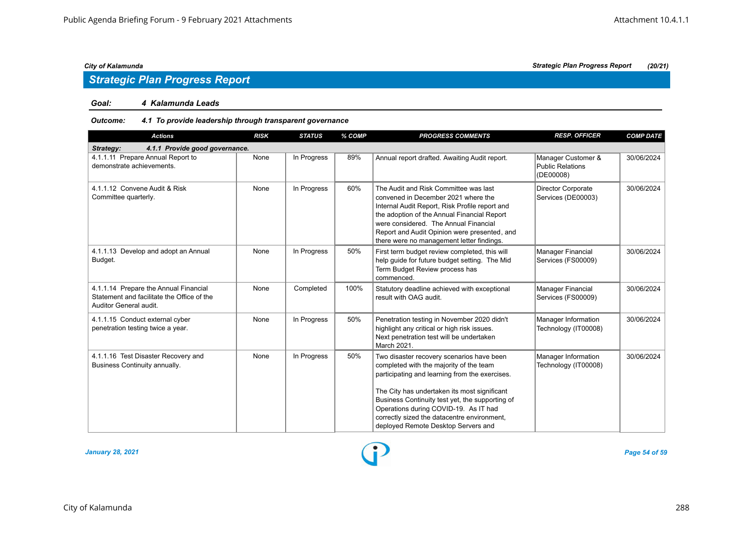## *Strategic Plan Progress Report*

#### *Goal: 4 Kalamunda Leads*

#### *Outcome: 4.1 To provide leadership through transparent governance*

| <b>Actions</b>                                                                                                | <b>RISK</b> | <b>STATUS</b> | % COMP | <b>PROGRESS COMMENTS</b>                                                                                                                                                                                                                                                                                            | <b>RESP. OFFICER</b>                                       | <b>COMP DATE</b> |
|---------------------------------------------------------------------------------------------------------------|-------------|---------------|--------|---------------------------------------------------------------------------------------------------------------------------------------------------------------------------------------------------------------------------------------------------------------------------------------------------------------------|------------------------------------------------------------|------------------|
| 4.1.1 Provide good governance.<br>Strategy:                                                                   |             |               |        |                                                                                                                                                                                                                                                                                                                     |                                                            |                  |
| 4.1.1.11 Prepare Annual Report to<br>demonstrate achievements.                                                | None        | In Progress   | 89%    | Annual report drafted. Awaiting Audit report.                                                                                                                                                                                                                                                                       | Manager Customer &<br><b>Public Relations</b><br>(DE00008) | 30/06/2024       |
| 4.1.1.12 Convene Audit & Risk<br>Committee quarterly.                                                         | None        | In Progress   | 60%    | The Audit and Risk Committee was last<br>convened in December 2021 where the<br>Internal Audit Report, Risk Profile report and<br>the adoption of the Annual Financial Report<br>were considered. The Annual Financial<br>Report and Audit Opinion were presented, and<br>there were no management letter findings. | <b>Director Corporate</b><br>Services (DE00003)            | 30/06/2024       |
| 4.1.1.13 Develop and adopt an Annual<br>Budget.                                                               | None        | In Progress   | 50%    | First term budget review completed, this will<br>help guide for future budget setting. The Mid<br>Term Budget Review process has<br>commenced.                                                                                                                                                                      | Manager Financial<br>Services (FS00009)                    | 30/06/2024       |
| 4.1.1.14 Prepare the Annual Financial<br>Statement and facilitate the Office of the<br>Auditor General audit. | None        | Completed     | 100%   | Statutory deadline achieved with exceptional<br>result with OAG audit.                                                                                                                                                                                                                                              | Manager Financial<br>Services (FS00009)                    | 30/06/2024       |
| 4.1.1.15 Conduct external cyber<br>penetration testing twice a year.                                          | None        | In Progress   | 50%    | Penetration testing in November 2020 didn't<br>highlight any critical or high risk issues.<br>Next penetration test will be undertaken<br>March 2021.                                                                                                                                                               | Manager Information<br>Technology (IT00008)                | 30/06/2024       |
| 4.1.1.16 Test Disaster Recovery and<br>Business Continuity annually.                                          | None        | In Progress   | 50%    | Two disaster recovery scenarios have been<br>completed with the majority of the team<br>participating and learning from the exercises.<br>The City has undertaken its most significant<br>Business Continuity test yet, the supporting of<br>Operations during COVID-19. As IT had                                  | Manager Information<br>Technology (IT00008)                | 30/06/2024       |
|                                                                                                               |             |               |        | correctly sized the datacentre environment,<br>deployed Remote Desktop Servers and                                                                                                                                                                                                                                  |                                                            |                  |

*January 28, 2021 Page 54 of 59*

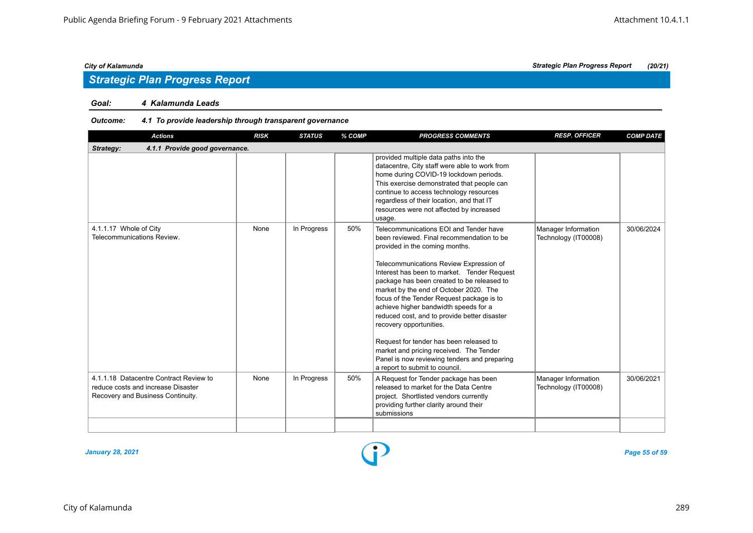## *Strategic Plan Progress Report*

#### *Goal: 4 Kalamunda Leads*

#### *Outcome: 4.1 To provide leadership through transparent governance*

| <b>RISK</b> | <b>STATUS</b>                  | % COMP | <b>PROGRESS COMMENTS</b>                                                                                                                                                                                                                                                                                                                                                                                                                                                                                                                                                                                                                         | <b>RESP. OFFICER</b>                        | <b>COMP DATE</b> |
|-------------|--------------------------------|--------|--------------------------------------------------------------------------------------------------------------------------------------------------------------------------------------------------------------------------------------------------------------------------------------------------------------------------------------------------------------------------------------------------------------------------------------------------------------------------------------------------------------------------------------------------------------------------------------------------------------------------------------------------|---------------------------------------------|------------------|
|             |                                |        |                                                                                                                                                                                                                                                                                                                                                                                                                                                                                                                                                                                                                                                  |                                             |                  |
|             |                                |        | datacentre, City staff were able to work from<br>home during COVID-19 lockdown periods.<br>This exercise demonstrated that people can<br>continue to access technology resources<br>regardless of their location, and that IT<br>resources were not affected by increased<br>usage.                                                                                                                                                                                                                                                                                                                                                              |                                             |                  |
| None        | In Progress                    | 50%    | Telecommunications EOI and Tender have<br>been reviewed. Final recommendation to be<br>provided in the coming months.<br>Telecommunications Review Expression of<br>Interest has been to market. Tender Request<br>package has been created to be released to<br>market by the end of October 2020. The<br>focus of the Tender Request package is to<br>achieve higher bandwidth speeds for a<br>reduced cost, and to provide better disaster<br>recovery opportunities.<br>Request for tender has been released to<br>market and pricing received. The Tender<br>Panel is now reviewing tenders and preparing<br>a report to submit to council. | Manager Information<br>Technology (IT00008) | 30/06/2024       |
| None        | In Progress                    | 50%    | A Request for Tender package has been<br>released to market for the Data Centre<br>project. Shortlisted vendors currently<br>providing further clarity around their<br>submissions                                                                                                                                                                                                                                                                                                                                                                                                                                                               | Manager Information<br>Technology (IT00008) | 30/06/2021       |
|             | 4.1.1 Provide good governance. |        |                                                                                                                                                                                                                                                                                                                                                                                                                                                                                                                                                                                                                                                  | provided multiple data paths into the       |                  |

*January 28, 2021 Page 55 of 59*

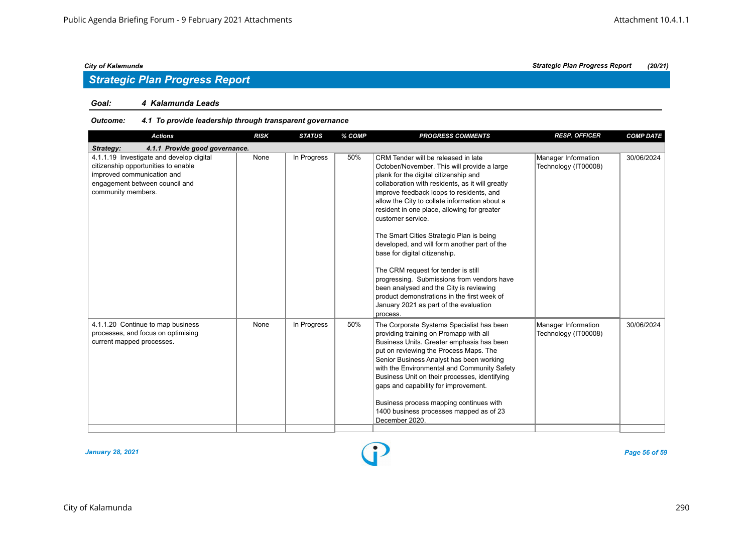## *Strategic Plan Progress Report*

#### *Goal: 4 Kalamunda Leads*

#### *Outcome: 4.1 To provide leadership through transparent governance*

| <b>Actions</b>                                                                                                                                                        | <b>RISK</b> | <b>STATUS</b> | % COMP | <b>PROGRESS COMMENTS</b>                                                                                                                                                                                                                                                                                                                                                                                                                                                                                                                                                                                                                                                                                           | <b>RESP. OFFICER</b>                        | <b>COMP DATE</b> |
|-----------------------------------------------------------------------------------------------------------------------------------------------------------------------|-------------|---------------|--------|--------------------------------------------------------------------------------------------------------------------------------------------------------------------------------------------------------------------------------------------------------------------------------------------------------------------------------------------------------------------------------------------------------------------------------------------------------------------------------------------------------------------------------------------------------------------------------------------------------------------------------------------------------------------------------------------------------------------|---------------------------------------------|------------------|
| 4.1.1 Provide good governance.<br>Strategy:                                                                                                                           |             |               |        |                                                                                                                                                                                                                                                                                                                                                                                                                                                                                                                                                                                                                                                                                                                    |                                             |                  |
| 4.1.1.19 Investigate and develop digital<br>citizenship opportunities to enable<br>improved communication and<br>engagement between council and<br>community members. | None        | In Progress   | 50%    | CRM Tender will be released in late<br>October/November. This will provide a large<br>plank for the digital citizenship and<br>collaboration with residents, as it will greatly<br>improve feedback loops to residents, and<br>allow the City to collate information about a<br>resident in one place, allowing for greater<br>customer service.<br>The Smart Cities Strategic Plan is being<br>developed, and will form another part of the<br>base for digital citizenship.<br>The CRM request for tender is still<br>progressing. Submissions from vendors have<br>been analysed and the City is reviewing<br>product demonstrations in the first week of<br>January 2021 as part of the evaluation<br>process. | Manager Information<br>Technology (IT00008) | 30/06/2024       |
| 4.1.1.20 Continue to map business<br>processes, and focus on optimising<br>current mapped processes.                                                                  | None        | In Progress   | 50%    | The Corporate Systems Specialist has been<br>providing training on Promapp with all<br>Business Units. Greater emphasis has been<br>put on reviewing the Process Maps. The<br>Senior Business Analyst has been working<br>with the Environmental and Community Safety<br>Business Unit on their processes, identifying<br>gaps and capability for improvement.<br>Business process mapping continues with<br>1400 business processes mapped as of 23<br>December 2020.                                                                                                                                                                                                                                             | Manager Information<br>Technology (IT00008) | 30/06/2024       |

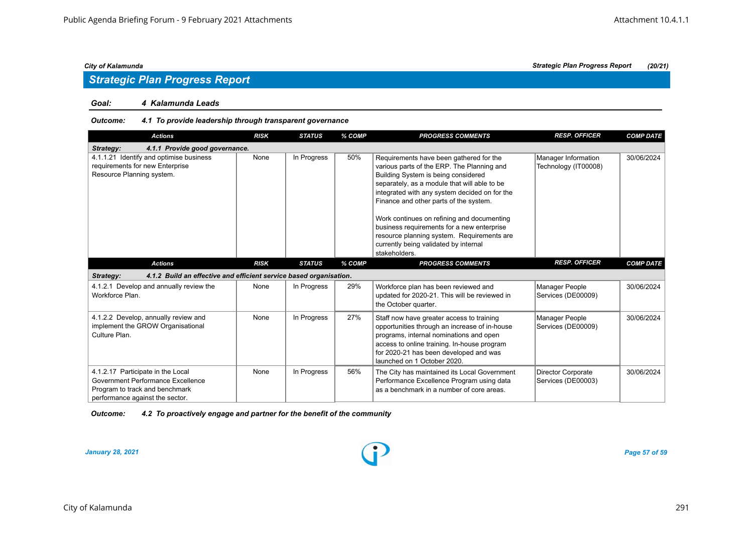# *Strategic Plan Progress Report*

#### *Goal: 4 Kalamunda Leads*

#### *Outcome: 4.1 To provide leadership through transparent governance*

| <b>Actions</b>                                                                                                                              | <b>RISK</b> | <b>STATUS</b> | % COMP | <b>PROGRESS COMMENTS</b>                                                                                                                                                                                                                                                                                                                                                                                                                                                    | <b>RESP. OFFICER</b>                            | <b>COMP DATE</b> |  |  |  |
|---------------------------------------------------------------------------------------------------------------------------------------------|-------------|---------------|--------|-----------------------------------------------------------------------------------------------------------------------------------------------------------------------------------------------------------------------------------------------------------------------------------------------------------------------------------------------------------------------------------------------------------------------------------------------------------------------------|-------------------------------------------------|------------------|--|--|--|
| 4.1.1 Provide good governance.<br>Strategy:                                                                                                 |             |               |        |                                                                                                                                                                                                                                                                                                                                                                                                                                                                             |                                                 |                  |  |  |  |
| 4.1.1.21 Identify and optimise business<br>requirements for new Enterprise<br>Resource Planning system.                                     | None        | In Progress   | 50%    | Requirements have been gathered for the<br>various parts of the ERP. The Planning and<br>Building System is being considered<br>separately, as a module that will able to be<br>integrated with any system decided on for the<br>Finance and other parts of the system.<br>Work continues on refining and documenting<br>business requirements for a new enterprise<br>resource planning system. Requirements are<br>currently being validated by internal<br>stakeholders. | Manager Information<br>Technology (IT00008)     | 30/06/2024       |  |  |  |
| <b>Actions</b>                                                                                                                              | <b>RISK</b> | <b>STATUS</b> | % COMP | <b>PROGRESS COMMENTS</b>                                                                                                                                                                                                                                                                                                                                                                                                                                                    | <b>RESP. OFFICER</b>                            | <b>COMP DATE</b> |  |  |  |
| 4.1.2 Build an effective and efficient service based organisation.<br>Strategy:                                                             |             |               |        |                                                                                                                                                                                                                                                                                                                                                                                                                                                                             |                                                 |                  |  |  |  |
| 4.1.2.1 Develop and annually review the<br>Workforce Plan.                                                                                  | None        | In Progress   | 29%    | Workforce plan has been reviewed and<br>updated for 2020-21. This will be reviewed in<br>the October quarter.                                                                                                                                                                                                                                                                                                                                                               | Manager People<br>Services (DE00009)            | 30/06/2024       |  |  |  |
| 4.1.2.2 Develop, annually review and<br>implement the GROW Organisational<br>Culture Plan.                                                  | None        | In Progress   | 27%    | Staff now have greater access to training<br>opportunities through an increase of in-house<br>programs, internal nominations and open<br>access to online training. In-house program<br>for 2020-21 has been developed and was<br>launched on 1 October 2020.                                                                                                                                                                                                               | Manager People<br>Services (DE00009)            | 30/06/2024       |  |  |  |
| 4.1.2.17 Participate in the Local<br>Government Performance Excellence<br>Program to track and benchmark<br>performance against the sector. | None        | In Progress   | 56%    | The City has maintained its Local Government<br>Performance Excellence Program using data<br>as a benchmark in a number of core areas.                                                                                                                                                                                                                                                                                                                                      | <b>Director Corporate</b><br>Services (DE00003) | 30/06/2024       |  |  |  |

#### *Outcome: 4.2 To proactively engage and partner for the benefit of the community*

*January 28, 2021 Page 57 of 59*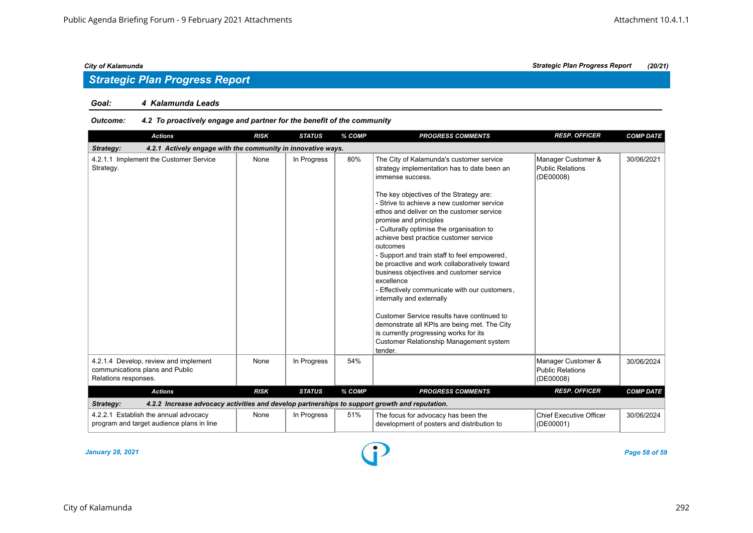#### *Goal: 4 Kalamunda Leads*

#### *Outcome: 4.2 To proactively engage and partner for the benefit of the community*

| <b>Actions</b>                                                                                             | <b>RISK</b> | <b>STATUS</b> | % COMP | <b>PROGRESS COMMENTS</b>                                                                                                                                                                                                                                                                                                                                                                                                                                                                                                                                                                                                                                                                                                                                                                                                    | <b>RESP. OFFICER</b>                                       | <b>COMP DATE</b> |
|------------------------------------------------------------------------------------------------------------|-------------|---------------|--------|-----------------------------------------------------------------------------------------------------------------------------------------------------------------------------------------------------------------------------------------------------------------------------------------------------------------------------------------------------------------------------------------------------------------------------------------------------------------------------------------------------------------------------------------------------------------------------------------------------------------------------------------------------------------------------------------------------------------------------------------------------------------------------------------------------------------------------|------------------------------------------------------------|------------------|
| 4.2.1 Actively engage with the community in innovative ways.<br>Strategy:                                  |             |               |        |                                                                                                                                                                                                                                                                                                                                                                                                                                                                                                                                                                                                                                                                                                                                                                                                                             |                                                            |                  |
| 4.2.1.1 Implement the Customer Service<br>Strategy.                                                        | None        | In Progress   | 80%    | The City of Kalamunda's customer service<br>strategy implementation has to date been an<br>immense success.<br>The key objectives of the Strategy are:<br>- Strive to achieve a new customer service<br>ethos and deliver on the customer service<br>promise and principles<br>- Culturally optimise the organisation to<br>achieve best practice customer service<br>outcomes<br>- Support and train staff to feel empowered,<br>be proactive and work collaboratively toward<br>business objectives and customer service<br>excellence<br>- Effectively communicate with our customers,<br>internally and externally<br>Customer Service results have continued to<br>demonstrate all KPIs are being met. The City<br>is currently progressing works for its<br><b>Customer Relationship Management system</b><br>tender. | Manager Customer &<br><b>Public Relations</b><br>(DE00008) | 30/06/2021       |
| 4.2.1.4 Develop, review and implement<br>communications plans and Public<br>Relations responses.           | None        | In Progress   | 54%    |                                                                                                                                                                                                                                                                                                                                                                                                                                                                                                                                                                                                                                                                                                                                                                                                                             | Manager Customer &<br><b>Public Relations</b><br>(DE00008) | 30/06/2024       |
| <b>Actions</b>                                                                                             | <b>RISK</b> | <b>STATUS</b> | % COMP | <b>PROGRESS COMMENTS</b>                                                                                                                                                                                                                                                                                                                                                                                                                                                                                                                                                                                                                                                                                                                                                                                                    | <b>RESP. OFFICER</b>                                       | <b>COMP DATE</b> |
| 4.2.2 Increase advocacy activities and develop partnerships to support growth and reputation.<br>Strategy: |             |               |        |                                                                                                                                                                                                                                                                                                                                                                                                                                                                                                                                                                                                                                                                                                                                                                                                                             |                                                            |                  |
| 4.2.2.1 Establish the annual advocacy<br>program and target audience plans in line                         | None        | In Progress   | 51%    | The focus for advocacy has been the<br>development of posters and distribution to                                                                                                                                                                                                                                                                                                                                                                                                                                                                                                                                                                                                                                                                                                                                           | <b>Chief Executive Officer</b><br>(DE00001)                | 30/06/2024       |